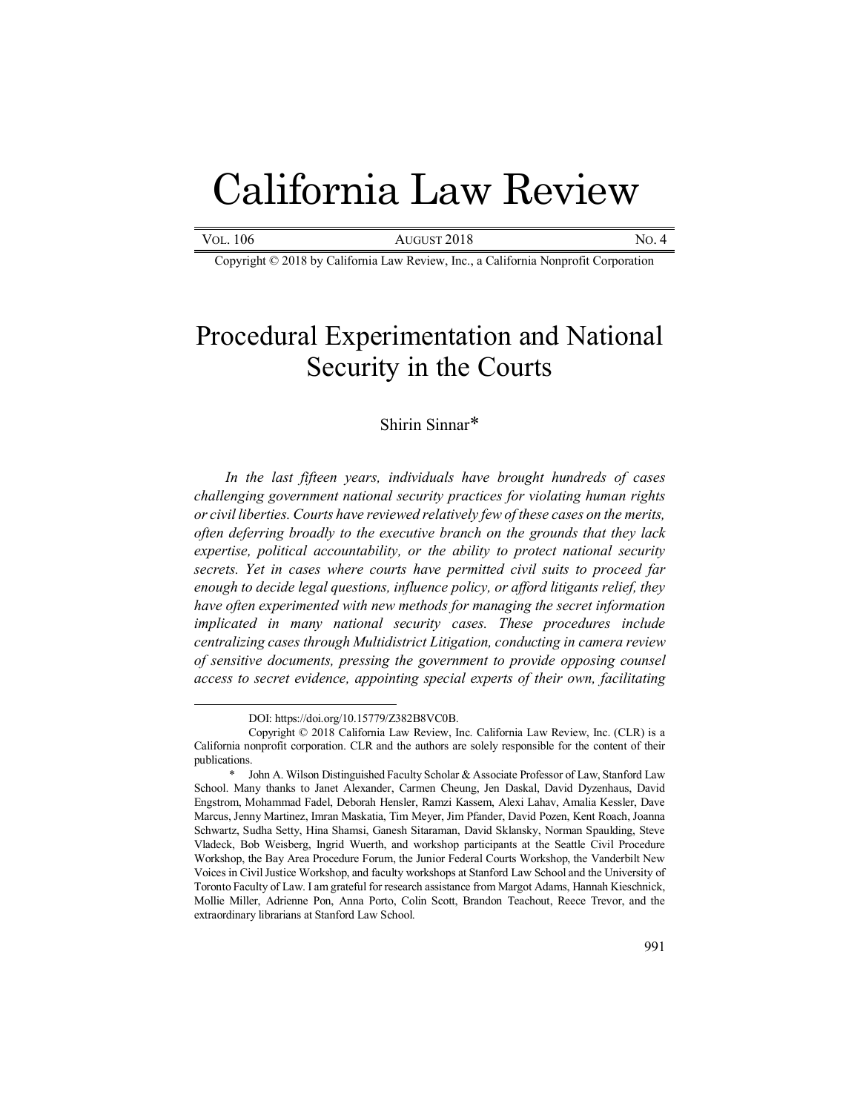# California Law Review

| VOL. 106 |  |
|----------|--|

l

AUGUST 2018 NO. 4

Copyright © 2018 by California Law Review, Inc., a California Nonprofit Corporation

# Procedural Experimentation and National Security in the Courts

# Shirin Sinnar\*

*In the last fifteen years, individuals have brought hundreds of cases challenging government national security practices for violating human rights or civil liberties. Courts have reviewed relatively few of these cases on the merits, often deferring broadly to the executive branch on the grounds that they lack expertise, political accountability, or the ability to protect national security secrets. Yet in cases where courts have permitted civil suits to proceed far enough to decide legal questions, influence policy, or afford litigants relief, they have often experimented with new methods for managing the secret information implicated in many national security cases. These procedures include centralizing cases through Multidistrict Litigation, conducting in camera review of sensitive documents, pressing the government to provide opposing counsel access to secret evidence, appointing special experts of their own, facilitating* 

DOI: https://doi.org/10.15779/Z382B8VC0B.

Copyright © 2018 California Law Review, Inc. California Law Review, Inc. (CLR) is a California nonprofit corporation. CLR and the authors are solely responsible for the content of their publications.

John A. Wilson Distinguished Faculty Scholar & Associate Professor of Law, Stanford Law School. Many thanks to Janet Alexander, Carmen Cheung, Jen Daskal, David Dyzenhaus, David Engstrom, Mohammad Fadel, Deborah Hensler, Ramzi Kassem, Alexi Lahav, Amalia Kessler, Dave Marcus, Jenny Martinez, Imran Maskatia, Tim Meyer, Jim Pfander, David Pozen, Kent Roach, Joanna Schwartz, Sudha Setty, Hina Shamsi, Ganesh Sitaraman, David Sklansky, Norman Spaulding, Steve Vladeck, Bob Weisberg, Ingrid Wuerth, and workshop participants at the Seattle Civil Procedure Workshop, the Bay Area Procedure Forum, the Junior Federal Courts Workshop, the Vanderbilt New Voices in Civil Justice Workshop, and faculty workshops at Stanford Law School and the University of Toronto Faculty of Law. I am grateful for research assistance from Margot Adams, Hannah Kieschnick, Mollie Miller, Adrienne Pon, Anna Porto, Colin Scott, Brandon Teachout, Reece Trevor, and the extraordinary librarians at Stanford Law School.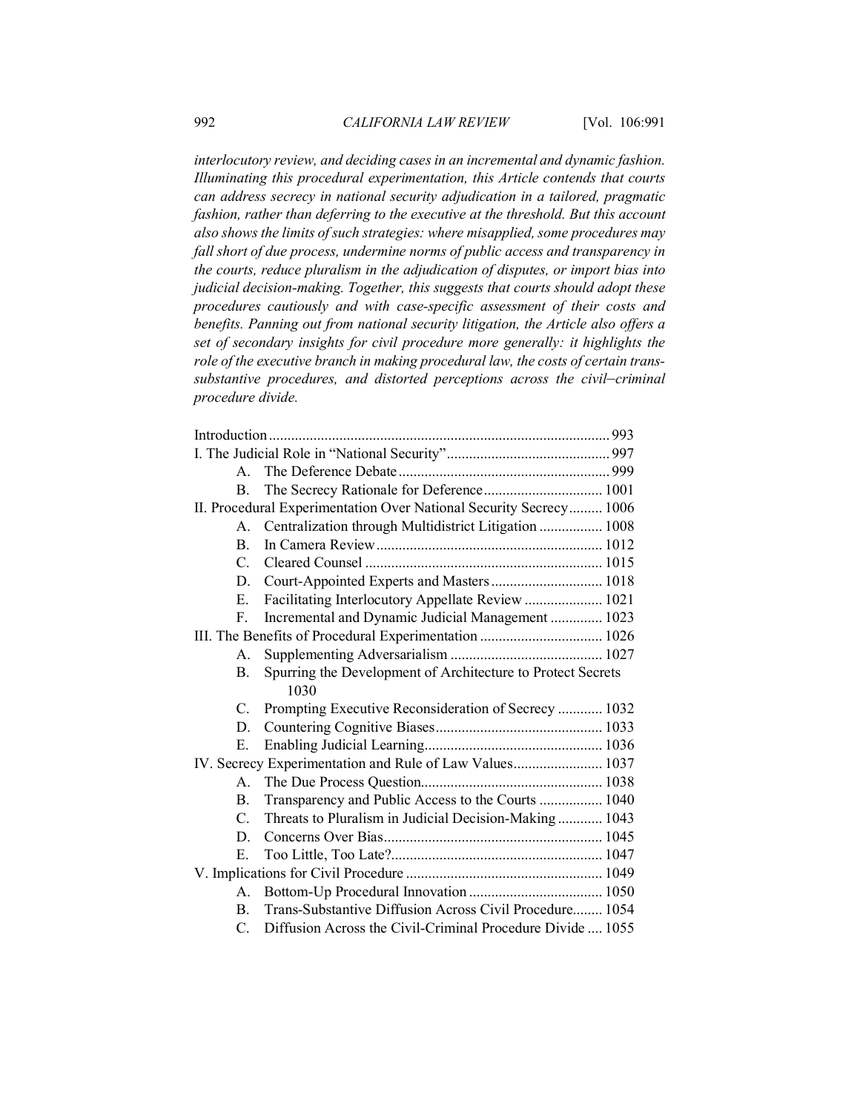*interlocutory review, and deciding cases in an incremental and dynamic fashion. Illuminating this procedural experimentation, this Article contends that courts can address secrecy in national security adjudication in a tailored, pragmatic fashion, rather than deferring to the executive at the threshold. But this account also shows the limits of such strategies: where misapplied, some procedures may fall short of due process, undermine norms of public access and transparency in the courts, reduce pluralism in the adjudication of disputes, or import bias into judicial decision-making. Together, this suggests that courts should adopt these procedures cautiously and with case-specific assessment of their costs and benefits. Panning out from national security litigation, the Article also offers a set of secondary insights for civil procedure more generally: it highlights the role of the executive branch in making procedural law, the costs of certain transsubstantive procedures, and distorted perceptions across the civil–criminal procedure divide.*

| $\mathbf{A}$                                                       |                                                             |  |
|--------------------------------------------------------------------|-------------------------------------------------------------|--|
| B.                                                                 |                                                             |  |
| II. Procedural Experimentation Over National Security Secrecy 1006 |                                                             |  |
| $\mathsf{A}$                                                       | Centralization through Multidistrict Litigation  1008       |  |
| B.                                                                 |                                                             |  |
| $C_{\cdot}$                                                        |                                                             |  |
| D.                                                                 | Court-Appointed Experts and Masters  1018                   |  |
| Е.                                                                 | Facilitating Interlocutory Appellate Review  1021           |  |
| F.                                                                 | Incremental and Dynamic Judicial Management  1023           |  |
|                                                                    |                                                             |  |
| $\mathsf{A}$                                                       |                                                             |  |
| B.                                                                 | Spurring the Development of Architecture to Protect Secrets |  |
|                                                                    | 1030                                                        |  |
| C.                                                                 | Prompting Executive Reconsideration of Secrecy  1032        |  |
| D.                                                                 |                                                             |  |
| Е.                                                                 |                                                             |  |
| IV. Secrecy Experimentation and Rule of Law Values 1037            |                                                             |  |
| $\mathsf{A}$                                                       |                                                             |  |
| B.                                                                 | Transparency and Public Access to the Courts  1040          |  |
| $C_{\cdot}$                                                        | Threats to Pluralism in Judicial Decision-Making 1043       |  |
| D.                                                                 |                                                             |  |
| E.                                                                 |                                                             |  |
|                                                                    |                                                             |  |
| $A_{-}$                                                            |                                                             |  |
| $\mathbf{B}$ .                                                     | Trans-Substantive Diffusion Across Civil Procedure 1054     |  |
| C.                                                                 | Diffusion Across the Civil-Criminal Procedure Divide  1055  |  |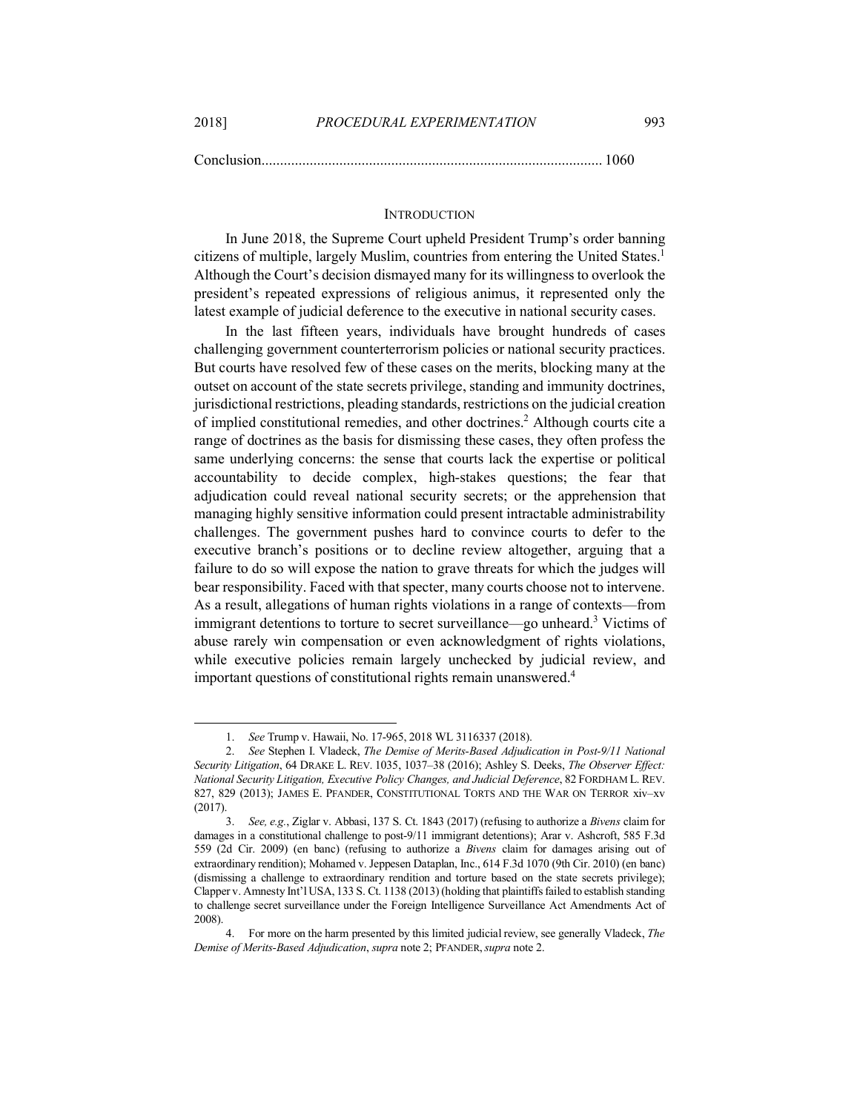#### **INTRODUCTION**

In June 2018, the Supreme Court upheld President Trump's order banning citizens of multiple, largely Muslim, countries from entering the United States.<sup>1</sup> Although the Court's decision dismayed many for its willingness to overlook the president's repeated expressions of religious animus, it represented only the latest example of judicial deference to the executive in national security cases.

In the last fifteen years, individuals have brought hundreds of cases challenging government counterterrorism policies or national security practices. But courts have resolved few of these cases on the merits, blocking many at the outset on account of the state secrets privilege, standing and immunity doctrines, jurisdictional restrictions, pleading standards, restrictions on the judicial creation of implied constitutional remedies, and other doctrines.2 Although courts cite a range of doctrines as the basis for dismissing these cases, they often profess the same underlying concerns: the sense that courts lack the expertise or political accountability to decide complex, high-stakes questions; the fear that adjudication could reveal national security secrets; or the apprehension that managing highly sensitive information could present intractable administrability challenges. The government pushes hard to convince courts to defer to the executive branch's positions or to decline review altogether, arguing that a failure to do so will expose the nation to grave threats for which the judges will bear responsibility. Faced with that specter, many courts choose not to intervene. As a result, allegations of human rights violations in a range of contexts—from immigrant detentions to torture to secret surveillance—go unheard.<sup>3</sup> Victims of abuse rarely win compensation or even acknowledgment of rights violations, while executive policies remain largely unchecked by judicial review, and important questions of constitutional rights remain unanswered.<sup>4</sup>

<sup>1.</sup> *See* Trump v. Hawaii, No. 17-965, 2018 WL 3116337 (2018).

<sup>2.</sup> *See* Stephen I. Vladeck, *The Demise of Merits-Based Adjudication in Post-9/11 National Security Litigation*, 64 DRAKE L. REV. 1035, 1037–38 (2016); Ashley S. Deeks, *The Observer Effect: National Security Litigation, Executive Policy Changes, and Judicial Deference*, 82 FORDHAM L. REV. 827, 829 (2013); JAMES E. PFANDER, CONSTITUTIONAL TORTS AND THE WAR ON TERROR xiv–xv (2017).

<sup>3.</sup> *See, e.g.*, Ziglar v. Abbasi, 137 S. Ct. 1843 (2017) (refusing to authorize a *Bivens* claim for damages in a constitutional challenge to post-9/11 immigrant detentions); Arar v. Ashcroft, 585 F.3d 559 (2d Cir. 2009) (en banc) (refusing to authorize a *Bivens* claim for damages arising out of extraordinary rendition); Mohamed v. Jeppesen Dataplan, Inc., 614 F.3d 1070 (9th Cir. 2010) (en banc) (dismissing a challenge to extraordinary rendition and torture based on the state secrets privilege); Clapper v. Amnesty Int'l USA, 133 S. Ct. 1138 (2013) (holding that plaintiffs failed to establish standing to challenge secret surveillance under the Foreign Intelligence Surveillance Act Amendments Act of  $2008$ ).

<sup>4.</sup> For more on the harm presented by this limited judicial review, see generally Vladeck, *The Demise of Merits-Based Adjudication*, *supra* note 2; PFANDER,*supra* note 2.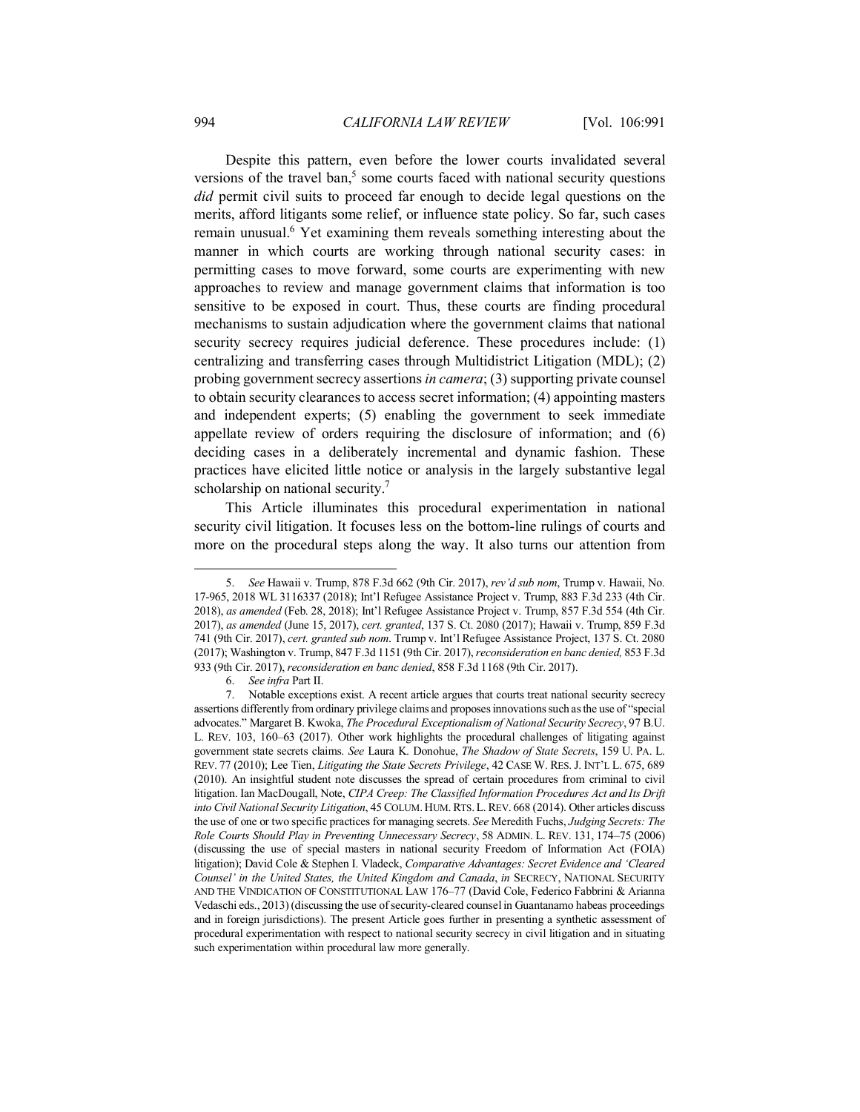Despite this pattern, even before the lower courts invalidated several versions of the travel ban,<sup>5</sup> some courts faced with national security questions *did* permit civil suits to proceed far enough to decide legal questions on the merits, afford litigants some relief, or influence state policy. So far, such cases remain unusual.6 Yet examining them reveals something interesting about the manner in which courts are working through national security cases: in permitting cases to move forward, some courts are experimenting with new approaches to review and manage government claims that information is too sensitive to be exposed in court. Thus, these courts are finding procedural mechanisms to sustain adjudication where the government claims that national security secrecy requires judicial deference. These procedures include: (1) centralizing and transferring cases through Multidistrict Litigation (MDL); (2) probing government secrecy assertions *in camera*; (3) supporting private counsel to obtain security clearances to access secret information; (4) appointing masters and independent experts; (5) enabling the government to seek immediate appellate review of orders requiring the disclosure of information; and (6) deciding cases in a deliberately incremental and dynamic fashion. These practices have elicited little notice or analysis in the largely substantive legal scholarship on national security.<sup>7</sup>

This Article illuminates this procedural experimentation in national security civil litigation. It focuses less on the bottom-line rulings of courts and more on the procedural steps along the way. It also turns our attention from

6. *See infra* Part II.

<sup>5.</sup> *See* Hawaii v. Trump, 878 F.3d 662 (9th Cir. 2017), *rev'd sub nom*, Trump v. Hawaii, No. 17-965, 2018 WL 3116337 (2018); Int'l Refugee Assistance Project v. Trump, 883 F.3d 233 (4th Cir. 2018), *as amended* (Feb. 28, 2018); Int'l Refugee Assistance Project v. Trump, 857 F.3d 554 (4th Cir. 2017), *as amended* (June 15, 2017), *cert. granted*, 137 S. Ct. 2080 (2017); Hawaii v. Trump, 859 F.3d 741 (9th Cir. 2017), *cert. granted sub nom*. Trump v. Int'l Refugee Assistance Project, 137 S. Ct. 2080 (2017); Washington v. Trump, 847 F.3d 1151 (9th Cir. 2017), *reconsideration en banc denied,* 853 F.3d 933 (9th Cir. 2017), *reconsideration en banc denied*, 858 F.3d 1168 (9th Cir. 2017).

<sup>7.</sup> Notable exceptions exist. A recent article argues that courts treat national security secrecy assertions differently from ordinary privilege claims and proposes innovations such as the use of "special advocates." Margaret B. Kwoka, *The Procedural Exceptionalism of National Security Secrecy*, 97 B.U. L. REV. 103, 160–63 (2017). Other work highlights the procedural challenges of litigating against government state secrets claims. *See* Laura K. Donohue, *The Shadow of State Secrets*, 159 U. PA. L. REV. 77 (2010); Lee Tien, *Litigating the State Secrets Privilege*, 42 CASE W. RES. J. INT'L L. 675, 689 (2010). An insightful student note discusses the spread of certain procedures from criminal to civil litigation. Ian MacDougall, Note, *CIPA Creep: The Classified Information Procedures Act and Its Drift into Civil National Security Litigation*, 45 COLUM. HUM. RTS.L. REV. 668 (2014). Other articles discuss the use of one or two specific practices for managing secrets. *See* Meredith Fuchs, *Judging Secrets: The Role Courts Should Play in Preventing Unnecessary Secrecy*, 58 ADMIN. L. REV. 131, 174–75 (2006) (discussing the use of special masters in national security Freedom of Information Act (FOIA) litigation); David Cole & Stephen I. Vladeck, *Comparative Advantages: Secret Evidence and 'Cleared Counsel' in the United States, the United Kingdom and Canada*, *in* SECRECY, NATIONAL SECURITY AND THE VINDICATION OF CONSTITUTIONAL LAW 176–77 (David Cole, Federico Fabbrini & Arianna Vedaschi eds., 2013) (discussing the use of security-cleared counsel in Guantanamo habeas proceedings and in foreign jurisdictions). The present Article goes further in presenting a synthetic assessment of procedural experimentation with respect to national security secrecy in civil litigation and in situating such experimentation within procedural law more generally.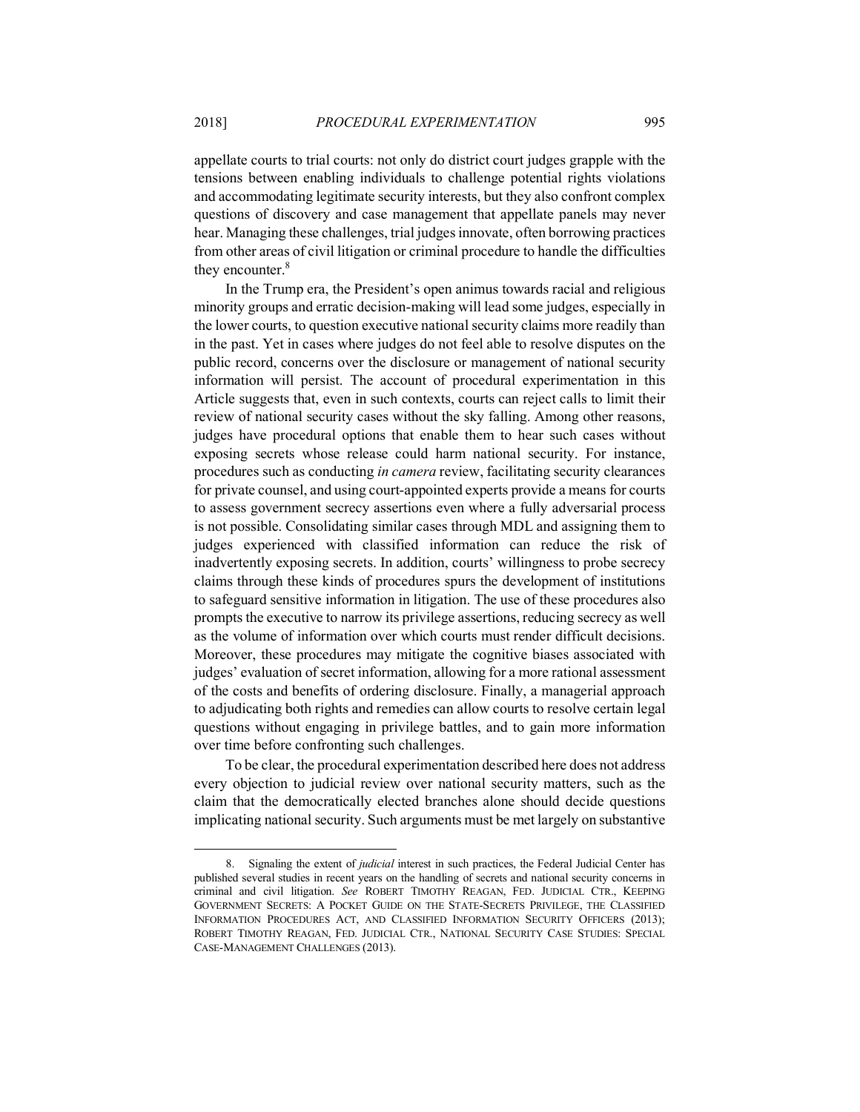appellate courts to trial courts: not only do district court judges grapple with the tensions between enabling individuals to challenge potential rights violations and accommodating legitimate security interests, but they also confront complex questions of discovery and case management that appellate panels may never hear. Managing these challenges, trial judges innovate, often borrowing practices from other areas of civil litigation or criminal procedure to handle the difficulties they encounter.<sup>8</sup>

In the Trump era, the President's open animus towards racial and religious minority groups and erratic decision-making will lead some judges, especially in the lower courts, to question executive national security claims more readily than in the past. Yet in cases where judges do not feel able to resolve disputes on the public record, concerns over the disclosure or management of national security information will persist. The account of procedural experimentation in this Article suggests that, even in such contexts, courts can reject calls to limit their review of national security cases without the sky falling. Among other reasons, judges have procedural options that enable them to hear such cases without exposing secrets whose release could harm national security. For instance, procedures such as conducting *in camera* review, facilitating security clearances for private counsel, and using court-appointed experts provide a means for courts to assess government secrecy assertions even where a fully adversarial process is not possible. Consolidating similar cases through MDL and assigning them to judges experienced with classified information can reduce the risk of inadvertently exposing secrets. In addition, courts' willingness to probe secrecy claims through these kinds of procedures spurs the development of institutions to safeguard sensitive information in litigation. The use of these procedures also prompts the executive to narrow its privilege assertions, reducing secrecy as well as the volume of information over which courts must render difficult decisions. Moreover, these procedures may mitigate the cognitive biases associated with judges' evaluation of secret information, allowing for a more rational assessment of the costs and benefits of ordering disclosure. Finally, a managerial approach to adjudicating both rights and remedies can allow courts to resolve certain legal questions without engaging in privilege battles, and to gain more information over time before confronting such challenges.

To be clear, the procedural experimentation described here does not address every objection to judicial review over national security matters, such as the claim that the democratically elected branches alone should decide questions implicating national security. Such arguments must be met largely on substantive

<sup>8.</sup> Signaling the extent of *judicial* interest in such practices, the Federal Judicial Center has published several studies in recent years on the handling of secrets and national security concerns in criminal and civil litigation. *See* ROBERT TIMOTHY REAGAN, FED. JUDICIAL CTR., KEEPING GOVERNMENT SECRETS: A POCKET GUIDE ON THE STATE-SECRETS PRIVILEGE, THE CLASSIFIED INFORMATION PROCEDURES ACT, AND CLASSIFIED INFORMATION SECURITY OFFICERS (2013); ROBERT TIMOTHY REAGAN, FED. JUDICIAL CTR., NATIONAL SECURITY CASE STUDIES: SPECIAL CASE-MANAGEMENT CHALLENGES (2013).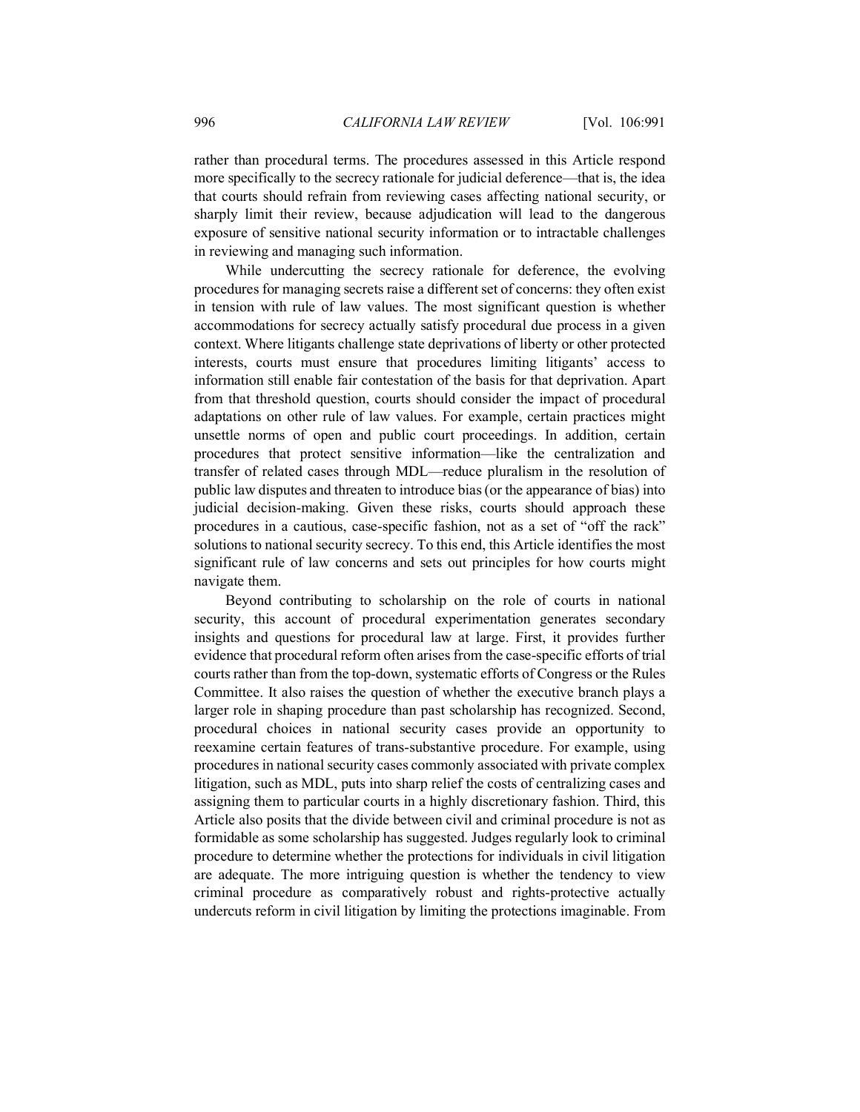rather than procedural terms. The procedures assessed in this Article respond more specifically to the secrecy rationale for judicial deference—that is, the idea that courts should refrain from reviewing cases affecting national security, or sharply limit their review, because adjudication will lead to the dangerous exposure of sensitive national security information or to intractable challenges in reviewing and managing such information.

While undercutting the secrecy rationale for deference, the evolving procedures for managing secrets raise a different set of concerns: they often exist in tension with rule of law values. The most significant question is whether accommodations for secrecy actually satisfy procedural due process in a given context. Where litigants challenge state deprivations of liberty or other protected interests, courts must ensure that procedures limiting litigants' access to information still enable fair contestation of the basis for that deprivation. Apart from that threshold question, courts should consider the impact of procedural adaptations on other rule of law values. For example, certain practices might unsettle norms of open and public court proceedings. In addition, certain procedures that protect sensitive information—like the centralization and transfer of related cases through MDL—reduce pluralism in the resolution of public law disputes and threaten to introduce bias (or the appearance of bias) into judicial decision-making. Given these risks, courts should approach these procedures in a cautious, case-specific fashion, not as a set of "off the rack" solutions to national security secrecy. To this end, this Article identifies the most significant rule of law concerns and sets out principles for how courts might navigate them.

Beyond contributing to scholarship on the role of courts in national security, this account of procedural experimentation generates secondary insights and questions for procedural law at large. First, it provides further evidence that procedural reform often arises from the case-specific efforts of trial courts rather than from the top-down, systematic efforts of Congress or the Rules Committee. It also raises the question of whether the executive branch plays a larger role in shaping procedure than past scholarship has recognized. Second, procedural choices in national security cases provide an opportunity to reexamine certain features of trans-substantive procedure. For example, using procedures in national security cases commonly associated with private complex litigation, such as MDL, puts into sharp relief the costs of centralizing cases and assigning them to particular courts in a highly discretionary fashion. Third, this Article also posits that the divide between civil and criminal procedure is not as formidable as some scholarship has suggested. Judges regularly look to criminal procedure to determine whether the protections for individuals in civil litigation are adequate. The more intriguing question is whether the tendency to view criminal procedure as comparatively robust and rights-protective actually undercuts reform in civil litigation by limiting the protections imaginable. From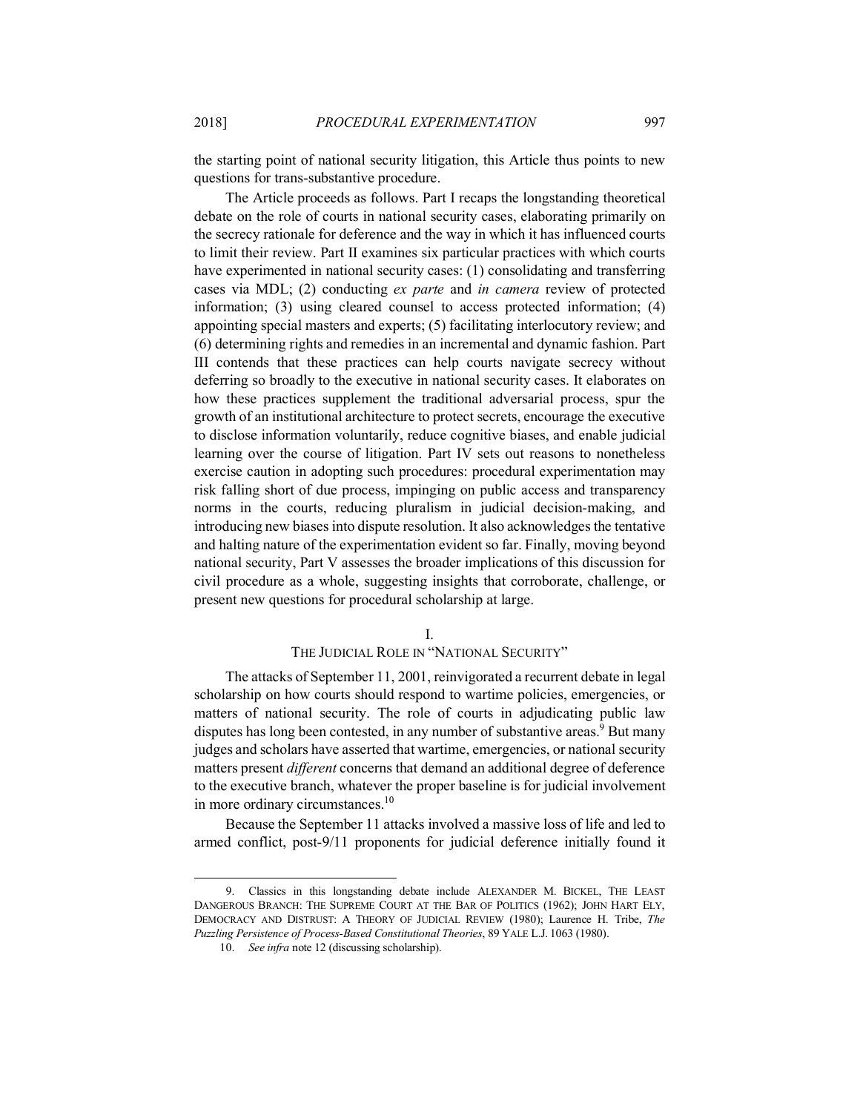the starting point of national security litigation, this Article thus points to new questions for trans-substantive procedure.

The Article proceeds as follows. Part I recaps the longstanding theoretical debate on the role of courts in national security cases, elaborating primarily on the secrecy rationale for deference and the way in which it has influenced courts to limit their review. Part II examines six particular practices with which courts have experimented in national security cases: (1) consolidating and transferring cases via MDL; (2) conducting *ex parte* and *in camera* review of protected information; (3) using cleared counsel to access protected information; (4) appointing special masters and experts; (5) facilitating interlocutory review; and (6) determining rights and remedies in an incremental and dynamic fashion. Part III contends that these practices can help courts navigate secrecy without deferring so broadly to the executive in national security cases. It elaborates on how these practices supplement the traditional adversarial process, spur the growth of an institutional architecture to protect secrets, encourage the executive to disclose information voluntarily, reduce cognitive biases, and enable judicial learning over the course of litigation. Part IV sets out reasons to nonetheless exercise caution in adopting such procedures: procedural experimentation may risk falling short of due process, impinging on public access and transparency norms in the courts, reducing pluralism in judicial decision-making, and introducing new biases into dispute resolution. It also acknowledges the tentative and halting nature of the experimentation evident so far. Finally, moving beyond national security, Part V assesses the broader implications of this discussion for civil procedure as a whole, suggesting insights that corroborate, challenge, or present new questions for procedural scholarship at large.

#### I.

#### THE JUDICIAL ROLE IN "NATIONAL SECURITY"

The attacks of September 11, 2001, reinvigorated a recurrent debate in legal scholarship on how courts should respond to wartime policies, emergencies, or matters of national security. The role of courts in adjudicating public law disputes has long been contested, in any number of substantive areas.<sup>9</sup> But many judges and scholars have asserted that wartime, emergencies, or national security matters present *different* concerns that demand an additional degree of deference to the executive branch, whatever the proper baseline is for judicial involvement in more ordinary circumstances.<sup>10</sup>

Because the September 11 attacks involved a massive loss of life and led to armed conflict, post-9/11 proponents for judicial deference initially found it

 <sup>9.</sup> Classics in this longstanding debate include ALEXANDER M. BICKEL, THE LEAST DANGEROUS BRANCH: THE SUPREME COURT AT THE BAR OF POLITICS (1962); JOHN HART ELY, DEMOCRACY AND DISTRUST: A THEORY OF JUDICIAL REVIEW (1980); Laurence H. Tribe, *The Puzzling Persistence of Process-Based Constitutional Theories*, 89 YALE L.J. 1063 (1980).

<sup>10.</sup> *See infra* note 12 (discussing scholarship).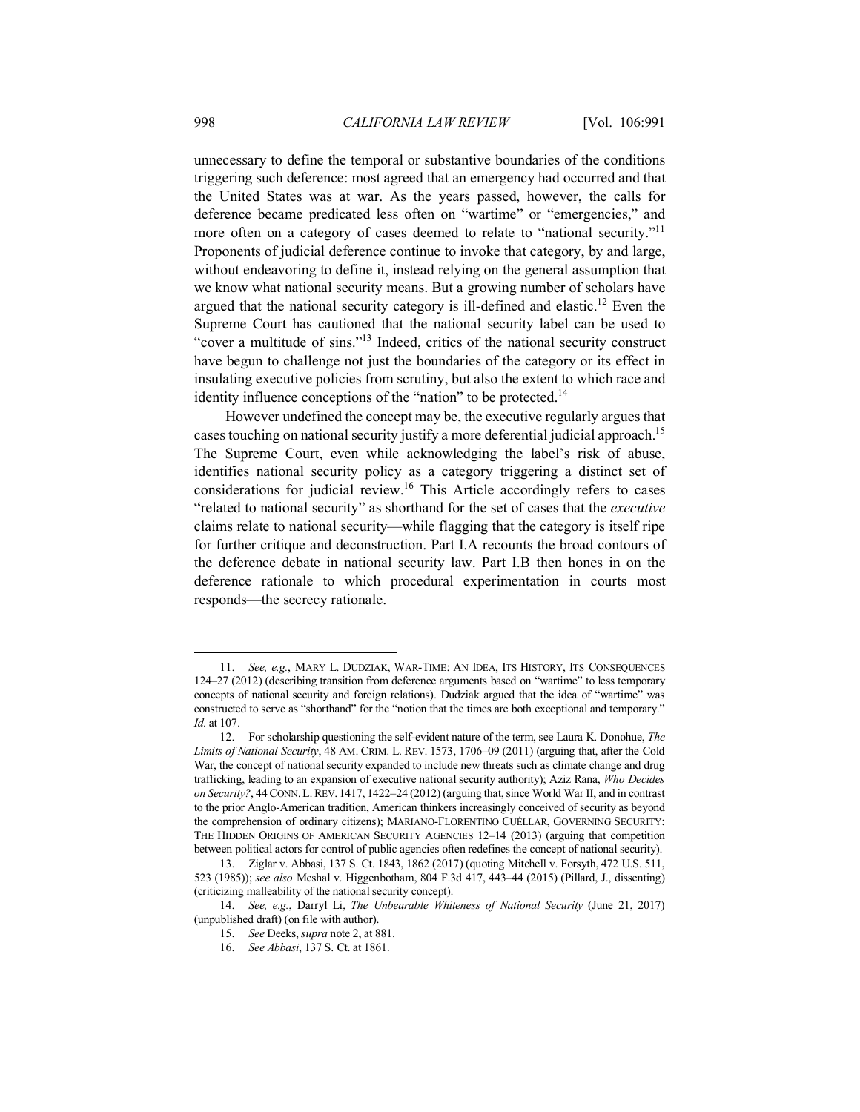unnecessary to define the temporal or substantive boundaries of the conditions triggering such deference: most agreed that an emergency had occurred and that the United States was at war. As the years passed, however, the calls for deference became predicated less often on "wartime" or "emergencies," and more often on a category of cases deemed to relate to "national security."<sup>11</sup> Proponents of judicial deference continue to invoke that category, by and large, without endeavoring to define it, instead relying on the general assumption that we know what national security means. But a growing number of scholars have argued that the national security category is ill-defined and elastic.<sup>12</sup> Even the Supreme Court has cautioned that the national security label can be used to "cover a multitude of sins."13 Indeed, critics of the national security construct have begun to challenge not just the boundaries of the category or its effect in insulating executive policies from scrutiny, but also the extent to which race and identity influence conceptions of the "nation" to be protected.<sup>14</sup>

However undefined the concept may be, the executive regularly argues that cases touching on national security justify a more deferential judicial approach.<sup>15</sup> The Supreme Court, even while acknowledging the label's risk of abuse, identifies national security policy as a category triggering a distinct set of considerations for judicial review.16 This Article accordingly refers to cases "related to national security" as shorthand for the set of cases that the *executive* claims relate to national security—while flagging that the category is itself ripe for further critique and deconstruction. Part I.A recounts the broad contours of the deference debate in national security law. Part I.B then hones in on the deference rationale to which procedural experimentation in courts most responds—the secrecy rationale.

<sup>11.</sup> *See, e.g.*, MARY L. DUDZIAK, WAR-TIME: AN IDEA, ITS HISTORY, ITS CONSEQUENCES 124–27 (2012) (describing transition from deference arguments based on "wartime" to less temporary concepts of national security and foreign relations). Dudziak argued that the idea of "wartime" was constructed to serve as "shorthand" for the "notion that the times are both exceptional and temporary." *Id.* at 107.

<sup>12.</sup> For scholarship questioning the self-evident nature of the term, see Laura K. Donohue, *The Limits of National Security*, 48 AM. CRIM. L. REV. 1573, 1706–09 (2011) (arguing that, after the Cold War, the concept of national security expanded to include new threats such as climate change and drug trafficking, leading to an expansion of executive national security authority); Aziz Rana, *Who Decides on Security?*, 44CONN.L.REV. 1417, 1422–24 (2012) (arguing that, since World War II, and in contrast to the prior Anglo-American tradition, American thinkers increasingly conceived of security as beyond the comprehension of ordinary citizens); MARIANO-FLORENTINO CUÉLLAR, GOVERNING SECURITY: THE HIDDEN ORIGINS OF AMERICAN SECURITY AGENCIES 12–14 (2013) (arguing that competition between political actors for control of public agencies often redefines the concept of national security).

<sup>13.</sup> Ziglar v. Abbasi, 137 S. Ct. 1843, 1862 (2017) (quoting Mitchell v. Forsyth, 472 U.S. 511, 523 (1985)); *see also* Meshal v. Higgenbotham, 804 F.3d 417, 443–44 (2015) (Pillard, J., dissenting) (criticizing malleability of the national security concept).

<sup>14.</sup> *See, e.g.*, Darryl Li, *The Unbearable Whiteness of National Security* (June 21, 2017) (unpublished draft) (on file with author).

<sup>15.</sup> *See* Deeks, *supra* note 2, at 881.

<sup>16.</sup> *See Abbasi*, 137 S. Ct. at 1861.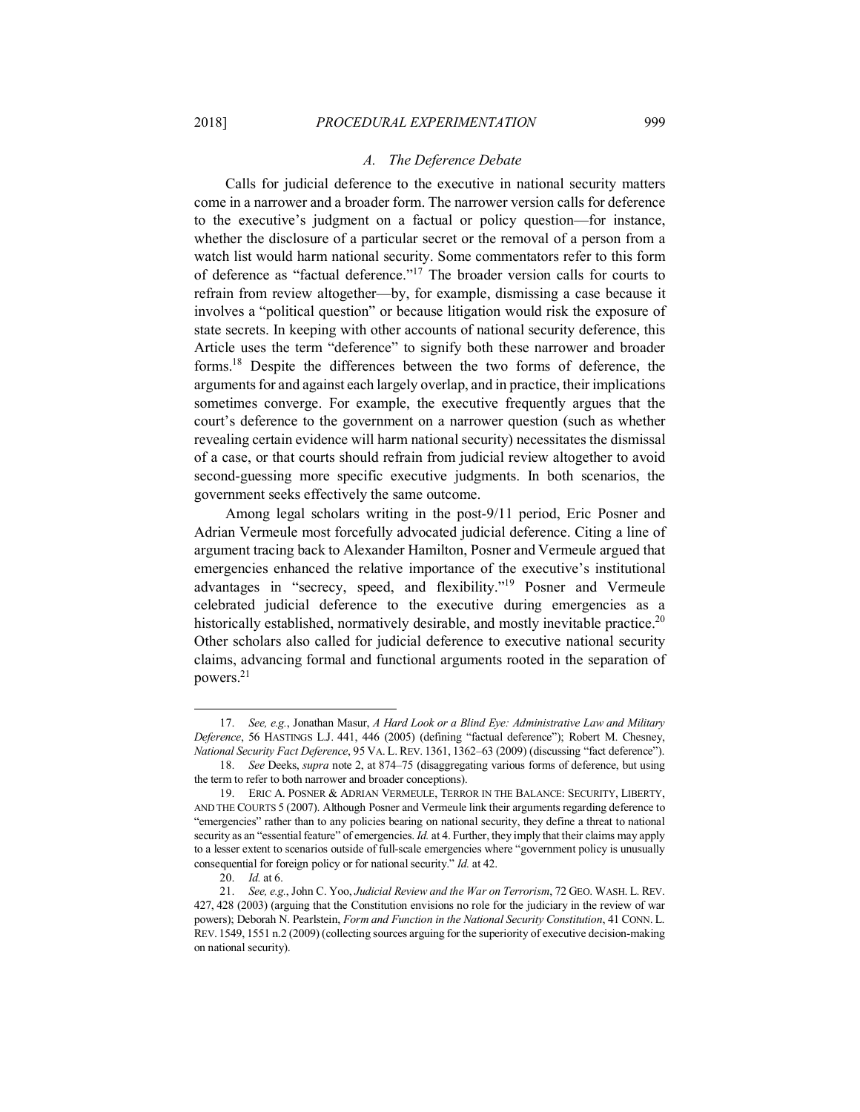#### *A. The Deference Debate*

Calls for judicial deference to the executive in national security matters come in a narrower and a broader form. The narrower version calls for deference to the executive's judgment on a factual or policy question—for instance, whether the disclosure of a particular secret or the removal of a person from a watch list would harm national security. Some commentators refer to this form of deference as "factual deference."17 The broader version calls for courts to refrain from review altogether—by, for example, dismissing a case because it involves a "political question" or because litigation would risk the exposure of state secrets. In keeping with other accounts of national security deference, this Article uses the term "deference" to signify both these narrower and broader forms.18 Despite the differences between the two forms of deference, the arguments for and against each largely overlap, and in practice, their implications sometimes converge. For example, the executive frequently argues that the court's deference to the government on a narrower question (such as whether revealing certain evidence will harm national security) necessitates the dismissal of a case, or that courts should refrain from judicial review altogether to avoid second-guessing more specific executive judgments. In both scenarios, the government seeks effectively the same outcome.

Among legal scholars writing in the post-9/11 period, Eric Posner and Adrian Vermeule most forcefully advocated judicial deference. Citing a line of argument tracing back to Alexander Hamilton, Posner and Vermeule argued that emergencies enhanced the relative importance of the executive's institutional advantages in "secrecy, speed, and flexibility."19 Posner and Vermeule celebrated judicial deference to the executive during emergencies as a historically established, normatively desirable, and mostly inevitable practice.<sup>20</sup> Other scholars also called for judicial deference to executive national security claims, advancing formal and functional arguments rooted in the separation of powers.21

 <sup>17.</sup> *See, e.g.*, Jonathan Masur, *A Hard Look or a Blind Eye: Administrative Law and Military Deference*, 56 HASTINGS L.J. 441, 446 (2005) (defining "factual deference"); Robert M. Chesney, *National Security Fact Deference*, 95 VA. L. REV. 1361, 1362–63 (2009) (discussing "fact deference").

<sup>18.</sup> *See* Deeks, *supra* note 2, at 874–75 (disaggregating various forms of deference, but using the term to refer to both narrower and broader conceptions).

<sup>19.</sup> ERIC A. POSNER & ADRIAN VERMEULE, TERROR IN THE BALANCE: SECURITY, LIBERTY, AND THE COURTS 5 (2007). Although Posner and Vermeule link their arguments regarding deference to "emergencies" rather than to any policies bearing on national security, they define a threat to national security as an "essential feature" of emergencies. *Id.* at 4. Further, they imply that their claims may apply to a lesser extent to scenarios outside of full-scale emergencies where "government policy is unusually consequential for foreign policy or for national security." *Id.* at 42.

<sup>20.</sup> *Id.* at 6.

<sup>21.</sup> *See, e.g.*, John C. Yoo, *Judicial Review and the War on Terrorism*, 72 GEO. WASH. L. REV. 427, 428 (2003) (arguing that the Constitution envisions no role for the judiciary in the review of war powers); Deborah N. Pearlstein, *Form and Function in the National Security Constitution*, 41 CONN. L. REV. 1549, 1551 n.2 (2009) (collecting sources arguing for the superiority of executive decision-making on national security).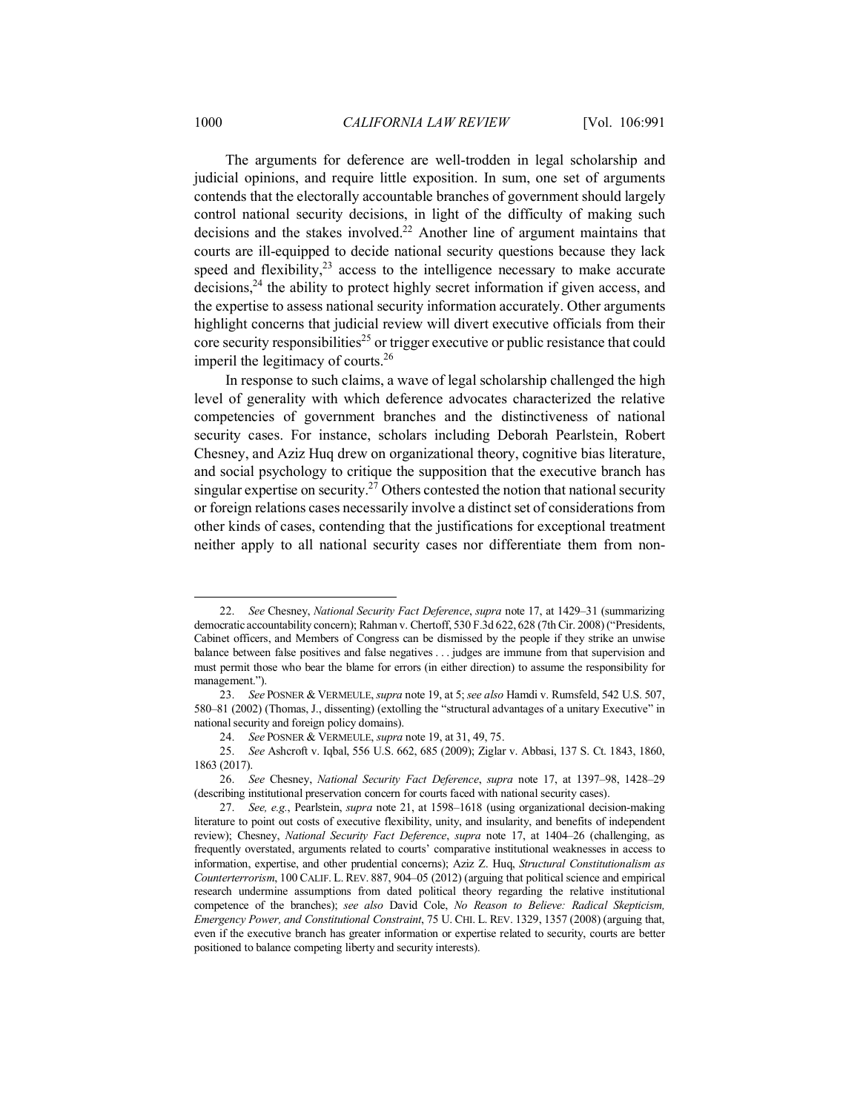The arguments for deference are well-trodden in legal scholarship and judicial opinions, and require little exposition. In sum, one set of arguments contends that the electorally accountable branches of government should largely control national security decisions, in light of the difficulty of making such decisions and the stakes involved.<sup>22</sup> Another line of argument maintains that courts are ill-equipped to decide national security questions because they lack speed and flexibility, $2<sup>3</sup>$  access to the intelligence necessary to make accurate decisions,<sup>24</sup> the ability to protect highly secret information if given access, and the expertise to assess national security information accurately. Other arguments highlight concerns that judicial review will divert executive officials from their core security responsibilities<sup>25</sup> or trigger executive or public resistance that could imperil the legitimacy of courts.26

In response to such claims, a wave of legal scholarship challenged the high level of generality with which deference advocates characterized the relative competencies of government branches and the distinctiveness of national security cases. For instance, scholars including Deborah Pearlstein, Robert Chesney, and Aziz Huq drew on organizational theory, cognitive bias literature, and social psychology to critique the supposition that the executive branch has singular expertise on security.<sup>27</sup> Others contested the notion that national security or foreign relations cases necessarily involve a distinct set of considerations from other kinds of cases, contending that the justifications for exceptional treatment neither apply to all national security cases nor differentiate them from non-

<sup>22.</sup> *See* Chesney, *National Security Fact Deference*, *supra* note 17, at 1429–31 (summarizing democratic accountability concern); Rahman v. Chertoff, 530 F.3d 622, 628 (7th Cir. 2008) ("Presidents, Cabinet officers, and Members of Congress can be dismissed by the people if they strike an unwise balance between false positives and false negatives . . . judges are immune from that supervision and must permit those who bear the blame for errors (in either direction) to assume the responsibility for management.").

<sup>23.</sup> *See* POSNER & VERMEULE, *supra* note 19, at 5; *see also* Hamdi v. Rumsfeld, 542 U.S. 507, 580–81 (2002) (Thomas, J., dissenting) (extolling the "structural advantages of a unitary Executive" in national security and foreign policy domains).

<sup>24.</sup> *See* POSNER & VERMEULE, *supra* note 19, at 31, 49, 75.

<sup>25.</sup> *See* Ashcroft v. Iqbal, 556 U.S. 662, 685 (2009); Ziglar v. Abbasi, 137 S. Ct. 1843, 1860, 1863 (2017).

<sup>26.</sup> *See* Chesney, *National Security Fact Deference*, *supra* note 17, at 1397–98, 1428–29 (describing institutional preservation concern for courts faced with national security cases).

<sup>27.</sup> *See, e.g.*, Pearlstein, *supra* note 21, at 1598–1618 (using organizational decision-making literature to point out costs of executive flexibility, unity, and insularity, and benefits of independent review); Chesney, *National Security Fact Deference*, *supra* note 17, at 1404–26 (challenging, as frequently overstated, arguments related to courts' comparative institutional weaknesses in access to information, expertise, and other prudential concerns); Aziz Z. Huq, *Structural Constitutionalism as Counterterrorism*, 100 CALIF. L. REV. 887, 904–05 (2012) (arguing that political science and empirical research undermine assumptions from dated political theory regarding the relative institutional competence of the branches); *see also* David Cole, *No Reason to Believe: Radical Skepticism, Emergency Power, and Constitutional Constraint*, 75 U. CHI. L. REV. 1329, 1357 (2008) (arguing that, even if the executive branch has greater information or expertise related to security, courts are better positioned to balance competing liberty and security interests).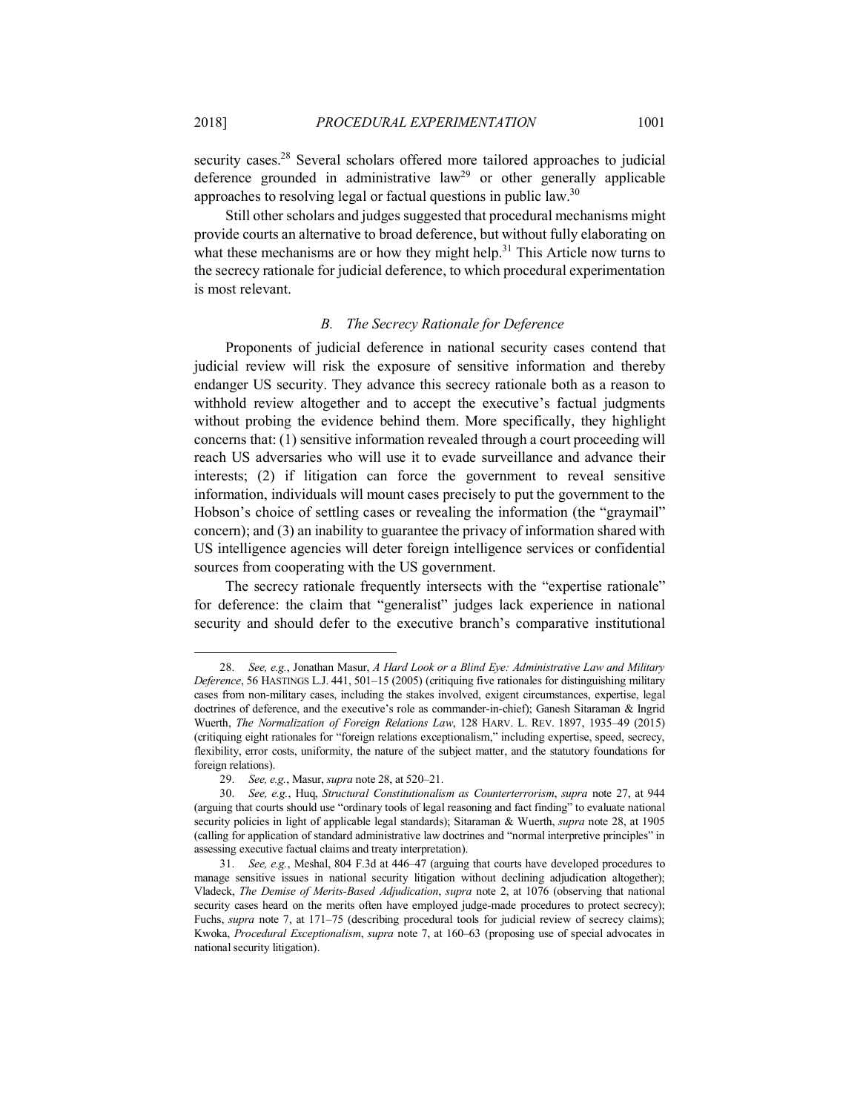security cases.<sup>28</sup> Several scholars offered more tailored approaches to judicial deference grounded in administrative  $law<sup>29</sup>$  or other generally applicable approaches to resolving legal or factual questions in public law.30

Still other scholars and judges suggested that procedural mechanisms might provide courts an alternative to broad deference, but without fully elaborating on what these mechanisms are or how they might help.<sup>31</sup> This Article now turns to the secrecy rationale for judicial deference, to which procedural experimentation is most relevant.

# *B. The Secrecy Rationale for Deference*

Proponents of judicial deference in national security cases contend that judicial review will risk the exposure of sensitive information and thereby endanger US security. They advance this secrecy rationale both as a reason to withhold review altogether and to accept the executive's factual judgments without probing the evidence behind them. More specifically, they highlight concerns that: (1) sensitive information revealed through a court proceeding will reach US adversaries who will use it to evade surveillance and advance their interests; (2) if litigation can force the government to reveal sensitive information, individuals will mount cases precisely to put the government to the Hobson's choice of settling cases or revealing the information (the "graymail" concern); and (3) an inability to guarantee the privacy of information shared with US intelligence agencies will deter foreign intelligence services or confidential sources from cooperating with the US government.

The secrecy rationale frequently intersects with the "expertise rationale" for deference: the claim that "generalist" judges lack experience in national security and should defer to the executive branch's comparative institutional

<sup>28.</sup> *See, e.g.*, Jonathan Masur, *A Hard Look or a Blind Eye: Administrative Law and Military Deference*, 56 HASTINGS L.J. 441, 501–15 (2005) (critiquing five rationales for distinguishing military cases from non-military cases, including the stakes involved, exigent circumstances, expertise, legal doctrines of deference, and the executive's role as commander-in-chief); Ganesh Sitaraman & Ingrid Wuerth, *The Normalization of Foreign Relations Law*, 128 HARV. L. REV. 1897, 1935–49 (2015) (critiquing eight rationales for "foreign relations exceptionalism," including expertise, speed, secrecy, flexibility, error costs, uniformity, the nature of the subject matter, and the statutory foundations for foreign relations).

<sup>29.</sup> *See, e.g.*, Masur, *supra* note 28, at 520–21.

<sup>30.</sup> *See, e.g.*, Huq, *Structural Constitutionalism as Counterterrorism*, *supra* note 27, at 944 (arguing that courts should use "ordinary tools of legal reasoning and fact finding" to evaluate national security policies in light of applicable legal standards); Sitaraman & Wuerth, *supra* note 28, at 1905 (calling for application of standard administrative law doctrines and "normal interpretive principles" in assessing executive factual claims and treaty interpretation).

<sup>31.</sup> *See, e.g.*, Meshal, 804 F.3d at 446–47 (arguing that courts have developed procedures to manage sensitive issues in national security litigation without declining adjudication altogether); Vladeck, *The Demise of Merits-Based Adjudication*, *supra* note 2, at 1076 (observing that national security cases heard on the merits often have employed judge-made procedures to protect secrecy); Fuchs, *supra* note 7, at 171–75 (describing procedural tools for judicial review of secrecy claims); Kwoka, *Procedural Exceptionalism*, *supra* note 7, at 160–63 (proposing use of special advocates in national security litigation).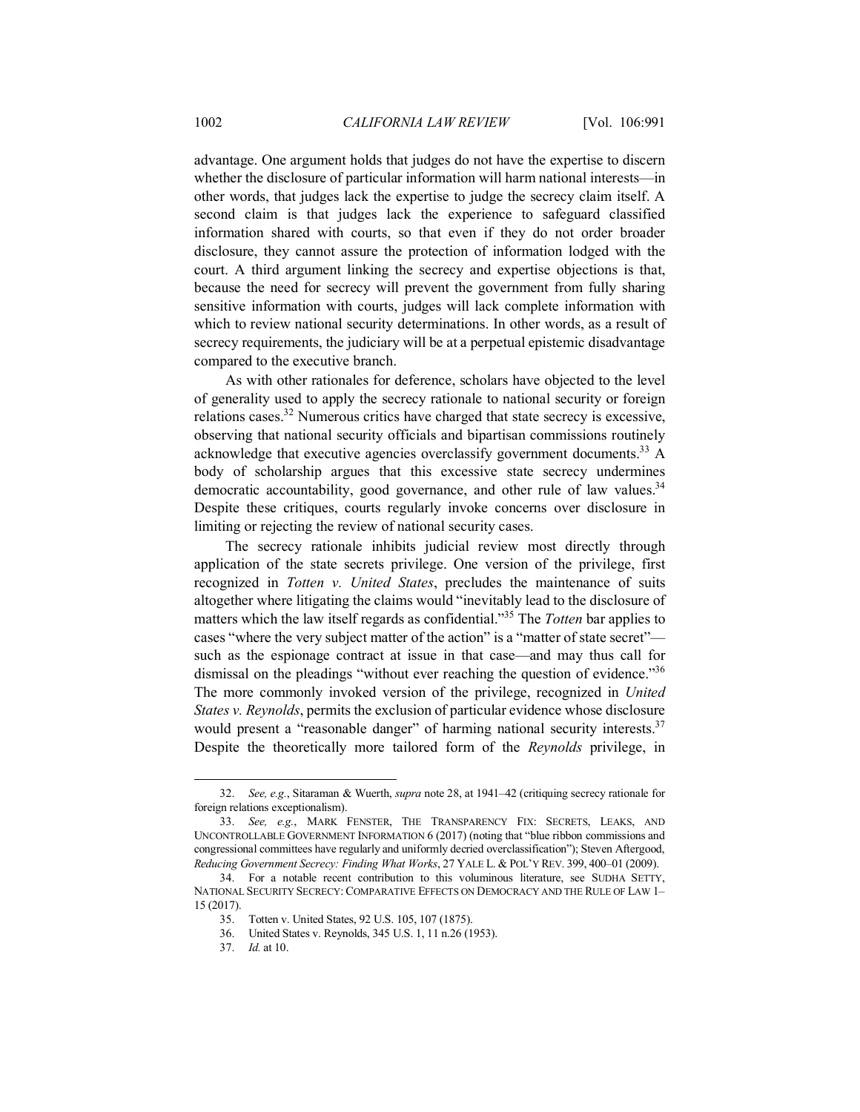advantage. One argument holds that judges do not have the expertise to discern whether the disclosure of particular information will harm national interests—in other words, that judges lack the expertise to judge the secrecy claim itself. A second claim is that judges lack the experience to safeguard classified information shared with courts, so that even if they do not order broader disclosure, they cannot assure the protection of information lodged with the court. A third argument linking the secrecy and expertise objections is that, because the need for secrecy will prevent the government from fully sharing sensitive information with courts, judges will lack complete information with which to review national security determinations. In other words, as a result of secrecy requirements, the judiciary will be at a perpetual epistemic disadvantage compared to the executive branch.

As with other rationales for deference, scholars have objected to the level of generality used to apply the secrecy rationale to national security or foreign relations cases.32 Numerous critics have charged that state secrecy is excessive, observing that national security officials and bipartisan commissions routinely acknowledge that executive agencies overclassify government documents.<sup>33</sup> A body of scholarship argues that this excessive state secrecy undermines democratic accountability, good governance, and other rule of law values.<sup>34</sup> Despite these critiques, courts regularly invoke concerns over disclosure in limiting or rejecting the review of national security cases.

The secrecy rationale inhibits judicial review most directly through application of the state secrets privilege. One version of the privilege, first recognized in *Totten v. United States*, precludes the maintenance of suits altogether where litigating the claims would "inevitably lead to the disclosure of matters which the law itself regards as confidential."35 The *Totten* bar applies to cases "where the very subject matter of the action" is a "matter of state secret" such as the espionage contract at issue in that case—and may thus call for dismissal on the pleadings "without ever reaching the question of evidence."<sup>36</sup> The more commonly invoked version of the privilege, recognized in *United States v. Reynolds*, permits the exclusion of particular evidence whose disclosure would present a "reasonable danger" of harming national security interests.<sup>37</sup> Despite the theoretically more tailored form of the *Reynolds* privilege, in

<sup>32.</sup> *See, e.g.*, Sitaraman & Wuerth, *supra* note 28, at 1941–42 (critiquing secrecy rationale for foreign relations exceptionalism).

<sup>33.</sup> *See, e.g.*, MARK FENSTER, THE TRANSPARENCY FIX: SECRETS, LEAKS, AND UNCONTROLLABLE GOVERNMENT INFORMATION 6 (2017) (noting that "blue ribbon commissions and congressional committees have regularly and uniformly decried overclassification"); Steven Aftergood, *Reducing Government Secrecy: Finding What Works*, 27 YALE L. & POL'Y REV. 399, 400–01 (2009).

<sup>34.</sup> For a notable recent contribution to this voluminous literature, see SUDHA SETTY, NATIONAL SECURITY SECRECY: COMPARATIVE EFFECTS ON DEMOCRACY AND THE RULE OF LAW 1– 15 (2017).

<sup>35.</sup> Totten v. United States, 92 U.S. 105, 107 (1875).

<sup>36.</sup> United States v. Reynolds, 345 U.S. 1, 11 n.26 (1953).

<sup>37.</sup> *Id.* at 10.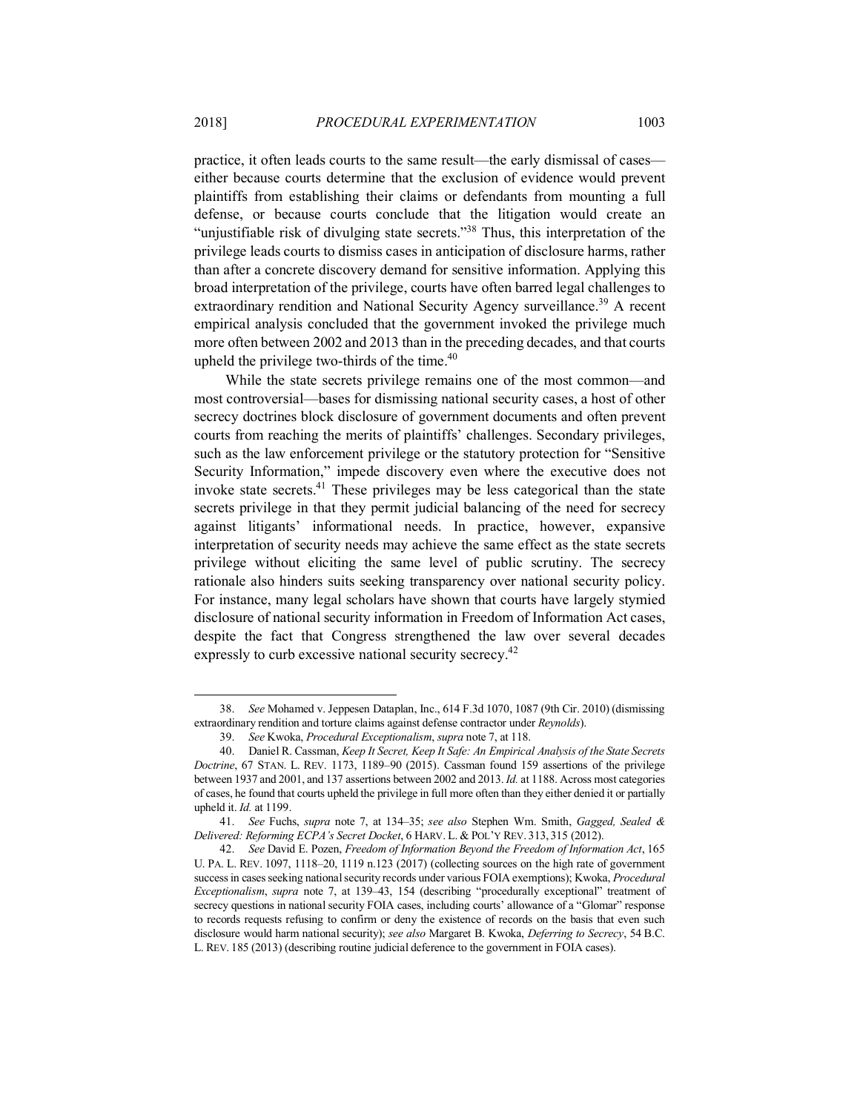practice, it often leads courts to the same result—the early dismissal of cases either because courts determine that the exclusion of evidence would prevent plaintiffs from establishing their claims or defendants from mounting a full defense, or because courts conclude that the litigation would create an "unjustifiable risk of divulging state secrets."38 Thus, this interpretation of the privilege leads courts to dismiss cases in anticipation of disclosure harms, rather than after a concrete discovery demand for sensitive information. Applying this broad interpretation of the privilege, courts have often barred legal challenges to extraordinary rendition and National Security Agency surveillance.<sup>39</sup> A recent empirical analysis concluded that the government invoked the privilege much more often between 2002 and 2013 than in the preceding decades, and that courts upheld the privilege two-thirds of the time.<sup>40</sup>

While the state secrets privilege remains one of the most common—and most controversial—bases for dismissing national security cases, a host of other secrecy doctrines block disclosure of government documents and often prevent courts from reaching the merits of plaintiffs' challenges. Secondary privileges, such as the law enforcement privilege or the statutory protection for "Sensitive Security Information," impede discovery even where the executive does not invoke state secrets.41 These privileges may be less categorical than the state secrets privilege in that they permit judicial balancing of the need for secrecy against litigants' informational needs. In practice, however, expansive interpretation of security needs may achieve the same effect as the state secrets privilege without eliciting the same level of public scrutiny. The secrecy rationale also hinders suits seeking transparency over national security policy. For instance, many legal scholars have shown that courts have largely stymied disclosure of national security information in Freedom of Information Act cases, despite the fact that Congress strengthened the law over several decades expressly to curb excessive national security secrecy.<sup>42</sup>

<sup>38.</sup> *See* Mohamed v. Jeppesen Dataplan, Inc., 614 F.3d 1070, 1087 (9th Cir. 2010) (dismissing extraordinary rendition and torture claims against defense contractor under *Reynolds*).

<sup>39.</sup> *See* Kwoka, *Procedural Exceptionalism*, *supra* note 7, at 118.

<sup>40.</sup> Daniel R. Cassman, *Keep It Secret, Keep It Safe: An Empirical Analysis of the State Secrets Doctrine*, 67 STAN. L. REV. 1173, 1189–90 (2015). Cassman found 159 assertions of the privilege between 1937 and 2001, and 137 assertions between 2002 and 2013. *Id.* at 1188. Across most categories of cases, he found that courts upheld the privilege in full more often than they either denied it or partially upheld it. *Id.* at 1199.

<sup>41.</sup> *See* Fuchs, *supra* note 7, at 134–35; *see also* Stephen Wm. Smith, *Gagged, Sealed & Delivered: Reforming ECPA's Secret Docket*, 6 HARV. L. & POL'Y REV. 313, 315 (2012).

<sup>42.</sup> *See* David E. Pozen, *Freedom of Information Beyond the Freedom of Information Act*, 165 U. PA. L. REV. 1097, 1118–20, 1119 n.123 (2017) (collecting sources on the high rate of government success in cases seeking national security records under various FOIA exemptions); Kwoka, *Procedural Exceptionalism*, *supra* note 7, at 139–43, 154 (describing "procedurally exceptional" treatment of secrecy questions in national security FOIA cases, including courts' allowance of a "Glomar" response to records requests refusing to confirm or deny the existence of records on the basis that even such disclosure would harm national security); *see also* Margaret B. Kwoka, *Deferring to Secrecy*, 54 B.C. L. REV. 185 (2013) (describing routine judicial deference to the government in FOIA cases).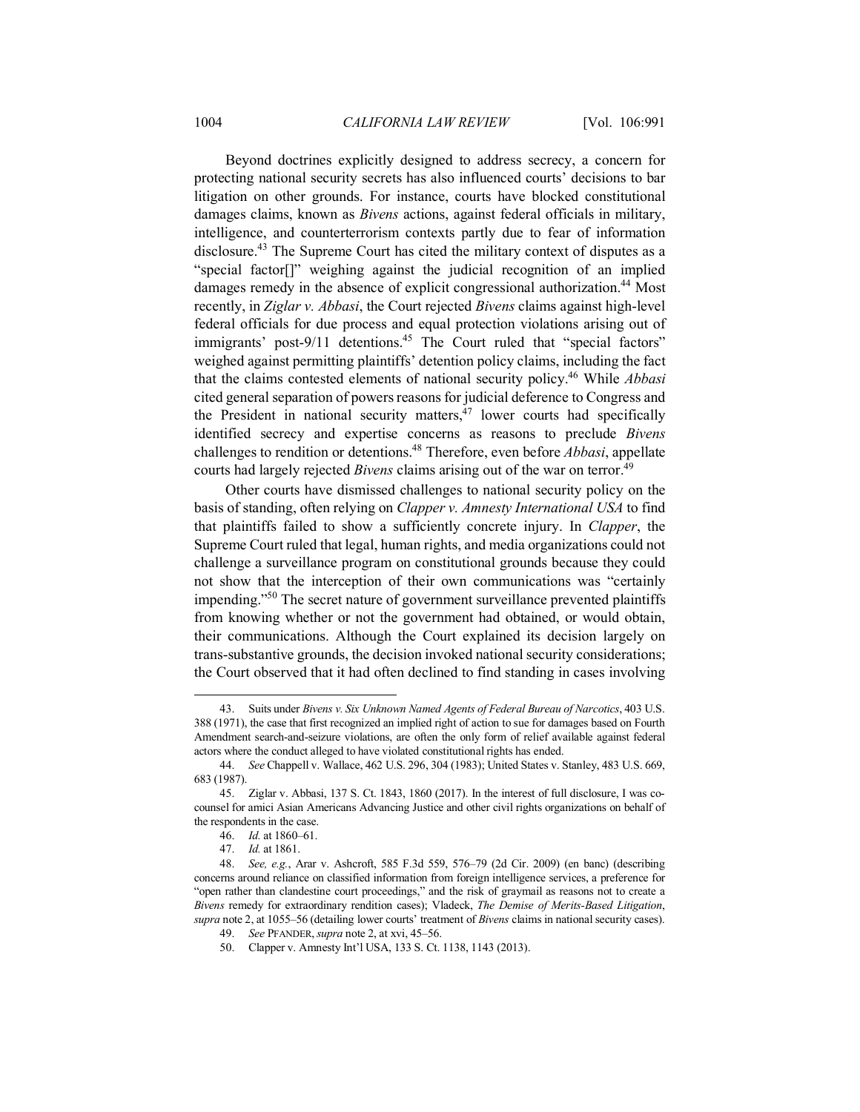Beyond doctrines explicitly designed to address secrecy, a concern for protecting national security secrets has also influenced courts' decisions to bar litigation on other grounds. For instance, courts have blocked constitutional damages claims, known as *Bivens* actions, against federal officials in military, intelligence, and counterterrorism contexts partly due to fear of information disclosure.<sup>43</sup> The Supreme Court has cited the military context of disputes as a "special factor[]" weighing against the judicial recognition of an implied damages remedy in the absence of explicit congressional authorization.<sup>44</sup> Most recently, in *Ziglar v. Abbasi*, the Court rejected *Bivens* claims against high-level federal officials for due process and equal protection violations arising out of immigrants' post-9/11 detentions.<sup>45</sup> The Court ruled that "special factors" weighed against permitting plaintiffs' detention policy claims, including the fact that the claims contested elements of national security policy.46 While *Abbasi* cited general separation of powers reasons for judicial deference to Congress and the President in national security matters, $47$  lower courts had specifically identified secrecy and expertise concerns as reasons to preclude *Bivens* challenges to rendition or detentions.48 Therefore, even before *Abbasi*, appellate courts had largely rejected *Bivens* claims arising out of the war on terror.<sup>49</sup>

Other courts have dismissed challenges to national security policy on the basis of standing, often relying on *Clapper v. Amnesty International USA* to find that plaintiffs failed to show a sufficiently concrete injury. In *Clapper*, the Supreme Court ruled that legal, human rights, and media organizations could not challenge a surveillance program on constitutional grounds because they could not show that the interception of their own communications was "certainly impending."50 The secret nature of government surveillance prevented plaintiffs from knowing whether or not the government had obtained, or would obtain, their communications. Although the Court explained its decision largely on trans-substantive grounds, the decision invoked national security considerations; the Court observed that it had often declined to find standing in cases involving

<sup>43.</sup> Suits under *Bivens v. Six Unknown Named Agents of Federal Bureau of Narcotics*, 403 U.S. 388 (1971), the case that first recognized an implied right of action to sue for damages based on Fourth Amendment search-and-seizure violations, are often the only form of relief available against federal actors where the conduct alleged to have violated constitutional rights has ended.

<sup>44.</sup> *See* Chappell v. Wallace, 462 U.S. 296, 304 (1983); United States v. Stanley, 483 U.S. 669, 683 (1987).

<sup>45.</sup> Ziglar v. Abbasi, 137 S. Ct. 1843, 1860 (2017). In the interest of full disclosure, I was cocounsel for amici Asian Americans Advancing Justice and other civil rights organizations on behalf of the respondents in the case.

<sup>46.</sup> *Id.* at 1860–61.

<sup>47.</sup> *Id.* at 1861.

<sup>48.</sup> *See, e.g.*, Arar v. Ashcroft, 585 F.3d 559, 576–79 (2d Cir. 2009) (en banc) (describing concerns around reliance on classified information from foreign intelligence services, a preference for "open rather than clandestine court proceedings," and the risk of graymail as reasons not to create a *Bivens* remedy for extraordinary rendition cases); Vladeck, *The Demise of Merits-Based Litigation*, *supra* note 2, at 1055–56 (detailing lower courts' treatment of *Bivens* claims in national security cases).

<sup>49.</sup> *See* PFANDER,*supra* note 2, at xvi, 45–56.

<sup>50.</sup> Clapper v. Amnesty Int'l USA, 133 S. Ct. 1138, 1143 (2013).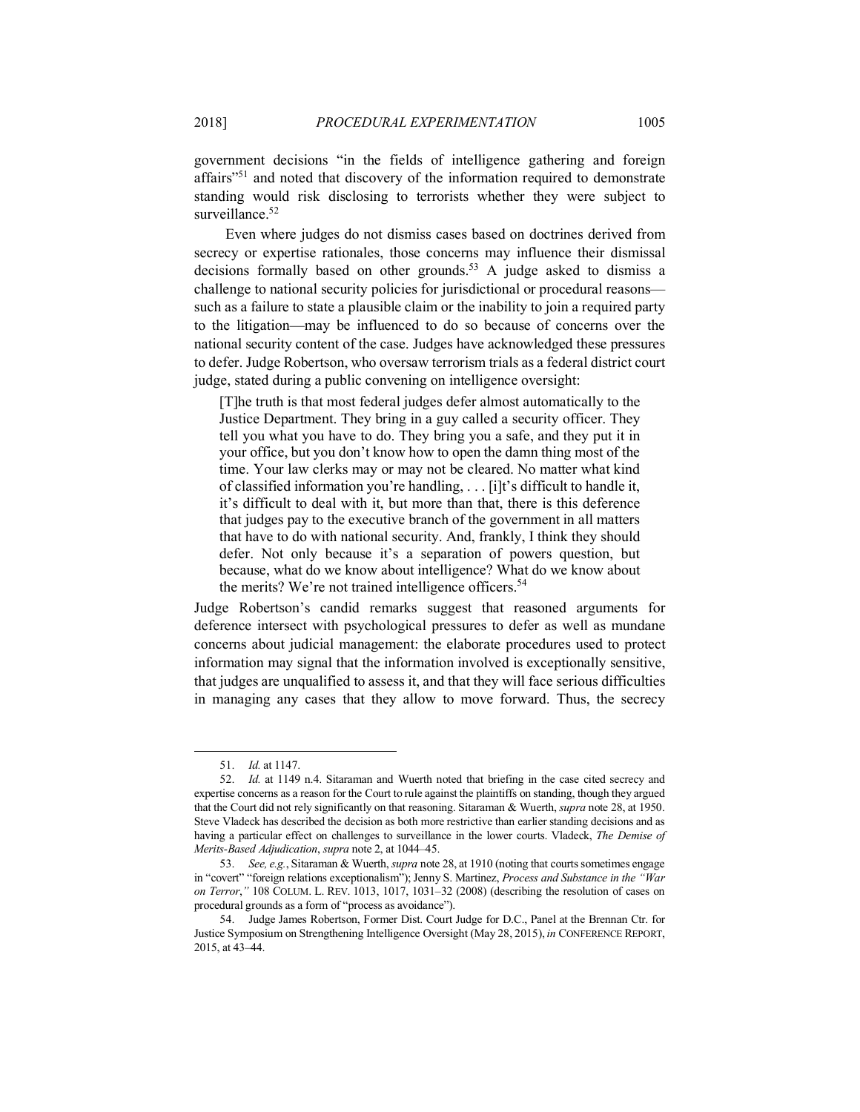government decisions "in the fields of intelligence gathering and foreign affairs"51 and noted that discovery of the information required to demonstrate standing would risk disclosing to terrorists whether they were subject to surveillance.<sup>52</sup>

Even where judges do not dismiss cases based on doctrines derived from secrecy or expertise rationales, those concerns may influence their dismissal decisions formally based on other grounds.<sup>53</sup> A judge asked to dismiss a challenge to national security policies for jurisdictional or procedural reasons such as a failure to state a plausible claim or the inability to join a required party to the litigation—may be influenced to do so because of concerns over the national security content of the case. Judges have acknowledged these pressures to defer. Judge Robertson, who oversaw terrorism trials as a federal district court judge, stated during a public convening on intelligence oversight:

[T]he truth is that most federal judges defer almost automatically to the Justice Department. They bring in a guy called a security officer. They tell you what you have to do. They bring you a safe, and they put it in your office, but you don't know how to open the damn thing most of the time. Your law clerks may or may not be cleared. No matter what kind of classified information you're handling, . . . [i]t's difficult to handle it, it's difficult to deal with it, but more than that, there is this deference that judges pay to the executive branch of the government in all matters that have to do with national security. And, frankly, I think they should defer. Not only because it's a separation of powers question, but because, what do we know about intelligence? What do we know about the merits? We're not trained intelligence officers.<sup>54</sup>

Judge Robertson's candid remarks suggest that reasoned arguments for deference intersect with psychological pressures to defer as well as mundane concerns about judicial management: the elaborate procedures used to protect information may signal that the information involved is exceptionally sensitive, that judges are unqualified to assess it, and that they will face serious difficulties in managing any cases that they allow to move forward. Thus, the secrecy

 <sup>51.</sup> *Id.* at 1147.

<sup>52.</sup> *Id.* at 1149 n.4. Sitaraman and Wuerth noted that briefing in the case cited secrecy and expertise concerns as a reason for the Court to rule against the plaintiffs on standing, though they argued that the Court did not rely significantly on that reasoning. Sitaraman & Wuerth, *supra* note 28, at 1950. Steve Vladeck has described the decision as both more restrictive than earlier standing decisions and as having a particular effect on challenges to surveillance in the lower courts. Vladeck, *The Demise of Merits-Based Adjudication*, *supra* note 2, at 1044–45.

<sup>53.</sup> *See, e.g.*, Sitaraman & Wuerth, *supra* note 28, at 1910 (noting that courts sometimes engage in "covert" "foreign relations exceptionalism"); Jenny S. Martinez, *Process and Substance in the "War on Terror*,*"* 108 COLUM. L. REV. 1013, 1017, 1031–32 (2008) (describing the resolution of cases on procedural grounds as a form of "process as avoidance").

<sup>54.</sup> Judge James Robertson, Former Dist. Court Judge for D.C., Panel at the Brennan Ctr. for Justice Symposium on Strengthening Intelligence Oversight (May 28, 2015), *in* CONFERENCE REPORT, 2015, at 43–44.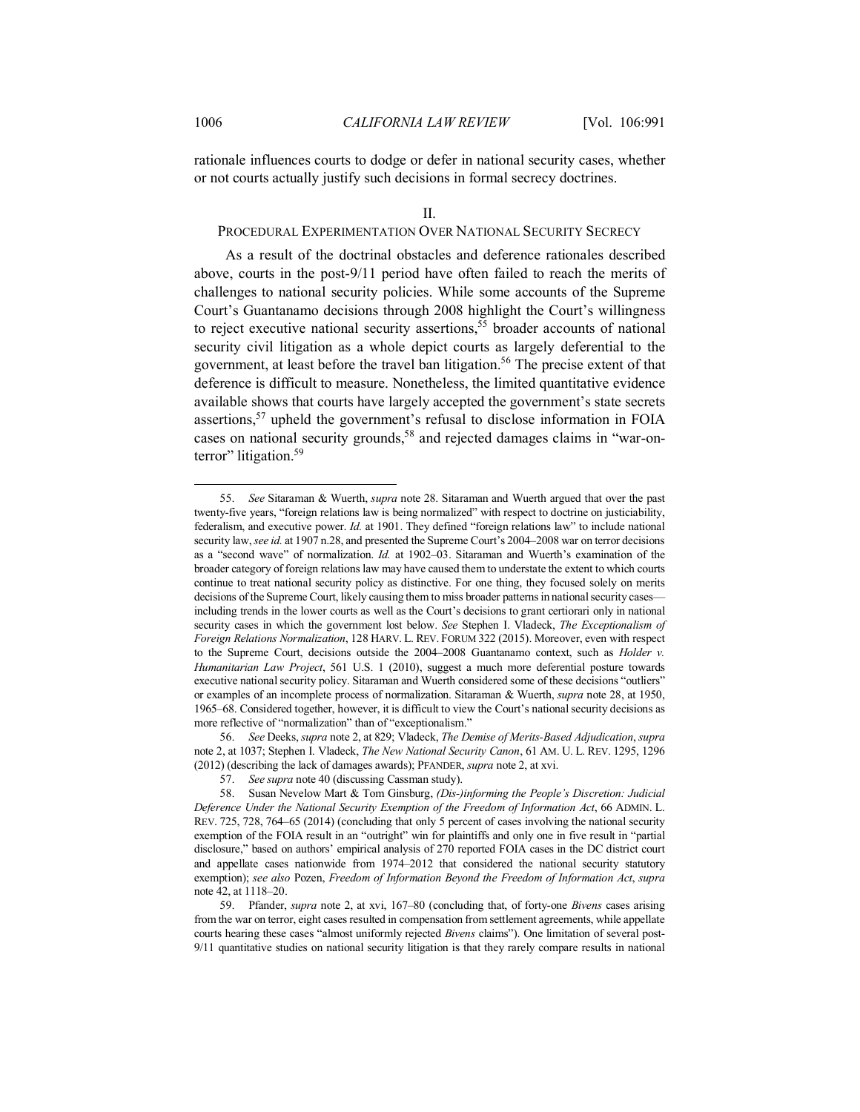rationale influences courts to dodge or defer in national security cases, whether or not courts actually justify such decisions in formal secrecy doctrines.

II.

#### PROCEDURAL EXPERIMENTATION OVER NATIONAL SECURITY SECRECY

As a result of the doctrinal obstacles and deference rationales described above, courts in the post-9/11 period have often failed to reach the merits of challenges to national security policies. While some accounts of the Supreme Court's Guantanamo decisions through 2008 highlight the Court's willingness to reject executive national security assertions, $55$  broader accounts of national security civil litigation as a whole depict courts as largely deferential to the government, at least before the travel ban litigation.<sup>56</sup> The precise extent of that deference is difficult to measure. Nonetheless, the limited quantitative evidence available shows that courts have largely accepted the government's state secrets assertions,57 upheld the government's refusal to disclose information in FOIA cases on national security grounds,<sup>58</sup> and rejected damages claims in "war-onterror" litigation.<sup>59</sup>

<sup>55.</sup> *See* Sitaraman & Wuerth, *supra* note 28. Sitaraman and Wuerth argued that over the past twenty-five years, "foreign relations law is being normalized" with respect to doctrine on justiciability, federalism, and executive power. *Id.* at 1901. They defined "foreign relations law" to include national security law, *see id.* at 1907 n.28, and presented the Supreme Court's 2004–2008 war on terror decisions as a "second wave" of normalization. *Id.* at 1902–03. Sitaraman and Wuerth's examination of the broader category of foreign relations law may have caused them to understate the extent to which courts continue to treat national security policy as distinctive. For one thing, they focused solely on merits decisions of the Supreme Court, likely causing them to miss broader patterns in national security cases including trends in the lower courts as well as the Court's decisions to grant certiorari only in national security cases in which the government lost below. *See* Stephen I. Vladeck, *The Exceptionalism of Foreign Relations Normalization*, 128 HARV. L. REV. FORUM 322 (2015). Moreover, even with respect to the Supreme Court, decisions outside the 2004–2008 Guantanamo context, such as *Holder v. Humanitarian Law Project*, 561 U.S. 1 (2010), suggest a much more deferential posture towards executive national security policy. Sitaraman and Wuerth considered some of these decisions "outliers" or examples of an incomplete process of normalization. Sitaraman & Wuerth, *supra* note 28, at 1950, 1965–68. Considered together, however, it is difficult to view the Court's national security decisions as more reflective of "normalization" than of "exceptionalism."

<sup>56.</sup> *See* Deeks, *supra* note 2, at 829; Vladeck, *The Demise of Merits-Based Adjudication*, *supra* note 2, at 1037; Stephen I. Vladeck, *The New National Security Canon*, 61 AM. U. L. REV. 1295, 1296 (2012) (describing the lack of damages awards); PFANDER, *supra* note 2, at xvi.

<sup>57.</sup> *See supra* note 40 (discussing Cassman study).

<sup>58.</sup> Susan Nevelow Mart & Tom Ginsburg, *(Dis-)informing the People's Discretion: Judicial Deference Under the National Security Exemption of the Freedom of Information Act*, 66 ADMIN. L. REV. 725, 728, 764–65 (2014) (concluding that only 5 percent of cases involving the national security exemption of the FOIA result in an "outright" win for plaintiffs and only one in five result in "partial disclosure," based on authors' empirical analysis of 270 reported FOIA cases in the DC district court and appellate cases nationwide from 1974–2012 that considered the national security statutory exemption); *see also* Pozen, *Freedom of Information Beyond the Freedom of Information Act*, *supra* note 42, at 1118–20.

<sup>59.</sup> Pfander, *supra* note 2, at xvi, 167–80 (concluding that, of forty-one *Bivens* cases arising from the war on terror, eight cases resulted in compensation from settlement agreements, while appellate courts hearing these cases "almost uniformly rejected *Bivens* claims"). One limitation of several post-9/11 quantitative studies on national security litigation is that they rarely compare results in national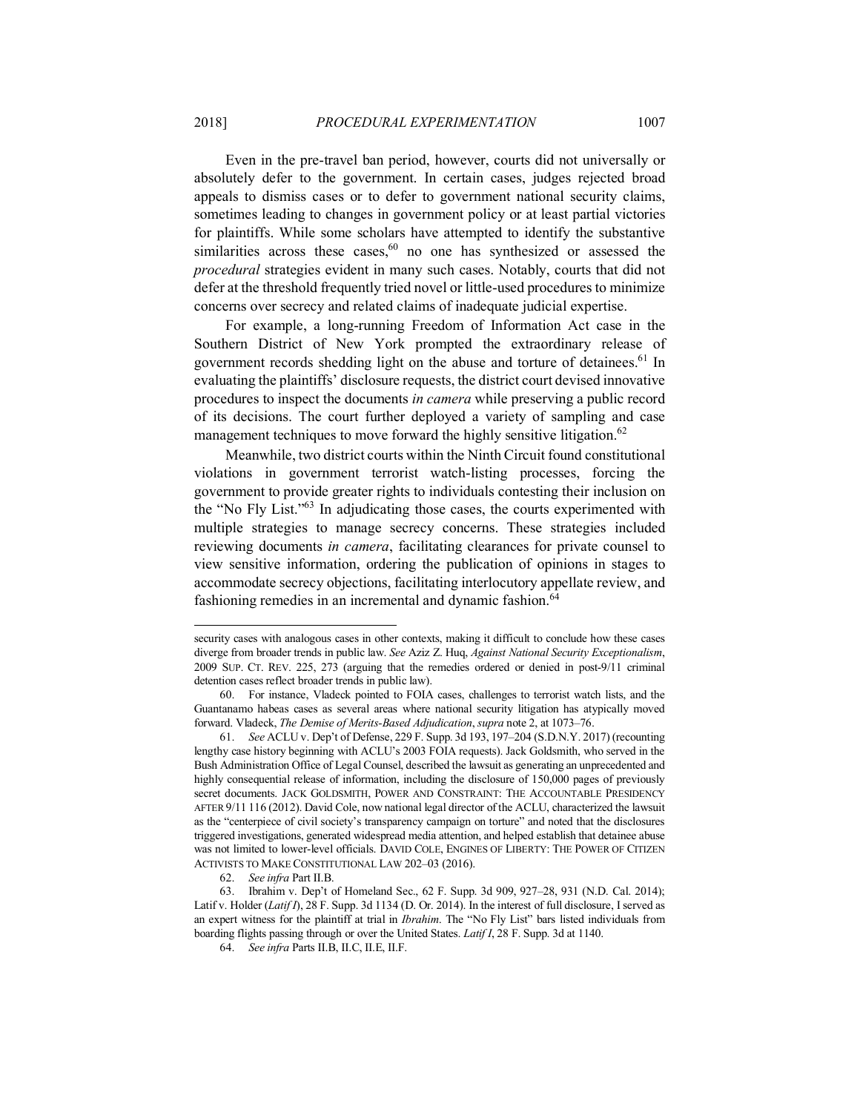Even in the pre-travel ban period, however, courts did not universally or absolutely defer to the government. In certain cases, judges rejected broad appeals to dismiss cases or to defer to government national security claims, sometimes leading to changes in government policy or at least partial victories for plaintiffs. While some scholars have attempted to identify the substantive similarities across these cases, $60$  no one has synthesized or assessed the *procedural* strategies evident in many such cases. Notably, courts that did not defer at the threshold frequently tried novel or little-used procedures to minimize concerns over secrecy and related claims of inadequate judicial expertise.

For example, a long-running Freedom of Information Act case in the Southern District of New York prompted the extraordinary release of government records shedding light on the abuse and torture of detainees.<sup>61</sup> In evaluating the plaintiffs' disclosure requests, the district court devised innovative procedures to inspect the documents *in camera* while preserving a public record of its decisions. The court further deployed a variety of sampling and case management techniques to move forward the highly sensitive litigation.<sup>62</sup>

Meanwhile, two district courts within the Ninth Circuit found constitutional violations in government terrorist watch-listing processes, forcing the government to provide greater rights to individuals contesting their inclusion on the "No Fly List."63 In adjudicating those cases, the courts experimented with multiple strategies to manage secrecy concerns. These strategies included reviewing documents *in camera*, facilitating clearances for private counsel to view sensitive information, ordering the publication of opinions in stages to accommodate secrecy objections, facilitating interlocutory appellate review, and fashioning remedies in an incremental and dynamic fashion.<sup>64</sup>

security cases with analogous cases in other contexts, making it difficult to conclude how these cases diverge from broader trends in public law. *See* Aziz Z. Huq, *Against National Security Exceptionalism*, 2009 SUP. CT. REV. 225, 273 (arguing that the remedies ordered or denied in post-9/11 criminal detention cases reflect broader trends in public law).

<sup>60.</sup> For instance, Vladeck pointed to FOIA cases, challenges to terrorist watch lists, and the Guantanamo habeas cases as several areas where national security litigation has atypically moved forward. Vladeck, *The Demise of Merits-Based Adjudication*, *supra* note 2, at 1073–76.

<sup>61.</sup> *See* ACLU v. Dep't of Defense, 229 F. Supp. 3d 193, 197–204 (S.D.N.Y. 2017) (recounting lengthy case history beginning with ACLU's 2003 FOIA requests). Jack Goldsmith, who served in the Bush Administration Office of Legal Counsel, described the lawsuit as generating an unprecedented and highly consequential release of information, including the disclosure of 150,000 pages of previously secret documents. JACK GOLDSMITH, POWER AND CONSTRAINT: THE ACCOUNTABLE PRESIDENCY AFTER 9/11 116 (2012). David Cole, now national legal director of the ACLU, characterized the lawsuit as the "centerpiece of civil society's transparency campaign on torture" and noted that the disclosures triggered investigations, generated widespread media attention, and helped establish that detainee abuse was not limited to lower-level officials. DAVID COLE, ENGINES OF LIBERTY: THE POWER OF CITIZEN ACTIVISTS TO MAKE CONSTITUTIONAL LAW 202–03 (2016).

<sup>62.</sup> *See infra* Part II.B.

<sup>63.</sup> Ibrahim v. Dep't of Homeland Sec., 62 F. Supp. 3d 909, 927–28, 931 (N.D. Cal. 2014); Latif v. Holder (*Latif I*), 28 F. Supp. 3d 1134 (D. Or. 2014). In the interest of full disclosure, I served as an expert witness for the plaintiff at trial in *Ibrahim*. The "No Fly List" bars listed individuals from boarding flights passing through or over the United States. *Latif I*, 28 F. Supp. 3d at 1140.

<sup>64.</sup> *See infra* Parts II.B, II.C, II.E, II.F.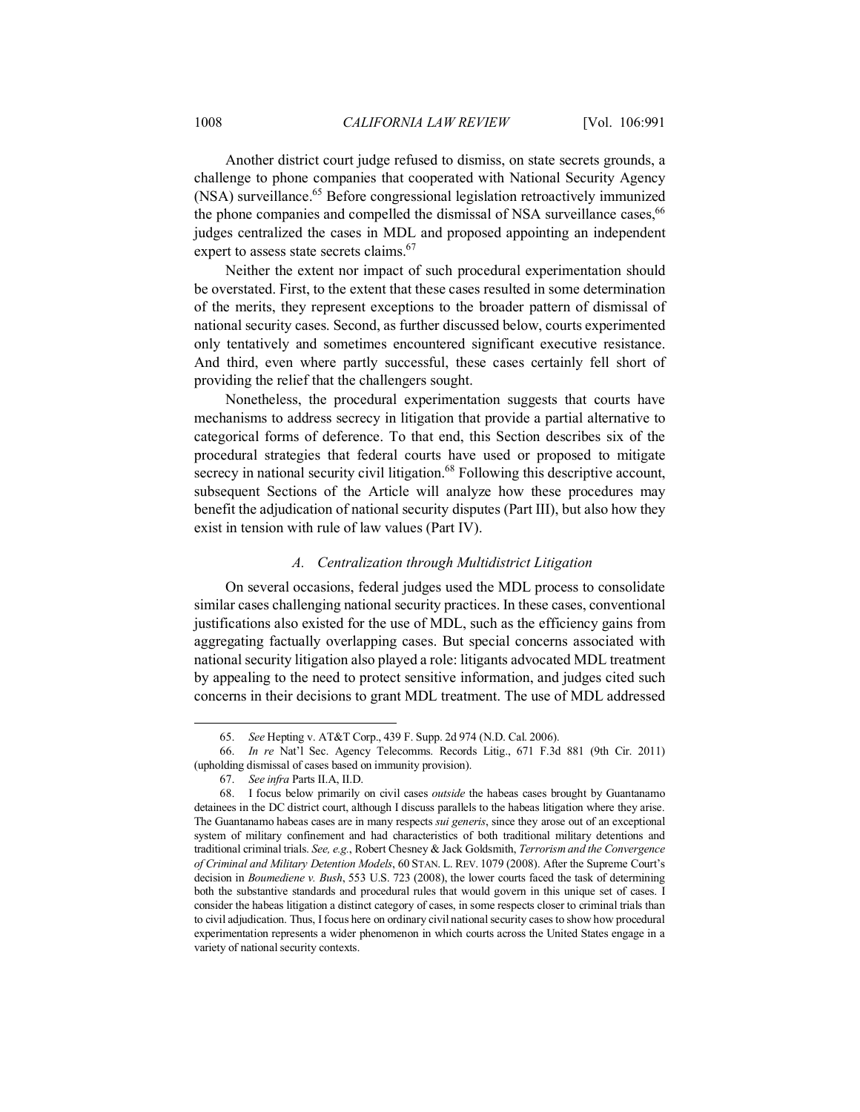Another district court judge refused to dismiss, on state secrets grounds, a challenge to phone companies that cooperated with National Security Agency (NSA) surveillance.65 Before congressional legislation retroactively immunized the phone companies and compelled the dismissal of NSA surveillance cases, <sup>66</sup> judges centralized the cases in MDL and proposed appointing an independent expert to assess state secrets claims.<sup>67</sup>

Neither the extent nor impact of such procedural experimentation should be overstated. First, to the extent that these cases resulted in some determination of the merits, they represent exceptions to the broader pattern of dismissal of national security cases. Second, as further discussed below, courts experimented only tentatively and sometimes encountered significant executive resistance. And third, even where partly successful, these cases certainly fell short of providing the relief that the challengers sought.

Nonetheless, the procedural experimentation suggests that courts have mechanisms to address secrecy in litigation that provide a partial alternative to categorical forms of deference. To that end, this Section describes six of the procedural strategies that federal courts have used or proposed to mitigate secrecy in national security civil litigation.<sup>68</sup> Following this descriptive account, subsequent Sections of the Article will analyze how these procedures may benefit the adjudication of national security disputes (Part III), but also how they exist in tension with rule of law values (Part IV).

# *A. Centralization through Multidistrict Litigation*

On several occasions, federal judges used the MDL process to consolidate similar cases challenging national security practices. In these cases, conventional justifications also existed for the use of MDL, such as the efficiency gains from aggregating factually overlapping cases. But special concerns associated with national security litigation also played a role: litigants advocated MDL treatment by appealing to the need to protect sensitive information, and judges cited such concerns in their decisions to grant MDL treatment. The use of MDL addressed

<sup>65.</sup> *See* Hepting v. AT&T Corp., 439 F. Supp. 2d 974 (N.D. Cal. 2006).

<sup>66.</sup> *In re* Nat'l Sec. Agency Telecomms. Records Litig., 671 F.3d 881 (9th Cir. 2011) (upholding dismissal of cases based on immunity provision).

<sup>67.</sup> *See infra* Parts II.A, II.D.

<sup>68.</sup> I focus below primarily on civil cases *outside* the habeas cases brought by Guantanamo detainees in the DC district court, although I discuss parallels to the habeas litigation where they arise. The Guantanamo habeas cases are in many respects *sui generis*, since they arose out of an exceptional system of military confinement and had characteristics of both traditional military detentions and traditional criminal trials. *See, e.g.*, Robert Chesney & Jack Goldsmith, *Terrorism and the Convergence of Criminal and Military Detention Models*, 60 STAN. L. REV. 1079 (2008). After the Supreme Court's decision in *Boumediene v. Bush*, 553 U.S. 723 (2008), the lower courts faced the task of determining both the substantive standards and procedural rules that would govern in this unique set of cases. I consider the habeas litigation a distinct category of cases, in some respects closer to criminal trials than to civil adjudication. Thus, I focus here on ordinary civil national security cases to show how procedural experimentation represents a wider phenomenon in which courts across the United States engage in a variety of national security contexts.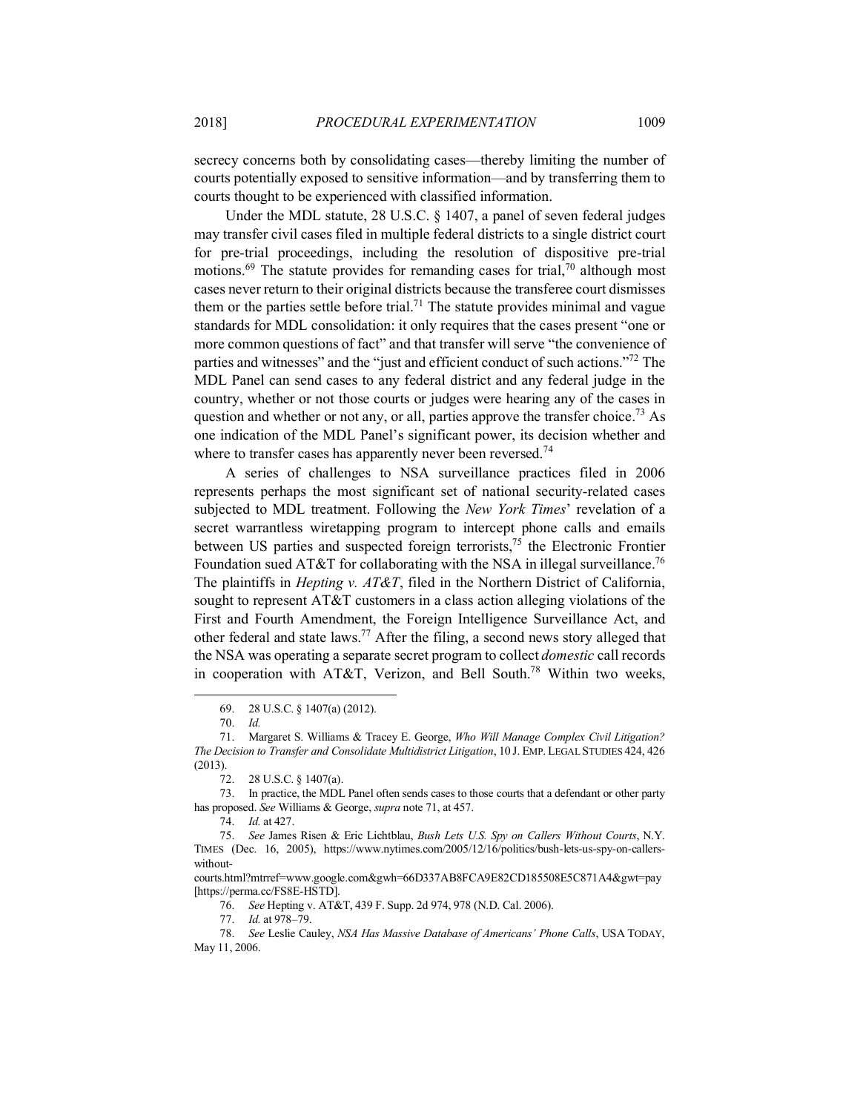secrecy concerns both by consolidating cases—thereby limiting the number of courts potentially exposed to sensitive information—and by transferring them to courts thought to be experienced with classified information.

Under the MDL statute, 28 U.S.C. § 1407, a panel of seven federal judges may transfer civil cases filed in multiple federal districts to a single district court for pre-trial proceedings, including the resolution of dispositive pre-trial motions.<sup>69</sup> The statute provides for remanding cases for trial,<sup>70</sup> although most cases never return to their original districts because the transferee court dismisses them or the parties settle before trial.<sup>71</sup> The statute provides minimal and vague standards for MDL consolidation: it only requires that the cases present "one or more common questions of fact" and that transfer will serve "the convenience of parties and witnesses" and the "just and efficient conduct of such actions."72 The MDL Panel can send cases to any federal district and any federal judge in the country, whether or not those courts or judges were hearing any of the cases in question and whether or not any, or all, parties approve the transfer choice.<sup>73</sup> As one indication of the MDL Panel's significant power, its decision whether and where to transfer cases has apparently never been reversed.<sup>74</sup>

A series of challenges to NSA surveillance practices filed in 2006 represents perhaps the most significant set of national security-related cases subjected to MDL treatment. Following the *New York Times*' revelation of a secret warrantless wiretapping program to intercept phone calls and emails between US parties and suspected foreign terrorists,75 the Electronic Frontier Foundation sued AT&T for collaborating with the NSA in illegal surveillance.<sup>76</sup> The plaintiffs in *Hepting v. AT&T*, filed in the Northern District of California, sought to represent AT&T customers in a class action alleging violations of the First and Fourth Amendment, the Foreign Intelligence Surveillance Act, and other federal and state laws.<sup>77</sup> After the filing, a second news story alleged that the NSA was operating a separate secret program to collect *domestic* call records in cooperation with AT&T, Verizon, and Bell South.<sup>78</sup> Within two weeks,

l

74. *Id.* at 427.

courts.html?mtrref=www.google.com&gwh=66D337AB8FCA9E82CD185508E5C871A4&gwt=pay [https://perma.cc/FS8E-HSTD].

76. *See* Hepting v. AT&T, 439 F. Supp. 2d 974, 978 (N.D. Cal. 2006).

77. *Id.* at 978–79.

<sup>69.</sup> 28 U.S.C. § 1407(a) (2012).

<sup>70.</sup> *Id.*

<sup>71.</sup> Margaret S. Williams & Tracey E. George, *Who Will Manage Complex Civil Litigation? The Decision to Transfer and Consolidate Multidistrict Litigation*, 10 J. EMP. LEGAL STUDIES 424, 426 (2013).

<sup>72.</sup> 28 U.S.C. § 1407(a).

<sup>73.</sup> In practice, the MDL Panel often sends cases to those courts that a defendant or other party has proposed. *See* Williams & George, *supra* note 71, at 457.

<sup>75.</sup> *See* James Risen & Eric Lichtblau, *Bush Lets U.S. Spy on Callers Without Courts*, N.Y. TIMES (Dec. 16, 2005), https://www.nytimes.com/2005/12/16/politics/bush-lets-us-spy-on-callerswithout-

<sup>78.</sup> *See* Leslie Cauley, *NSA Has Massive Database of Americans' Phone Calls*, USA TODAY, May 11, 2006.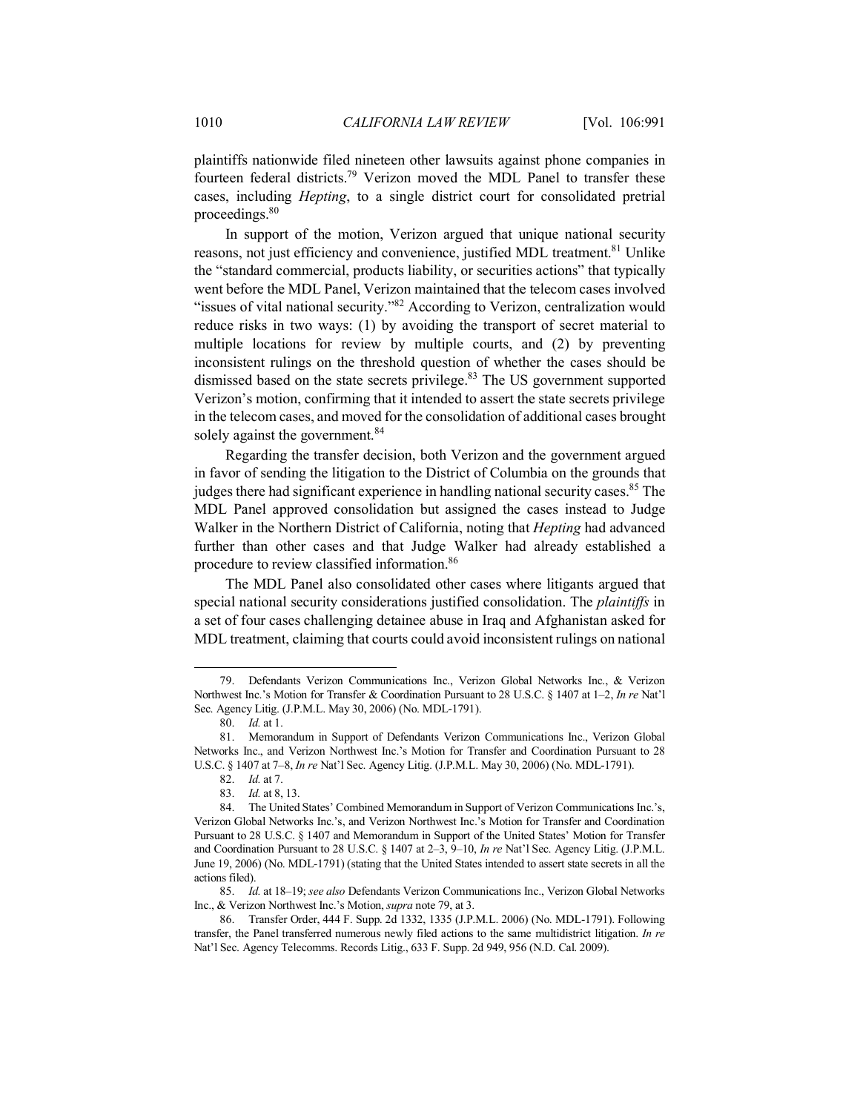plaintiffs nationwide filed nineteen other lawsuits against phone companies in fourteen federal districts.<sup>79</sup> Verizon moved the MDL Panel to transfer these cases, including *Hepting*, to a single district court for consolidated pretrial proceedings.80

In support of the motion, Verizon argued that unique national security reasons, not just efficiency and convenience, justified MDL treatment.<sup>81</sup> Unlike the "standard commercial, products liability, or securities actions" that typically went before the MDL Panel, Verizon maintained that the telecom cases involved "issues of vital national security."82 According to Verizon, centralization would reduce risks in two ways: (1) by avoiding the transport of secret material to multiple locations for review by multiple courts, and (2) by preventing inconsistent rulings on the threshold question of whether the cases should be dismissed based on the state secrets privilege. $83$  The US government supported Verizon's motion, confirming that it intended to assert the state secrets privilege in the telecom cases, and moved for the consolidation of additional cases brought solely against the government.<sup>84</sup>

Regarding the transfer decision, both Verizon and the government argued in favor of sending the litigation to the District of Columbia on the grounds that judges there had significant experience in handling national security cases.<sup>85</sup> The MDL Panel approved consolidation but assigned the cases instead to Judge Walker in the Northern District of California, noting that *Hepting* had advanced further than other cases and that Judge Walker had already established a procedure to review classified information.86

The MDL Panel also consolidated other cases where litigants argued that special national security considerations justified consolidation. The *plaintiffs* in a set of four cases challenging detainee abuse in Iraq and Afghanistan asked for MDL treatment, claiming that courts could avoid inconsistent rulings on national

 <sup>79.</sup> Defendants Verizon Communications Inc., Verizon Global Networks Inc., & Verizon Northwest Inc.'s Motion for Transfer & Coordination Pursuant to 28 U.S.C. § 1407 at 1–2, *In re* Nat'l Sec. Agency Litig. (J.P.M.L. May 30, 2006) (No. MDL-1791).

<sup>80.</sup> *Id.* at 1.

<sup>81.</sup> Memorandum in Support of Defendants Verizon Communications Inc., Verizon Global Networks Inc., and Verizon Northwest Inc.'s Motion for Transfer and Coordination Pursuant to 28 U.S.C. § 1407 at 7–8, *In re* Nat'l Sec. Agency Litig. (J.P.M.L. May 30, 2006) (No. MDL-1791).

<sup>82.</sup> *Id.* at 7.

<sup>83.</sup> *Id.* at 8, 13.

<sup>84.</sup> The United States' Combined Memorandum in Support of Verizon Communications Inc.'s, Verizon Global Networks Inc.'s, and Verizon Northwest Inc.'s Motion for Transfer and Coordination Pursuant to 28 U.S.C. § 1407 and Memorandum in Support of the United States' Motion for Transfer and Coordination Pursuant to 28 U.S.C. § 1407 at 2–3, 9–10, *In re* Nat'l Sec. Agency Litig. (J.P.M.L. June 19, 2006) (No. MDL-1791) (stating that the United States intended to assert state secrets in all the actions filed).

<sup>85.</sup> *Id.* at 18–19; *see also* Defendants Verizon Communications Inc., Verizon Global Networks Inc., & Verizon Northwest Inc.'s Motion, *supra* note 79, at 3.

<sup>86.</sup> Transfer Order, 444 F. Supp. 2d 1332, 1335 (J.P.M.L. 2006) (No. MDL-1791). Following transfer, the Panel transferred numerous newly filed actions to the same multidistrict litigation. *In re* Nat'l Sec. Agency Telecomms. Records Litig., 633 F. Supp. 2d 949, 956 (N.D. Cal. 2009).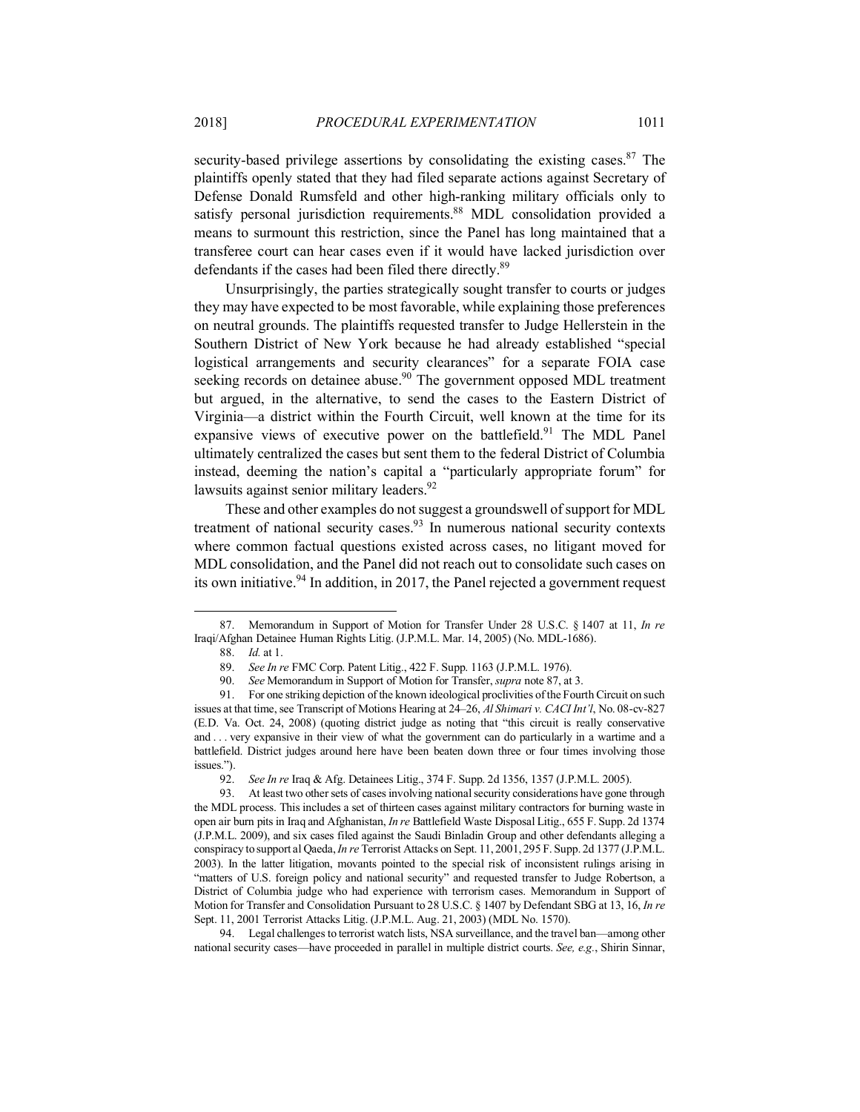security-based privilege assertions by consolidating the existing cases. $87$  The plaintiffs openly stated that they had filed separate actions against Secretary of Defense Donald Rumsfeld and other high-ranking military officials only to satisfy personal jurisdiction requirements.<sup>88</sup> MDL consolidation provided a means to surmount this restriction, since the Panel has long maintained that a transferee court can hear cases even if it would have lacked jurisdiction over defendants if the cases had been filed there directly.<sup>89</sup>

Unsurprisingly, the parties strategically sought transfer to courts or judges they may have expected to be most favorable, while explaining those preferences on neutral grounds. The plaintiffs requested transfer to Judge Hellerstein in the Southern District of New York because he had already established "special logistical arrangements and security clearances" for a separate FOIA case seeking records on detainee abuse.<sup>90</sup> The government opposed MDL treatment but argued, in the alternative, to send the cases to the Eastern District of Virginia—a district within the Fourth Circuit, well known at the time for its expansive views of executive power on the battlefield.<sup>91</sup> The MDL Panel ultimately centralized the cases but sent them to the federal District of Columbia instead, deeming the nation's capital a "particularly appropriate forum" for lawsuits against senior military leaders.<sup>92</sup>

These and other examples do not suggest a groundswell of support for MDL treatment of national security cases.<sup>93</sup> In numerous national security contexts where common factual questions existed across cases, no litigant moved for MDL consolidation, and the Panel did not reach out to consolidate such cases on its own initiative.<sup>94</sup> In addition, in 2017, the Panel rejected a government request

l

94. Legal challenges to terrorist watch lists, NSA surveillance, and the travel ban—among other national security cases—have proceeded in parallel in multiple district courts. *See, e.g.*, Shirin Sinnar,

<sup>87.</sup> Memorandum in Support of Motion for Transfer Under 28 U.S.C. § 1407 at 11, *In re* Iraqi/Afghan Detainee Human Rights Litig. (J.P.M.L. Mar. 14, 2005) (No. MDL-1686).

<sup>88.</sup> *Id.* at 1.

<sup>89.</sup> *See In re* FMC Corp. Patent Litig., 422 F. Supp. 1163 (J.P.M.L. 1976).

<sup>90.</sup> *See* Memorandum in Support of Motion for Transfer, *supra* note 87, at 3.

<sup>91.</sup> For one striking depiction of the known ideological proclivities of the Fourth Circuit on such issues at that time, see Transcript of Motions Hearing at 24–26, *Al Shimari v. CACI Int'l*, No. 08-cv-827 (E.D. Va. Oct. 24, 2008) (quoting district judge as noting that "this circuit is really conservative and . . . very expansive in their view of what the government can do particularly in a wartime and a battlefield. District judges around here have been beaten down three or four times involving those issues.").

<sup>92.</sup> *See In re* Iraq & Afg. Detainees Litig., 374 F. Supp. 2d 1356, 1357 (J.P.M.L. 2005).

<sup>93.</sup> At least two other sets of cases involving national security considerations have gone through the MDL process. This includes a set of thirteen cases against military contractors for burning waste in open air burn pits in Iraq and Afghanistan, *In re* Battlefield Waste Disposal Litig., 655 F. Supp. 2d 1374 (J.P.M.L. 2009), and six cases filed against the Saudi Binladin Group and other defendants alleging a conspiracy to support al Qaeda, *In re* Terrorist Attacks on Sept. 11, 2001, 295 F. Supp. 2d 1377 (J.P.M.L. 2003). In the latter litigation, movants pointed to the special risk of inconsistent rulings arising in "matters of U.S. foreign policy and national security" and requested transfer to Judge Robertson, a District of Columbia judge who had experience with terrorism cases. Memorandum in Support of Motion for Transfer and Consolidation Pursuant to 28 U.S.C. § 1407 by Defendant SBG at 13, 16, *In re* Sept. 11, 2001 Terrorist Attacks Litig. (J.P.M.L. Aug. 21, 2003) (MDL No. 1570).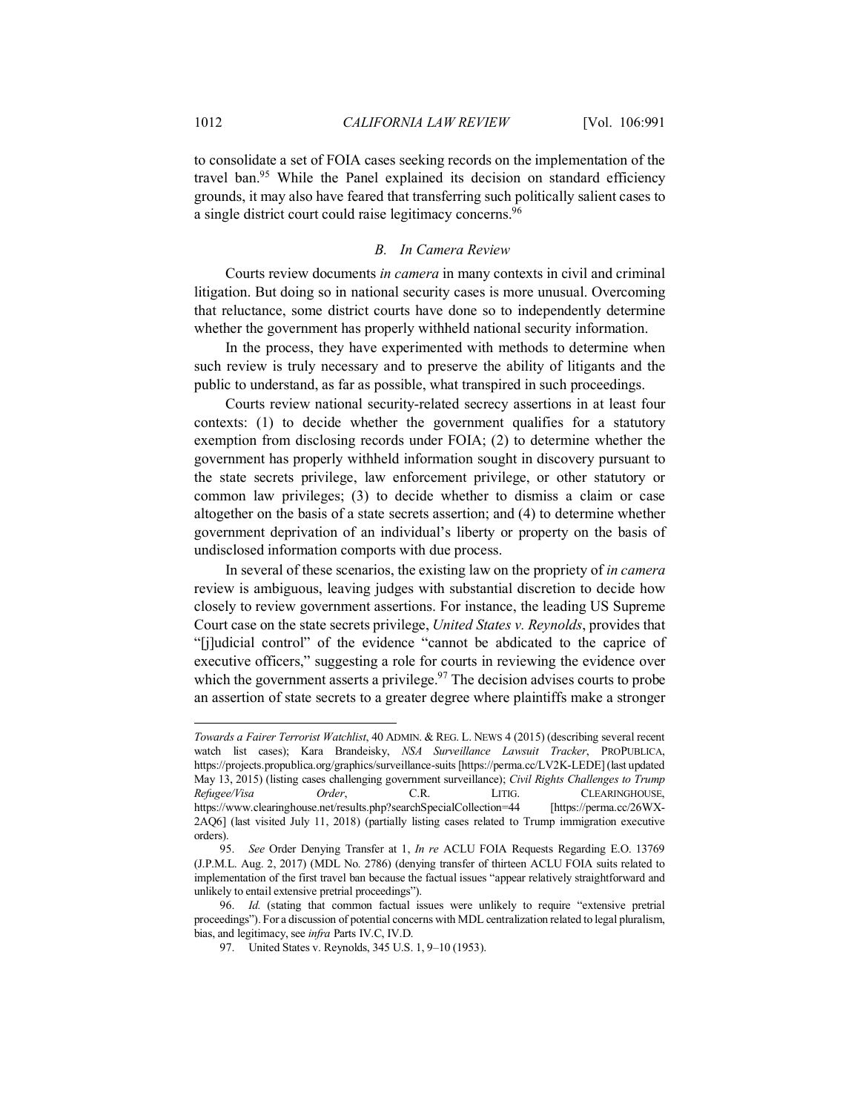to consolidate a set of FOIA cases seeking records on the implementation of the travel ban.<sup>95</sup> While the Panel explained its decision on standard efficiency grounds, it may also have feared that transferring such politically salient cases to a single district court could raise legitimacy concerns.<sup>96</sup>

#### *B. In Camera Review*

Courts review documents *in camera* in many contexts in civil and criminal litigation. But doing so in national security cases is more unusual. Overcoming that reluctance, some district courts have done so to independently determine whether the government has properly withheld national security information.

In the process, they have experimented with methods to determine when such review is truly necessary and to preserve the ability of litigants and the public to understand, as far as possible, what transpired in such proceedings.

Courts review national security-related secrecy assertions in at least four contexts: (1) to decide whether the government qualifies for a statutory exemption from disclosing records under FOIA; (2) to determine whether the government has properly withheld information sought in discovery pursuant to the state secrets privilege, law enforcement privilege, or other statutory or common law privileges; (3) to decide whether to dismiss a claim or case altogether on the basis of a state secrets assertion; and (4) to determine whether government deprivation of an individual's liberty or property on the basis of undisclosed information comports with due process.

In several of these scenarios, the existing law on the propriety of *in camera* review is ambiguous, leaving judges with substantial discretion to decide how closely to review government assertions. For instance, the leading US Supreme Court case on the state secrets privilege, *United States v. Reynolds*, provides that "[j]udicial control" of the evidence "cannot be abdicated to the caprice of executive officers," suggesting a role for courts in reviewing the evidence over which the government asserts a privilege.<sup>97</sup> The decision advises courts to probe an assertion of state secrets to a greater degree where plaintiffs make a stronger

*Towards a Fairer Terrorist Watchlist*, 40 ADMIN. & REG. L. NEWS 4 (2015) (describing several recent watch list cases); Kara Brandeisky, *NSA Surveillance Lawsuit Tracker*, PROPUBLICA, https://projects.propublica.org/graphics/surveillance-suits [https://perma.cc/LV2K-LEDE](last updated May 13, 2015) (listing cases challenging government surveillance); *Civil Rights Challenges to Trump Refugee/Visa Order*, C.R. LITIG. CLEARINGHOUSE, https://www.clearinghouse.net/results.php?searchSpecialCollection=44 [https://perma.cc/26WX-2AQ6] (last visited July 11, 2018) (partially listing cases related to Trump immigration executive orders).

<sup>95.</sup> *See* Order Denying Transfer at 1, *In re* ACLU FOIA Requests Regarding E.O. 13769 (J.P.M.L. Aug. 2, 2017) (MDL No. 2786) (denying transfer of thirteen ACLU FOIA suits related to implementation of the first travel ban because the factual issues "appear relatively straightforward and unlikely to entail extensive pretrial proceedings").

<sup>96.</sup> *Id.* (stating that common factual issues were unlikely to require "extensive pretrial proceedings"). For a discussion of potential concerns with MDL centralization related to legal pluralism, bias, and legitimacy, see *infra* Parts IV.C, IV.D.

<sup>97.</sup> United States v. Reynolds, 345 U.S. 1, 9–10 (1953).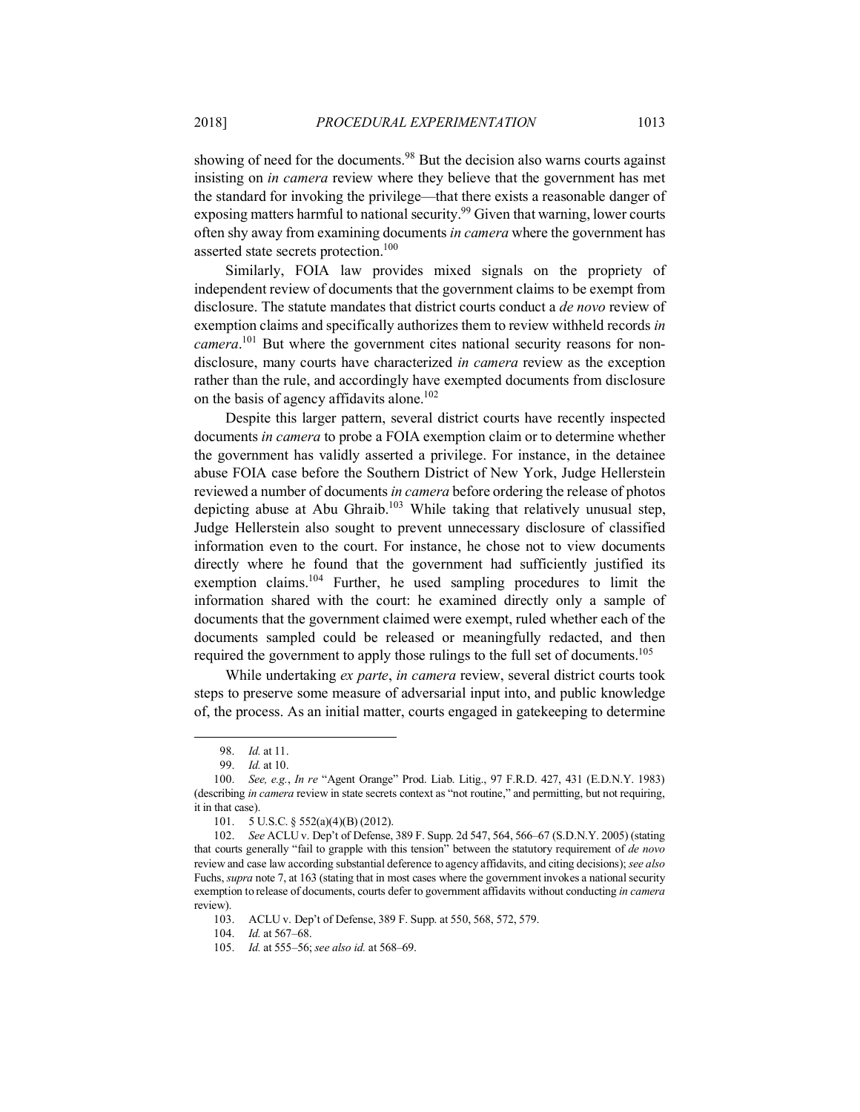showing of need for the documents.<sup>98</sup> But the decision also warns courts against insisting on *in camera* review where they believe that the government has met the standard for invoking the privilege—that there exists a reasonable danger of exposing matters harmful to national security.<sup>99</sup> Given that warning, lower courts often shy away from examining documents *in camera* where the government has asserted state secrets protection.100

Similarly, FOIA law provides mixed signals on the propriety of independent review of documents that the government claims to be exempt from disclosure. The statute mandates that district courts conduct a *de novo* review of exemption claims and specifically authorizes them to review withheld records *in camera*. <sup>101</sup> But where the government cites national security reasons for nondisclosure, many courts have characterized *in camera* review as the exception rather than the rule, and accordingly have exempted documents from disclosure on the basis of agency affidavits alone.<sup>102</sup>

Despite this larger pattern, several district courts have recently inspected documents *in camera* to probe a FOIA exemption claim or to determine whether the government has validly asserted a privilege. For instance, in the detainee abuse FOIA case before the Southern District of New York, Judge Hellerstein reviewed a number of documents *in camera* before ordering the release of photos depicting abuse at Abu Ghraib.<sup>103</sup> While taking that relatively unusual step, Judge Hellerstein also sought to prevent unnecessary disclosure of classified information even to the court. For instance, he chose not to view documents directly where he found that the government had sufficiently justified its exemption claims.<sup>104</sup> Further, he used sampling procedures to limit the information shared with the court: he examined directly only a sample of documents that the government claimed were exempt, ruled whether each of the documents sampled could be released or meaningfully redacted, and then required the government to apply those rulings to the full set of documents.<sup>105</sup>

While undertaking *ex parte*, *in camera* review, several district courts took steps to preserve some measure of adversarial input into, and public knowledge of, the process. As an initial matter, courts engaged in gatekeeping to determine

<sup>98.</sup> *Id.* at 11.

<sup>99.</sup> *Id.* at 10.

<sup>100.</sup> *See, e.g.*, *In re* "Agent Orange" Prod. Liab. Litig., 97 F.R.D. 427, 431 (E.D.N.Y. 1983) (describing *in camera* review in state secrets context as "not routine," and permitting, but not requiring, it in that case).

<sup>101.</sup> 5 U.S.C. § 552(a)(4)(B) (2012).

<sup>102.</sup> *See* ACLU v. Dep't of Defense, 389 F. Supp. 2d 547, 564, 566–67 (S.D.N.Y. 2005) (stating that courts generally "fail to grapple with this tension" between the statutory requirement of *de novo* review and case law according substantial deference to agency affidavits, and citing decisions); *see also* Fuchs, *supra* note 7, at 163 (stating that in most cases where the government invokes a national security exemption to release of documents, courts defer to government affidavits without conducting *in camera* review).

<sup>103.</sup> ACLU v. Dep't of Defense, 389 F. Supp. at 550, 568, 572, 579.

<sup>104.</sup> *Id.* at 567–68.

<sup>105.</sup> *Id.* at 555–56; *see also id.* at 568–69.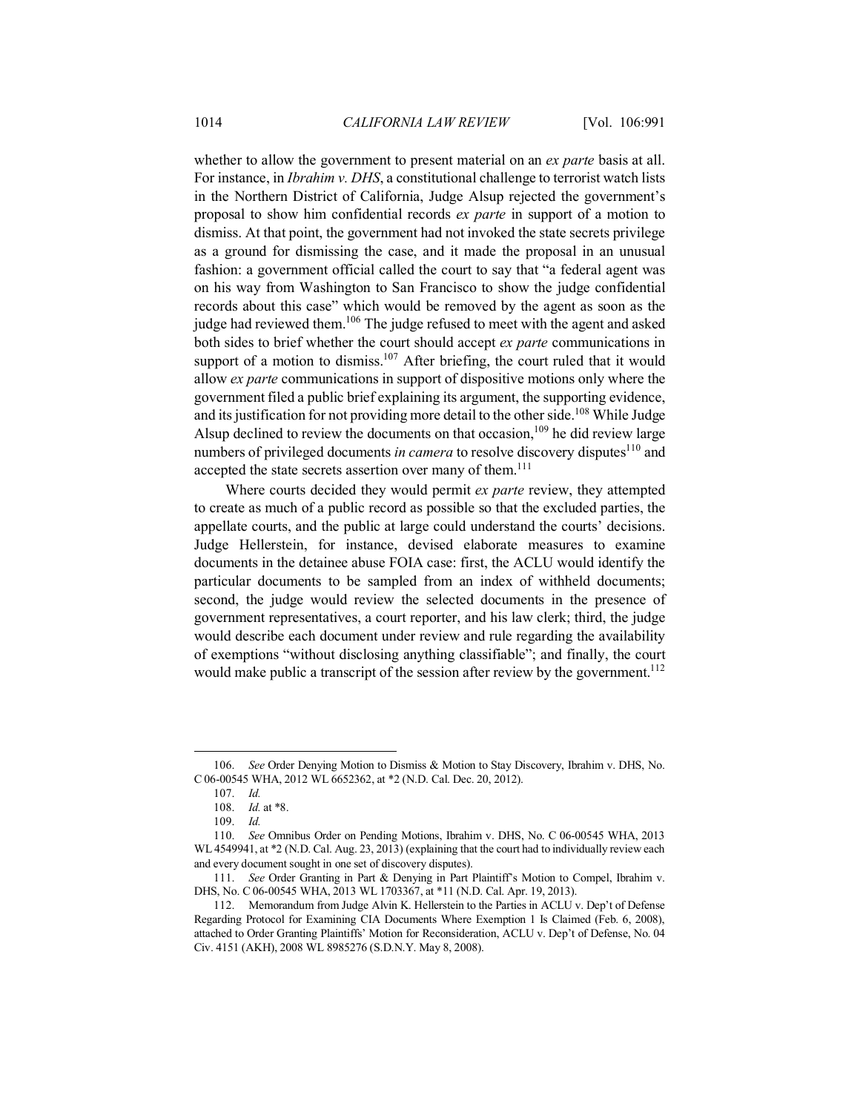whether to allow the government to present material on an *ex parte* basis at all. For instance, in *Ibrahim v. DHS*, a constitutional challenge to terrorist watch lists in the Northern District of California, Judge Alsup rejected the government's proposal to show him confidential records *ex parte* in support of a motion to dismiss. At that point, the government had not invoked the state secrets privilege as a ground for dismissing the case, and it made the proposal in an unusual fashion: a government official called the court to say that "a federal agent was on his way from Washington to San Francisco to show the judge confidential records about this case" which would be removed by the agent as soon as the judge had reviewed them.<sup>106</sup> The judge refused to meet with the agent and asked both sides to brief whether the court should accept *ex parte* communications in support of a motion to dismiss.<sup>107</sup> After briefing, the court ruled that it would allow *ex parte* communications in support of dispositive motions only where the government filed a public brief explaining its argument, the supporting evidence, and its justification for not providing more detail to the other side.<sup>108</sup> While Judge Alsup declined to review the documents on that occasion, $109$  he did review large numbers of privileged documents *in camera* to resolve discovery disputes<sup>110</sup> and accepted the state secrets assertion over many of them.<sup>111</sup>

Where courts decided they would permit *ex parte* review, they attempted to create as much of a public record as possible so that the excluded parties, the appellate courts, and the public at large could understand the courts' decisions. Judge Hellerstein, for instance, devised elaborate measures to examine documents in the detainee abuse FOIA case: first, the ACLU would identify the particular documents to be sampled from an index of withheld documents; second, the judge would review the selected documents in the presence of government representatives, a court reporter, and his law clerk; third, the judge would describe each document under review and rule regarding the availability of exemptions "without disclosing anything classifiable"; and finally, the court would make public a transcript of the session after review by the government.<sup>112</sup>

 <sup>106.</sup> *See* Order Denying Motion to Dismiss & Motion to Stay Discovery, Ibrahim v. DHS, No. C 06-00545 WHA, 2012 WL 6652362, at \*2 (N.D. Cal. Dec. 20, 2012).

<sup>107.</sup> *Id.*

<sup>108.</sup> *Id.* at \*8.

<sup>109.</sup> *Id.*

<sup>110.</sup> *See* Omnibus Order on Pending Motions, Ibrahim v. DHS, No. C 06-00545 WHA, 2013 WL 4549941, at \*2 (N.D. Cal. Aug. 23, 2013) (explaining that the court had to individually review each and every document sought in one set of discovery disputes).

<sup>111.</sup> *See* Order Granting in Part & Denying in Part Plaintiff's Motion to Compel, Ibrahim v. DHS, No. C 06-00545 WHA, 2013 WL 1703367, at \*11 (N.D. Cal. Apr. 19, 2013).

<sup>112.</sup> Memorandum from Judge Alvin K. Hellerstein to the Parties in ACLU v. Dep't of Defense Regarding Protocol for Examining CIA Documents Where Exemption 1 Is Claimed (Feb. 6, 2008), attached to Order Granting Plaintiffs' Motion for Reconsideration, ACLU v. Dep't of Defense, No. 04 Civ. 4151 (AKH), 2008 WL 8985276 (S.D.N.Y. May 8, 2008).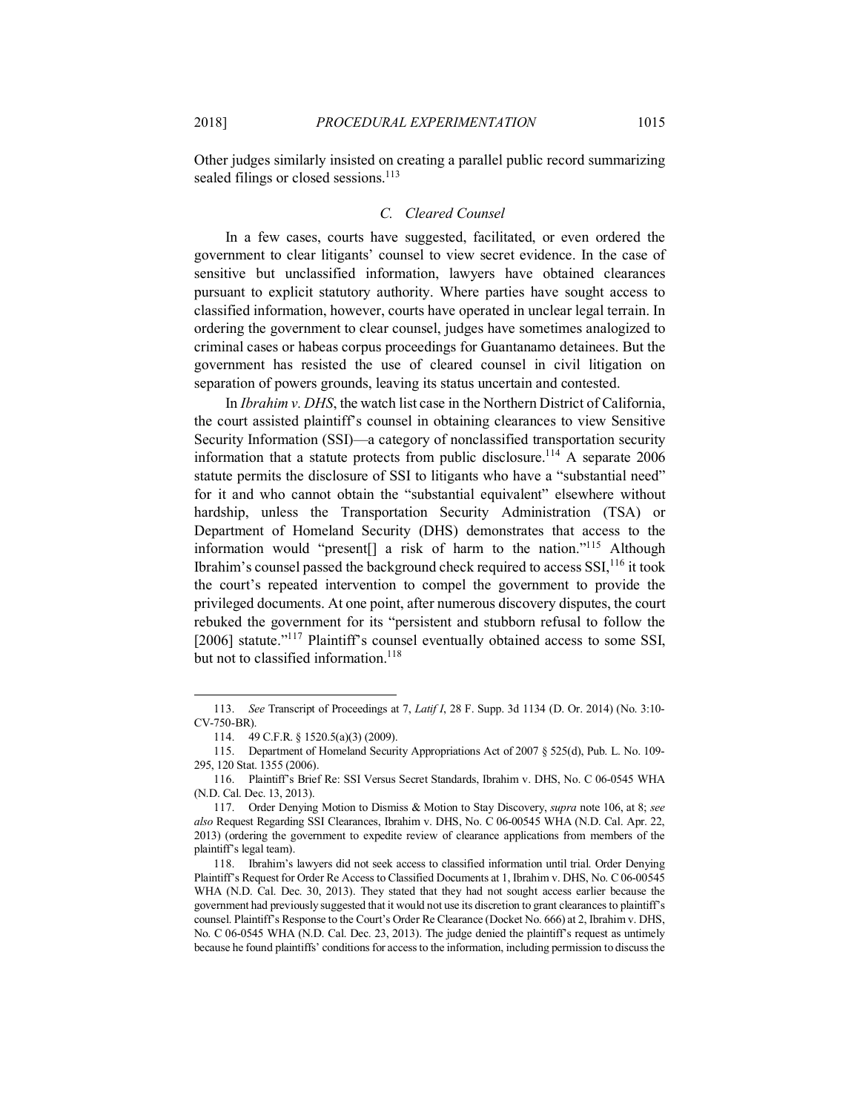Other judges similarly insisted on creating a parallel public record summarizing sealed filings or closed sessions.<sup>113</sup>

#### *C. Cleared Counsel*

In a few cases, courts have suggested, facilitated, or even ordered the government to clear litigants' counsel to view secret evidence. In the case of sensitive but unclassified information, lawyers have obtained clearances pursuant to explicit statutory authority. Where parties have sought access to classified information, however, courts have operated in unclear legal terrain. In ordering the government to clear counsel, judges have sometimes analogized to criminal cases or habeas corpus proceedings for Guantanamo detainees. But the government has resisted the use of cleared counsel in civil litigation on separation of powers grounds, leaving its status uncertain and contested.

In *Ibrahim v. DHS*, the watch list case in the Northern District of California, the court assisted plaintiff's counsel in obtaining clearances to view Sensitive Security Information (SSI)—a category of nonclassified transportation security information that a statute protects from public disclosure.<sup>114</sup> A separate  $2006$ statute permits the disclosure of SSI to litigants who have a "substantial need" for it and who cannot obtain the "substantial equivalent" elsewhere without hardship, unless the Transportation Security Administration (TSA) or Department of Homeland Security (DHS) demonstrates that access to the information would "present[] a risk of harm to the nation."115 Although Ibrahim's counsel passed the background check required to access  $SSI<sub>116</sub>$  it took the court's repeated intervention to compel the government to provide the privileged documents. At one point, after numerous discovery disputes, the court rebuked the government for its "persistent and stubborn refusal to follow the [2006] statute."<sup>117</sup> Plaintiff's counsel eventually obtained access to some SSI, but not to classified information.<sup>118</sup>

<sup>113.</sup> *See* Transcript of Proceedings at 7, *Latif I*, 28 F. Supp. 3d 1134 (D. Or. 2014) (No. 3:10- CV-750-BR).

<sup>114.</sup> 49 C.F.R. § 1520.5(a)(3) (2009).

<sup>115.</sup> Department of Homeland Security Appropriations Act of 2007 § 525(d), Pub. L. No. 109- 295, 120 Stat. 1355 (2006).

<sup>116.</sup> Plaintiff's Brief Re: SSI Versus Secret Standards, Ibrahim v. DHS, No. C 06-0545 WHA (N.D. Cal. Dec. 13, 2013).

<sup>117.</sup> Order Denying Motion to Dismiss & Motion to Stay Discovery, *supra* note 106, at 8; *see also* Request Regarding SSI Clearances, Ibrahim v. DHS, No. C 06-00545 WHA (N.D. Cal. Apr. 22, 2013) (ordering the government to expedite review of clearance applications from members of the plaintiff's legal team).

<sup>118.</sup> Ibrahim's lawyers did not seek access to classified information until trial. Order Denying Plaintiff's Request for Order Re Access to Classified Documents at 1, Ibrahim v. DHS, No. C 06-00545 WHA (N.D. Cal. Dec. 30, 2013). They stated that they had not sought access earlier because the government had previously suggested that it would not use its discretion to grant clearances to plaintiff's counsel. Plaintiff's Response to the Court's Order Re Clearance (Docket No. 666) at 2, Ibrahim v. DHS, No. C 06-0545 WHA (N.D. Cal. Dec. 23, 2013). The judge denied the plaintiff's request as untimely because he found plaintiffs' conditions for access to the information, including permission to discuss the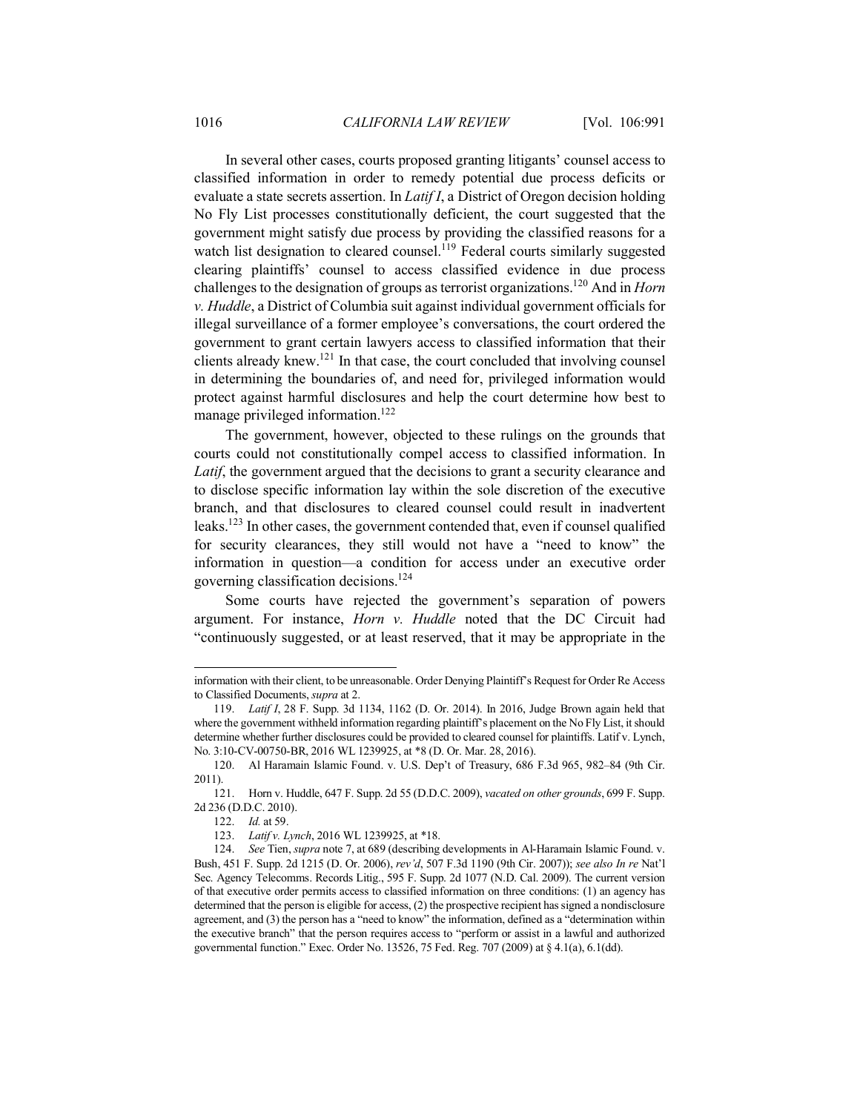In several other cases, courts proposed granting litigants' counsel access to classified information in order to remedy potential due process deficits or evaluate a state secrets assertion. In *Latif I*, a District of Oregon decision holding No Fly List processes constitutionally deficient, the court suggested that the government might satisfy due process by providing the classified reasons for a watch list designation to cleared counsel.<sup>119</sup> Federal courts similarly suggested clearing plaintiffs' counsel to access classified evidence in due process challenges to the designation of groups as terrorist organizations.120 And in *Horn v. Huddle*, a District of Columbia suit against individual government officials for illegal surveillance of a former employee's conversations, the court ordered the government to grant certain lawyers access to classified information that their clients already knew.121 In that case, the court concluded that involving counsel in determining the boundaries of, and need for, privileged information would protect against harmful disclosures and help the court determine how best to manage privileged information.<sup>122</sup>

The government, however, objected to these rulings on the grounds that courts could not constitutionally compel access to classified information. In *Latif*, the government argued that the decisions to grant a security clearance and to disclose specific information lay within the sole discretion of the executive branch, and that disclosures to cleared counsel could result in inadvertent leaks.123 In other cases, the government contended that, even if counsel qualified for security clearances, they still would not have a "need to know" the information in question—a condition for access under an executive order governing classification decisions.124

Some courts have rejected the government's separation of powers argument. For instance, *Horn v. Huddle* noted that the DC Circuit had "continuously suggested, or at least reserved, that it may be appropriate in the

information with their client, to be unreasonable. Order Denying Plaintiff's Request for Order Re Access to Classified Documents, *supra* at 2.

<sup>119.</sup> *Latif I*, 28 F. Supp. 3d 1134, 1162 (D. Or. 2014). In 2016, Judge Brown again held that where the government withheld information regarding plaintiff's placement on the No Fly List, it should determine whether further disclosures could be provided to cleared counsel for plaintiffs. Latif v. Lynch, No. 3:10-CV-00750-BR, 2016 WL 1239925, at \*8 (D. Or. Mar. 28, 2016).

<sup>120.</sup> Al Haramain Islamic Found. v. U.S. Dep't of Treasury, 686 F.3d 965, 982–84 (9th Cir. 2011).

<sup>121.</sup> Horn v. Huddle, 647 F. Supp. 2d 55 (D.D.C. 2009), *vacated on other grounds*, 699 F. Supp. 2d 236 (D.D.C. 2010).

<sup>122.</sup> *Id.* at 59.

<sup>123.</sup> *Latif v. Lynch*, 2016 WL 1239925, at \*18.

<sup>124.</sup> *See* Tien, *supra* note 7, at 689 (describing developments in Al-Haramain Islamic Found. v. Bush, 451 F. Supp. 2d 1215 (D. Or. 2006), *rev'd*, 507 F.3d 1190 (9th Cir. 2007)); *see also In re* Nat'l Sec. Agency Telecomms. Records Litig., 595 F. Supp. 2d 1077 (N.D. Cal. 2009). The current version of that executive order permits access to classified information on three conditions: (1) an agency has determined that the person is eligible for access, (2) the prospective recipient has signed a nondisclosure agreement, and (3) the person has a "need to know" the information, defined as a "determination within the executive branch" that the person requires access to "perform or assist in a lawful and authorized governmental function." Exec. Order No. 13526, 75 Fed. Reg. 707 (2009) at § 4.1(a), 6.1(dd).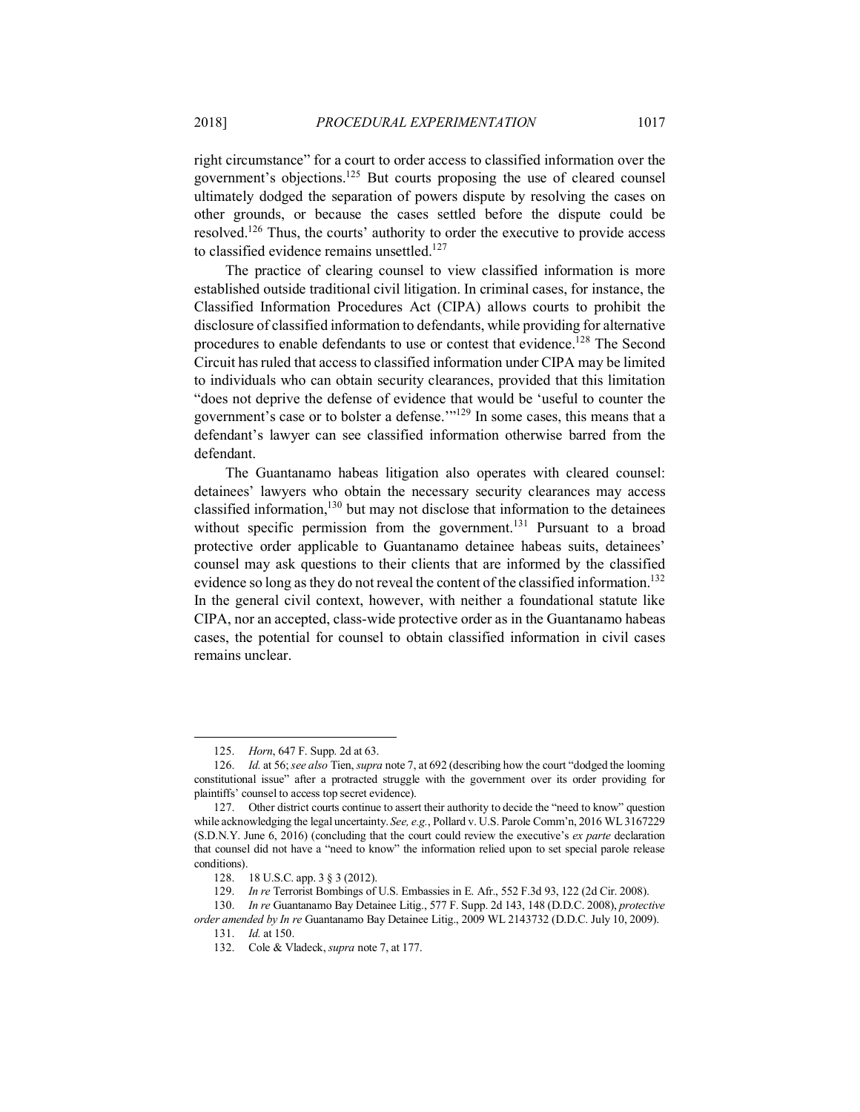right circumstance" for a court to order access to classified information over the government's objections.125 But courts proposing the use of cleared counsel ultimately dodged the separation of powers dispute by resolving the cases on other grounds, or because the cases settled before the dispute could be resolved.126 Thus, the courts' authority to order the executive to provide access to classified evidence remains unsettled.<sup>127</sup>

The practice of clearing counsel to view classified information is more established outside traditional civil litigation. In criminal cases, for instance, the Classified Information Procedures Act (CIPA) allows courts to prohibit the disclosure of classified information to defendants, while providing for alternative procedures to enable defendants to use or contest that evidence.128 The Second Circuit has ruled that access to classified information under CIPA may be limited to individuals who can obtain security clearances, provided that this limitation "does not deprive the defense of evidence that would be 'useful to counter the government's case or to bolster a defense.'"129 In some cases, this means that a defendant's lawyer can see classified information otherwise barred from the defendant.

The Guantanamo habeas litigation also operates with cleared counsel: detainees' lawyers who obtain the necessary security clearances may access classified information, $130$  but may not disclose that information to the detainees without specific permission from the government.<sup>131</sup> Pursuant to a broad protective order applicable to Guantanamo detainee habeas suits, detainees' counsel may ask questions to their clients that are informed by the classified evidence so long as they do not reveal the content of the classified information.<sup>132</sup> In the general civil context, however, with neither a foundational statute like CIPA, nor an accepted, class-wide protective order as in the Guantanamo habeas cases, the potential for counsel to obtain classified information in civil cases remains unclear.

<sup>125.</sup> *Horn*, 647 F. Supp. 2d at 63.

<sup>126.</sup> *Id.* at 56; *see also* Tien, *supra* note 7, at 692 (describing how the court "dodged the looming constitutional issue" after a protracted struggle with the government over its order providing for plaintiffs' counsel to access top secret evidence).

<sup>127.</sup> Other district courts continue to assert their authority to decide the "need to know" question while acknowledging the legal uncertainty.*See, e.g.*, Pollard v. U.S. Parole Comm'n, 2016 WL 3167229 (S.D.N.Y. June 6, 2016) (concluding that the court could review the executive's *ex parte* declaration that counsel did not have a "need to know" the information relied upon to set special parole release conditions).

<sup>128.</sup> 18 U.S.C. app. 3 § 3 (2012).

<sup>129.</sup> *In re* Terrorist Bombings of U.S. Embassies in E. Afr., 552 F.3d 93, 122 (2d Cir. 2008).

<sup>130.</sup> *In re* Guantanamo Bay Detainee Litig., 577 F. Supp. 2d 143, 148 (D.D.C. 2008), *protective order amended by In re* Guantanamo Bay Detainee Litig., 2009 WL 2143732 (D.D.C. July 10, 2009).

<sup>131.</sup> *Id.* at 150.

<sup>132.</sup> Cole & Vladeck, *supra* note 7, at 177.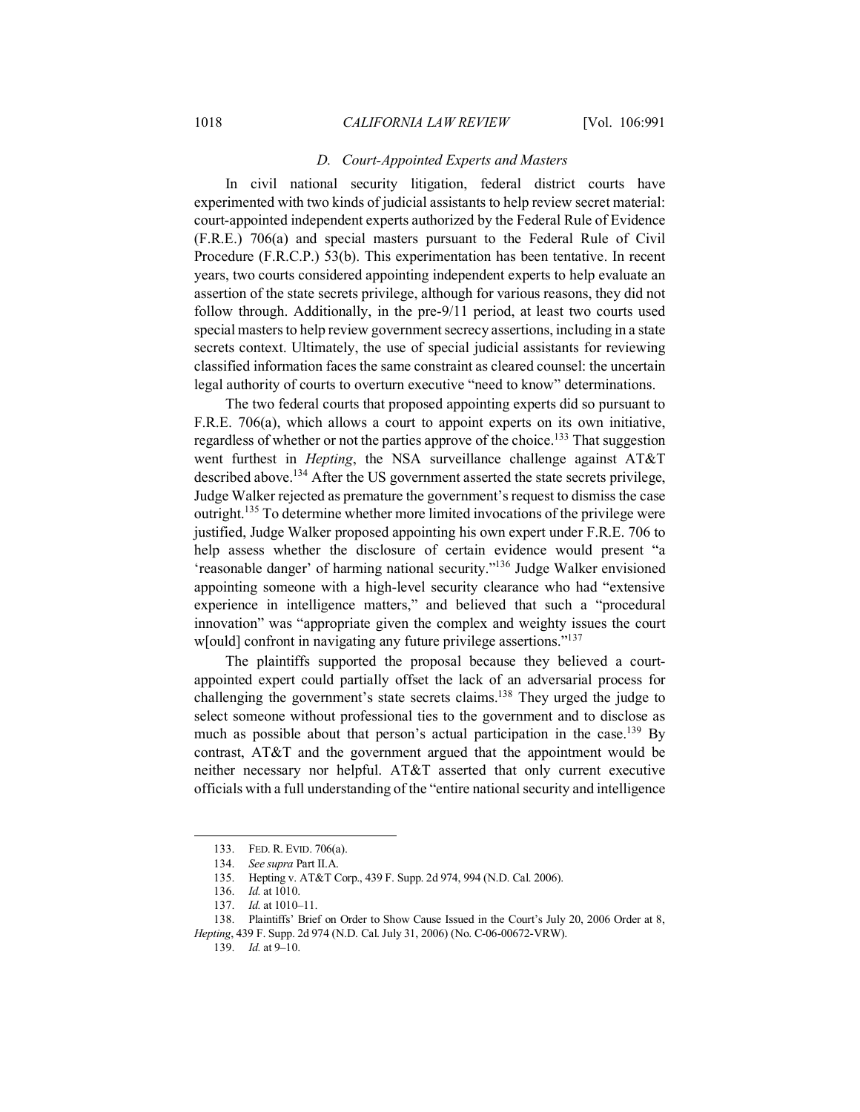#### *D. Court-Appointed Experts and Masters*

In civil national security litigation, federal district courts have experimented with two kinds of judicial assistants to help review secret material: court-appointed independent experts authorized by the Federal Rule of Evidence (F.R.E.) 706(a) and special masters pursuant to the Federal Rule of Civil Procedure (F.R.C.P.) 53(b). This experimentation has been tentative. In recent years, two courts considered appointing independent experts to help evaluate an assertion of the state secrets privilege, although for various reasons, they did not follow through. Additionally, in the pre-9/11 period, at least two courts used special masters to help review government secrecy assertions, including in a state secrets context. Ultimately, the use of special judicial assistants for reviewing classified information faces the same constraint as cleared counsel: the uncertain legal authority of courts to overturn executive "need to know" determinations.

The two federal courts that proposed appointing experts did so pursuant to F.R.E. 706(a), which allows a court to appoint experts on its own initiative, regardless of whether or not the parties approve of the choice.133 That suggestion went furthest in *Hepting*, the NSA surveillance challenge against AT&T described above.134 After the US government asserted the state secrets privilege, Judge Walker rejected as premature the government's request to dismiss the case outright.135 To determine whether more limited invocations of the privilege were justified, Judge Walker proposed appointing his own expert under F.R.E. 706 to help assess whether the disclosure of certain evidence would present "a 'reasonable danger' of harming national security."136 Judge Walker envisioned appointing someone with a high-level security clearance who had "extensive experience in intelligence matters," and believed that such a "procedural innovation" was "appropriate given the complex and weighty issues the court w[ould] confront in navigating any future privilege assertions."<sup>137</sup>

The plaintiffs supported the proposal because they believed a courtappointed expert could partially offset the lack of an adversarial process for challenging the government's state secrets claims.<sup>138</sup> They urged the judge to select someone without professional ties to the government and to disclose as much as possible about that person's actual participation in the case.<sup>139</sup> By contrast, AT&T and the government argued that the appointment would be neither necessary nor helpful. AT&T asserted that only current executive officials with a full understanding of the "entire national security and intelligence

 <sup>133.</sup> FED. R. EVID. 706(a).

<sup>134.</sup> *See supra* Part II.A.

<sup>135.</sup> Hepting v. AT&T Corp., 439 F. Supp. 2d 974, 994 (N.D. Cal. 2006).

<sup>136.</sup> *Id.* at 1010.

<sup>137.</sup> *Id.* at 1010–11.

<sup>138.</sup> Plaintiffs' Brief on Order to Show Cause Issued in the Court's July 20, 2006 Order at 8,

*Hepting*, 439 F. Supp. 2d 974 (N.D. Cal. July 31, 2006) (No. C-06-00672-VRW).

<sup>139.</sup> *Id.* at 9–10.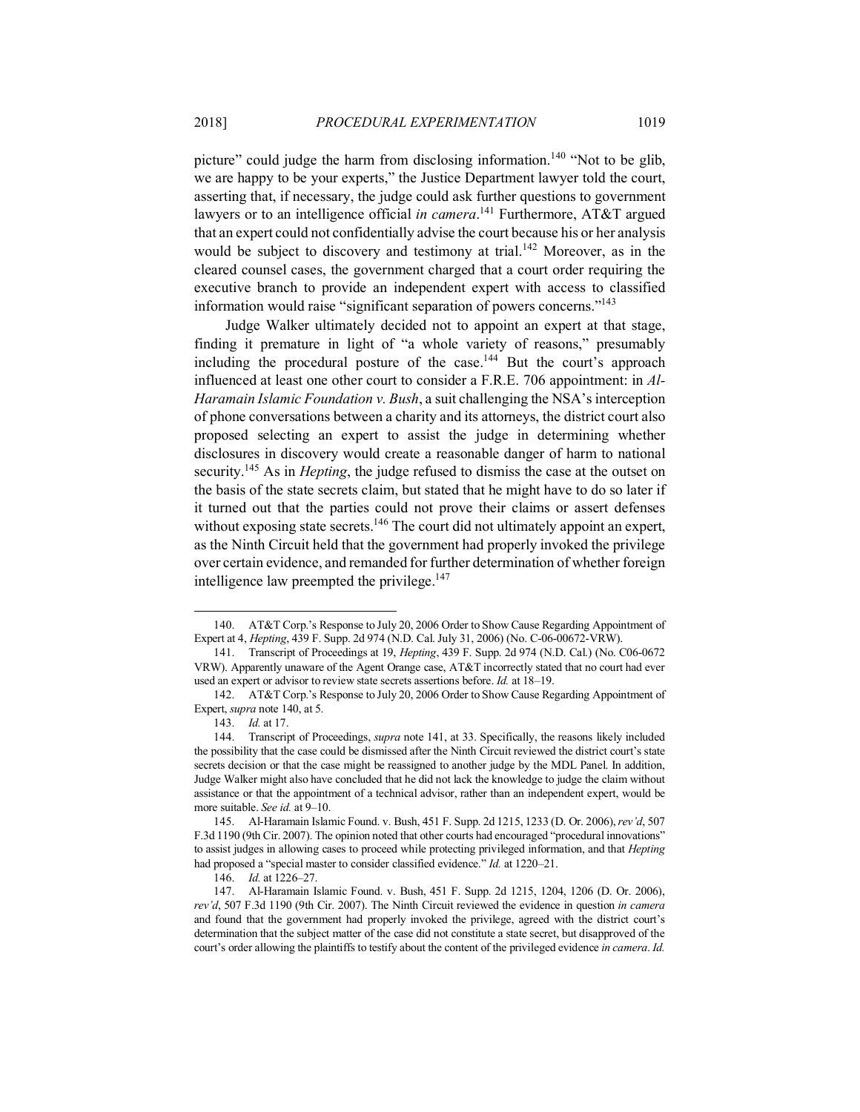picture" could judge the harm from disclosing information.<sup>140</sup> "Not to be glib, we are happy to be your experts," the Justice Department lawyer told the court, asserting that, if necessary, the judge could ask further questions to government lawyers or to an intelligence official *in camera*.<sup>141</sup> Furthermore, AT&T argued that an expert could not confidentially advise the court because his or her analysis would be subject to discovery and testimony at trial.<sup>142</sup> Moreover, as in the cleared counsel cases, the government charged that a court order requiring the executive branch to provide an independent expert with access to classified information would raise "significant separation of powers concerns."143

Judge Walker ultimately decided not to appoint an expert at that stage, finding it premature in light of "a whole variety of reasons," presumably including the procedural posture of the case.<sup>144</sup> But the court's approach influenced at least one other court to consider a F.R.E. 706 appointment: in *Al-Haramain Islamic Foundation v. Bush*, a suit challenging the NSA's interception of phone conversations between a charity and its attorneys, the district court also proposed selecting an expert to assist the judge in determining whether disclosures in discovery would create a reasonable danger of harm to national security.145 As in *Hepting*, the judge refused to dismiss the case at the outset on the basis of the state secrets claim, but stated that he might have to do so later if it turned out that the parties could not prove their claims or assert defenses without exposing state secrets.<sup>146</sup> The court did not ultimately appoint an expert, as the Ninth Circuit held that the government had properly invoked the privilege over certain evidence, and remanded for further determination of whether foreign intelligence law preempted the privilege. $147$ 

<sup>140.</sup> AT&T Corp.'s Response to July 20, 2006 Order to Show Cause Regarding Appointment of Expert at 4, *Hepting*, 439 F. Supp. 2d 974 (N.D. Cal. July 31, 2006) (No. C-06-00672-VRW).

<sup>141.</sup> Transcript of Proceedings at 19, *Hepting*, 439 F. Supp. 2d 974 (N.D. Cal.) (No. C06-0672 VRW). Apparently unaware of the Agent Orange case, AT&T incorrectly stated that no court had ever used an expert or advisor to review state secrets assertions before. *Id.* at 18–19.

<sup>142.</sup> AT&T Corp.'s Response to July 20, 2006 Order to Show Cause Regarding Appointment of Expert, *supra* note 140, at 5.

<sup>143.</sup> *Id.* at 17.

<sup>144.</sup> Transcript of Proceedings, *supra* note 141, at 33. Specifically, the reasons likely included the possibility that the case could be dismissed after the Ninth Circuit reviewed the district court's state secrets decision or that the case might be reassigned to another judge by the MDL Panel. In addition, Judge Walker might also have concluded that he did not lack the knowledge to judge the claim without assistance or that the appointment of a technical advisor, rather than an independent expert, would be more suitable. *See id.* at 9–10.

<sup>145.</sup> Al-Haramain Islamic Found. v. Bush, 451 F. Supp. 2d 1215, 1233 (D. Or. 2006), *rev'd*, 507 F.3d 1190 (9th Cir. 2007). The opinion noted that other courts had encouraged "procedural innovations" to assist judges in allowing cases to proceed while protecting privileged information, and that *Hepting* had proposed a "special master to consider classified evidence." *Id.* at 1220–21.

<sup>146.</sup> *Id.* at 1226–27.

<sup>147.</sup> Al-Haramain Islamic Found. v. Bush, 451 F. Supp. 2d 1215, 1204, 1206 (D. Or. 2006), *rev'd*, 507 F.3d 1190 (9th Cir. 2007). The Ninth Circuit reviewed the evidence in question *in camera* and found that the government had properly invoked the privilege, agreed with the district court's determination that the subject matter of the case did not constitute a state secret, but disapproved of the court's order allowing the plaintiffs to testify about the content of the privileged evidence *in camera*. *Id.*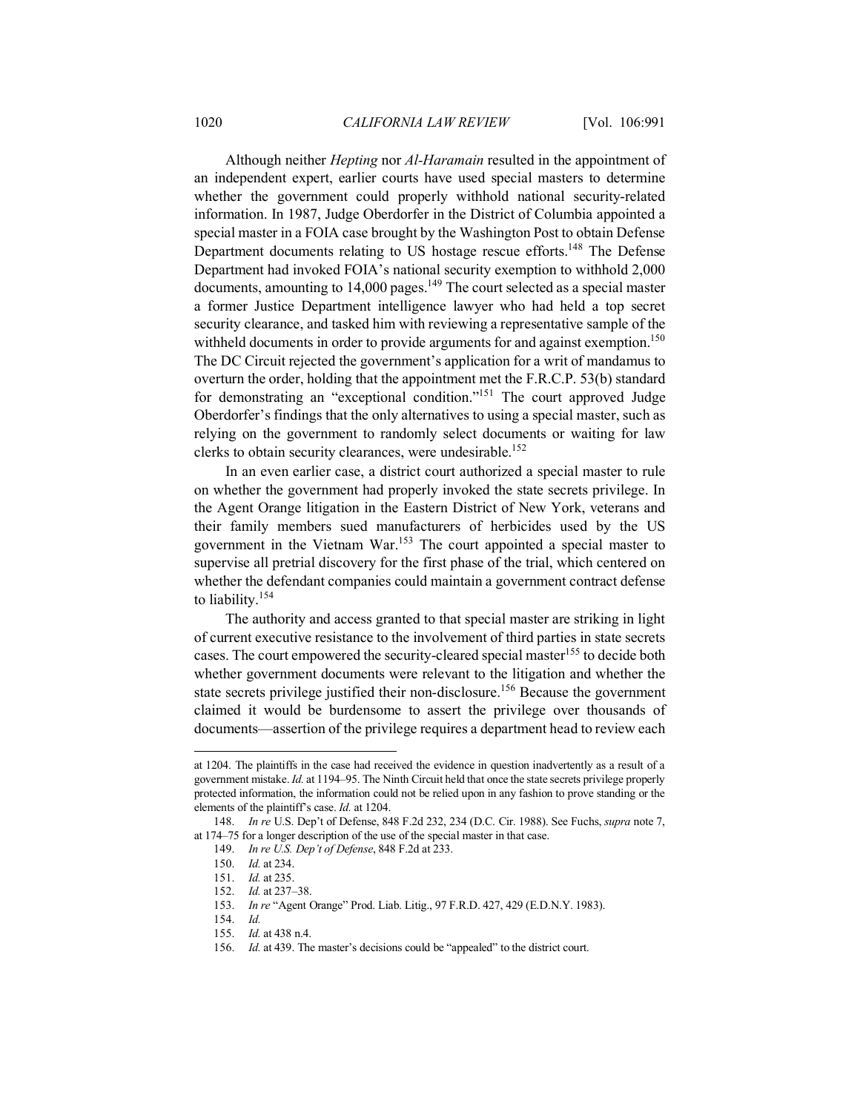Although neither *Hepting* nor *Al-Haramain* resulted in the appointment of an independent expert, earlier courts have used special masters to determine whether the government could properly withhold national security-related information. In 1987, Judge Oberdorfer in the District of Columbia appointed a special master in a FOIA case brought by the Washington Post to obtain Defense Department documents relating to US hostage rescue efforts.<sup>148</sup> The Defense Department had invoked FOIA's national security exemption to withhold 2,000 documents, amounting to  $14,000$  pages.<sup>149</sup> The court selected as a special master a former Justice Department intelligence lawyer who had held a top secret security clearance, and tasked him with reviewing a representative sample of the withheld documents in order to provide arguments for and against exemption.<sup>150</sup> The DC Circuit rejected the government's application for a writ of mandamus to overturn the order, holding that the appointment met the F.R.C.P. 53(b) standard for demonstrating an "exceptional condition."151 The court approved Judge Oberdorfer's findings that the only alternatives to using a special master, such as relying on the government to randomly select documents or waiting for law clerks to obtain security clearances, were undesirable.<sup>152</sup>

In an even earlier case, a district court authorized a special master to rule on whether the government had properly invoked the state secrets privilege. In the Agent Orange litigation in the Eastern District of New York, veterans and their family members sued manufacturers of herbicides used by the US government in the Vietnam War.153 The court appointed a special master to supervise all pretrial discovery for the first phase of the trial, which centered on whether the defendant companies could maintain a government contract defense to liability.<sup>154</sup>

The authority and access granted to that special master are striking in light of current executive resistance to the involvement of third parties in state secrets cases. The court empowered the security-cleared special master<sup>155</sup> to decide both whether government documents were relevant to the litigation and whether the state secrets privilege justified their non-disclosure.<sup>156</sup> Because the government claimed it would be burdensome to assert the privilege over thousands of documents—assertion of the privilege requires a department head to review each

at 1204. The plaintiffs in the case had received the evidence in question inadvertently as a result of a government mistake. *Id.* at 1194–95. The Ninth Circuit held that once the state secrets privilege properly protected information, the information could not be relied upon in any fashion to prove standing or the elements of the plaintiff's case. *Id.* at 1204.

<sup>148.</sup> *In re* U.S. Dep't of Defense, 848 F.2d 232, 234 (D.C. Cir. 1988). See Fuchs, *supra* note 7, at 174–75 for a longer description of the use of the special master in that case.

<sup>149.</sup> *In re U.S. Dep't of Defense*, 848 F.2d at 233.

<sup>150.</sup> *Id.* at 234.

<sup>151.</sup> *Id.* at 235.

<sup>152.</sup> *Id.* at 237–38.

<sup>153.</sup> *In re* "Agent Orange" Prod. Liab. Litig., 97 F.R.D. 427, 429 (E.D.N.Y. 1983).

<sup>154.</sup> *Id.*

<sup>155.</sup> *Id.* at 438 n.4.

<sup>156.</sup> *Id.* at 439. The master's decisions could be "appealed" to the district court.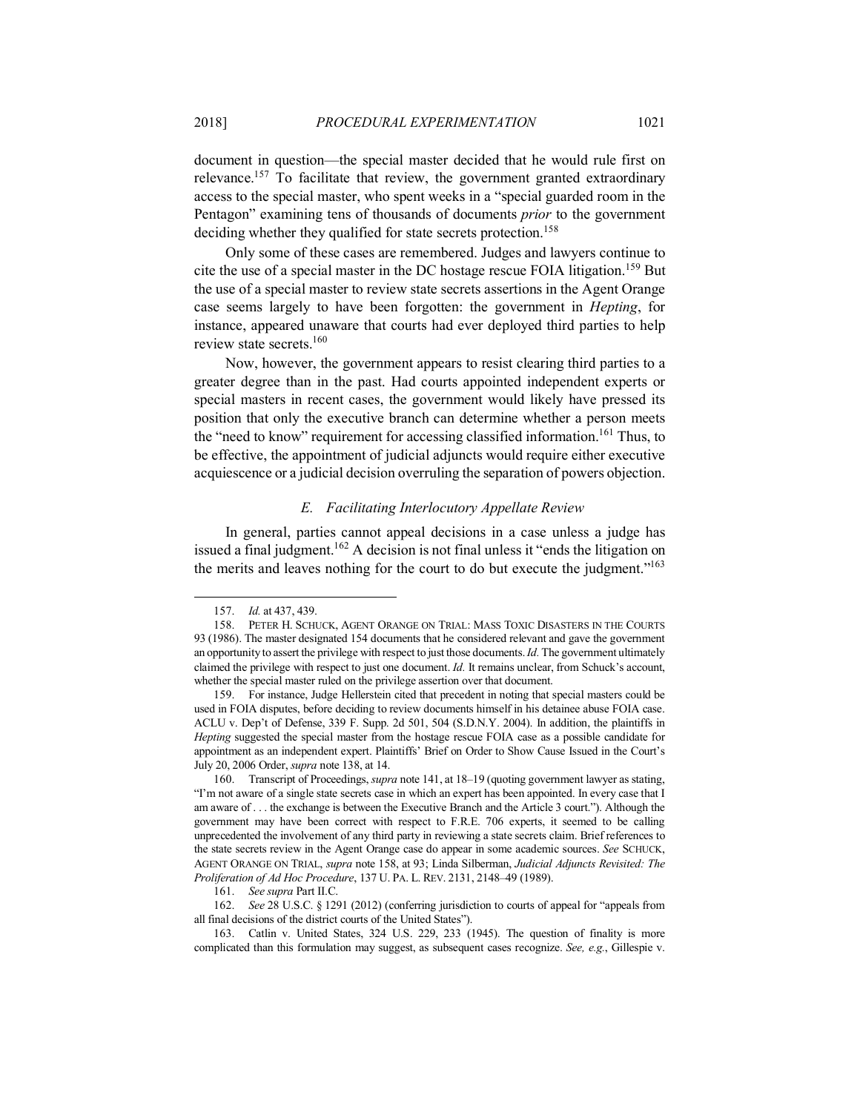document in question—the special master decided that he would rule first on relevance.157 To facilitate that review, the government granted extraordinary access to the special master, who spent weeks in a "special guarded room in the Pentagon" examining tens of thousands of documents *prior* to the government deciding whether they qualified for state secrets protection.<sup>158</sup>

Only some of these cases are remembered. Judges and lawyers continue to cite the use of a special master in the DC hostage rescue FOIA litigation.<sup>159</sup> But the use of a special master to review state secrets assertions in the Agent Orange case seems largely to have been forgotten: the government in *Hepting*, for instance, appeared unaware that courts had ever deployed third parties to help review state secrets.160

Now, however, the government appears to resist clearing third parties to a greater degree than in the past. Had courts appointed independent experts or special masters in recent cases, the government would likely have pressed its position that only the executive branch can determine whether a person meets the "need to know" requirement for accessing classified information.<sup>161</sup> Thus, to be effective, the appointment of judicial adjuncts would require either executive acquiescence or a judicial decision overruling the separation of powers objection.

#### *E. Facilitating Interlocutory Appellate Review*

In general, parties cannot appeal decisions in a case unless a judge has issued a final judgment.<sup>162</sup> A decision is not final unless it "ends the litigation on the merits and leaves nothing for the court to do but execute the judgment."<sup>163</sup>

<sup>157.</sup> *Id.* at 437, 439.

<sup>158.</sup> PETER H. SCHUCK, AGENT ORANGE ON TRIAL: MASS TOXIC DISASTERS IN THE COURTS 93 (1986). The master designated 154 documents that he considered relevant and gave the government an opportunity to assert the privilege with respect to just those documents. *Id.*The government ultimately claimed the privilege with respect to just one document. *Id.* It remains unclear, from Schuck's account, whether the special master ruled on the privilege assertion over that document.

<sup>159.</sup> For instance, Judge Hellerstein cited that precedent in noting that special masters could be used in FOIA disputes, before deciding to review documents himself in his detainee abuse FOIA case. ACLU v. Dep't of Defense, 339 F. Supp. 2d 501, 504 (S.D.N.Y. 2004). In addition, the plaintiffs in *Hepting* suggested the special master from the hostage rescue FOIA case as a possible candidate for appointment as an independent expert. Plaintiffs' Brief on Order to Show Cause Issued in the Court's July 20, 2006 Order, *supra* note 138, at 14.

<sup>160.</sup> Transcript of Proceedings, *supra* note 141, at 18–19 (quoting government lawyer as stating, "I'm not aware of a single state secrets case in which an expert has been appointed. In every case that I am aware of . . . the exchange is between the Executive Branch and the Article 3 court."). Although the government may have been correct with respect to F.R.E. 706 experts, it seemed to be calling unprecedented the involvement of any third party in reviewing a state secrets claim. Brief references to the state secrets review in the Agent Orange case do appear in some academic sources. *See* SCHUCK, AGENT ORANGE ON TRIAL, *supra* note 158, at 93; Linda Silberman, *Judicial Adjuncts Revisited: The Proliferation of Ad Hoc Procedure*, 137 U. PA. L. REV. 2131, 2148–49 (1989).

<sup>161.</sup> *See supra* Part II.C.

<sup>162.</sup> *See* 28 U.S.C. § 1291 (2012) (conferring jurisdiction to courts of appeal for "appeals from all final decisions of the district courts of the United States").

<sup>163.</sup> Catlin v. United States, 324 U.S. 229, 233 (1945). The question of finality is more complicated than this formulation may suggest, as subsequent cases recognize. *See, e.g.*, Gillespie v.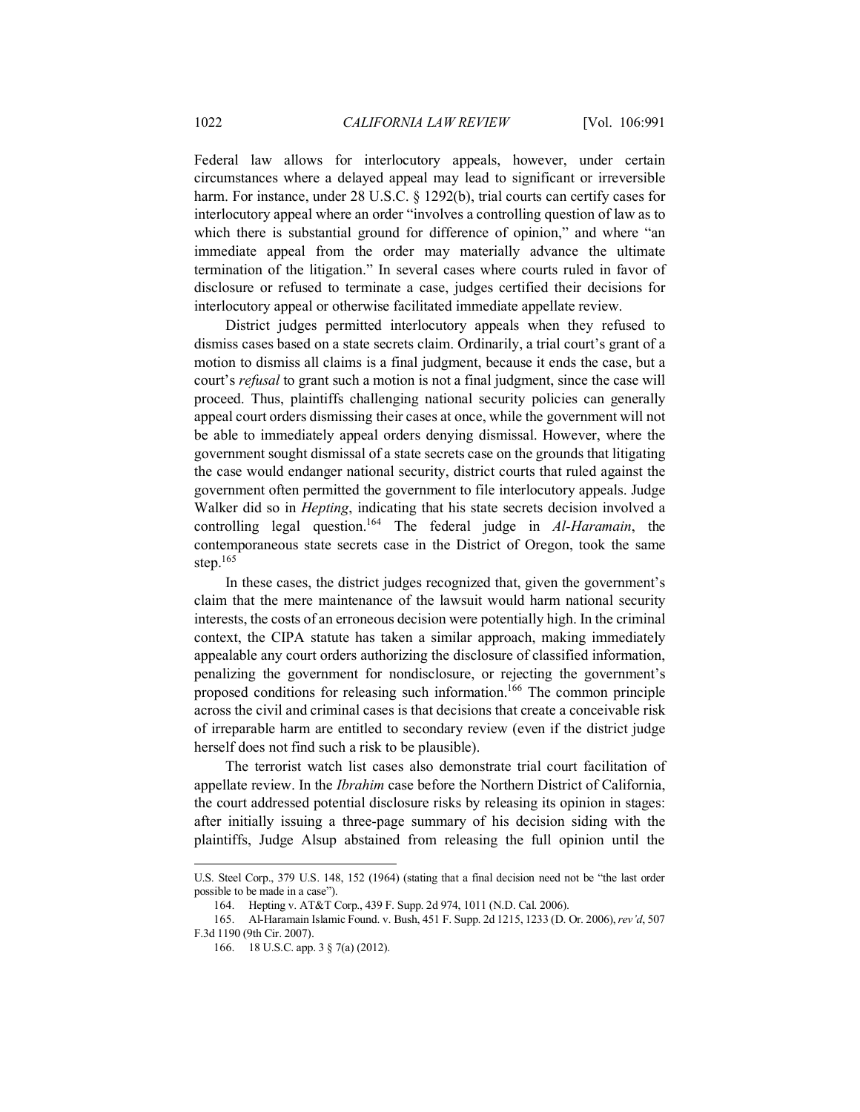Federal law allows for interlocutory appeals, however, under certain circumstances where a delayed appeal may lead to significant or irreversible harm. For instance, under 28 U.S.C. § 1292(b), trial courts can certify cases for interlocutory appeal where an order "involves a controlling question of law as to which there is substantial ground for difference of opinion," and where "an immediate appeal from the order may materially advance the ultimate termination of the litigation." In several cases where courts ruled in favor of disclosure or refused to terminate a case, judges certified their decisions for interlocutory appeal or otherwise facilitated immediate appellate review.

District judges permitted interlocutory appeals when they refused to dismiss cases based on a state secrets claim. Ordinarily, a trial court's grant of a motion to dismiss all claims is a final judgment, because it ends the case, but a court's *refusal* to grant such a motion is not a final judgment, since the case will proceed. Thus, plaintiffs challenging national security policies can generally appeal court orders dismissing their cases at once, while the government will not be able to immediately appeal orders denying dismissal. However, where the government sought dismissal of a state secrets case on the grounds that litigating the case would endanger national security, district courts that ruled against the government often permitted the government to file interlocutory appeals. Judge Walker did so in *Hepting*, indicating that his state secrets decision involved a controlling legal question.164 The federal judge in *Al-Haramain*, the contemporaneous state secrets case in the District of Oregon, took the same step. $165$ 

In these cases, the district judges recognized that, given the government's claim that the mere maintenance of the lawsuit would harm national security interests, the costs of an erroneous decision were potentially high. In the criminal context, the CIPA statute has taken a similar approach, making immediately appealable any court orders authorizing the disclosure of classified information, penalizing the government for nondisclosure, or rejecting the government's proposed conditions for releasing such information.166 The common principle across the civil and criminal cases is that decisions that create a conceivable risk of irreparable harm are entitled to secondary review (even if the district judge herself does not find such a risk to be plausible).

The terrorist watch list cases also demonstrate trial court facilitation of appellate review. In the *Ibrahim* case before the Northern District of California, the court addressed potential disclosure risks by releasing its opinion in stages: after initially issuing a three-page summary of his decision siding with the plaintiffs, Judge Alsup abstained from releasing the full opinion until the

U.S. Steel Corp., 379 U.S. 148, 152 (1964) (stating that a final decision need not be "the last order possible to be made in a case").

<sup>164.</sup> Hepting v. AT&T Corp., 439 F. Supp. 2d 974, 1011 (N.D. Cal. 2006).

<sup>165.</sup> Al-Haramain Islamic Found. v. Bush, 451 F. Supp. 2d 1215, 1233 (D. Or. 2006), *rev'd*, 507 F.3d 1190 (9th Cir. 2007).

<sup>166.</sup> 18 U.S.C. app. 3 § 7(a) (2012).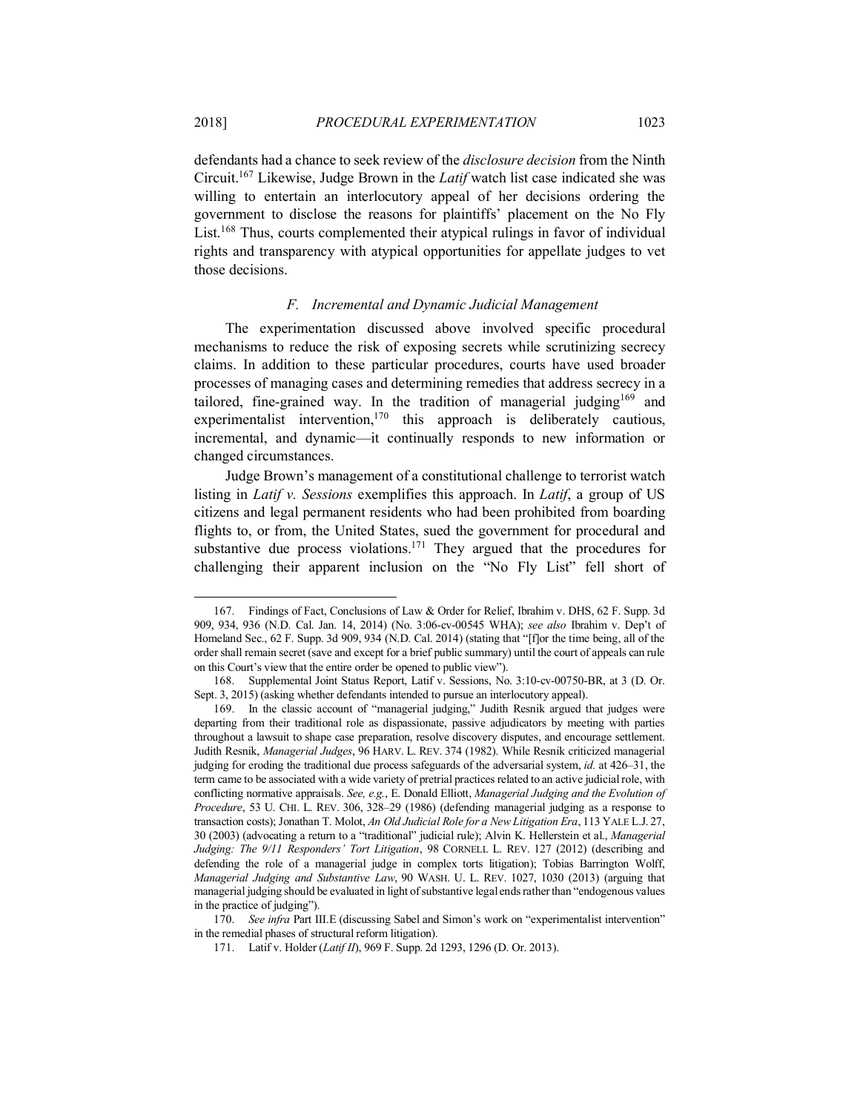-

defendants had a chance to seek review of the *disclosure decision* from the Ninth Circuit.167 Likewise, Judge Brown in the *Latif* watch list case indicated she was willing to entertain an interlocutory appeal of her decisions ordering the government to disclose the reasons for plaintiffs' placement on the No Fly List.<sup>168</sup> Thus, courts complemented their atypical rulings in favor of individual rights and transparency with atypical opportunities for appellate judges to vet those decisions.

# *F. Incremental and Dynamic Judicial Management*

The experimentation discussed above involved specific procedural mechanisms to reduce the risk of exposing secrets while scrutinizing secrecy claims. In addition to these particular procedures, courts have used broader processes of managing cases and determining remedies that address secrecy in a tailored, fine-grained way. In the tradition of managerial judging<sup>169</sup> and experimentalist intervention,<sup>170</sup> this approach is deliberately cautious, incremental, and dynamic—it continually responds to new information or changed circumstances.

Judge Brown's management of a constitutional challenge to terrorist watch listing in *Latif v. Sessions* exemplifies this approach. In *Latif*, a group of US citizens and legal permanent residents who had been prohibited from boarding flights to, or from, the United States, sued the government for procedural and substantive due process violations.<sup>171</sup> They argued that the procedures for challenging their apparent inclusion on the "No Fly List" fell short of

<sup>167.</sup> Findings of Fact, Conclusions of Law & Order for Relief, Ibrahim v. DHS, 62 F. Supp. 3d 909, 934, 936 (N.D. Cal. Jan. 14, 2014) (No. 3:06-cv-00545 WHA); *see also* Ibrahim v. Dep't of Homeland Sec., 62 F. Supp. 3d 909, 934 (N.D. Cal. 2014) (stating that "[f]or the time being, all of the order shall remain secret (save and except for a brief public summary) until the court of appeals can rule on this Court's view that the entire order be opened to public view").

<sup>168.</sup> Supplemental Joint Status Report, Latif v. Sessions, No. 3:10-cv-00750-BR, at 3 (D. Or. Sept. 3, 2015) (asking whether defendants intended to pursue an interlocutory appeal).

<sup>169.</sup> In the classic account of "managerial judging," Judith Resnik argued that judges were departing from their traditional role as dispassionate, passive adjudicators by meeting with parties throughout a lawsuit to shape case preparation, resolve discovery disputes, and encourage settlement. Judith Resnik, *Managerial Judges*, 96 HARV. L. REV. 374 (1982). While Resnik criticized managerial judging for eroding the traditional due process safeguards of the adversarial system, *id.* at 426–31, the term came to be associated with a wide variety of pretrial practices related to an active judicial role, with conflicting normative appraisals. *See, e.g.*, E. Donald Elliott, *Managerial Judging and the Evolution of Procedure*, 53 U. CHI. L. REV. 306, 328–29 (1986) (defending managerial judging as a response to transaction costs); Jonathan T. Molot, *An Old Judicial Role for a New Litigation Era*, 113 YALE L.J. 27, 30 (2003) (advocating a return to a "traditional" judicial rule); Alvin K. Hellerstein et al., *Managerial Judging: The 9/11 Responders' Tort Litigation*, 98 CORNELL L. REV. 127 (2012) (describing and defending the role of a managerial judge in complex torts litigation); Tobias Barrington Wolff, *Managerial Judging and Substantive Law*, 90 WASH. U. L. REV. 1027, 1030 (2013) (arguing that managerial judging should be evaluated in light of substantive legal ends rather than "endogenous values in the practice of judging").

<sup>170.</sup> *See infra* Part III.E (discussing Sabel and Simon's work on "experimentalist intervention" in the remedial phases of structural reform litigation).

<sup>171.</sup> Latif v. Holder (*Latif II*), 969 F. Supp. 2d 1293, 1296 (D. Or. 2013).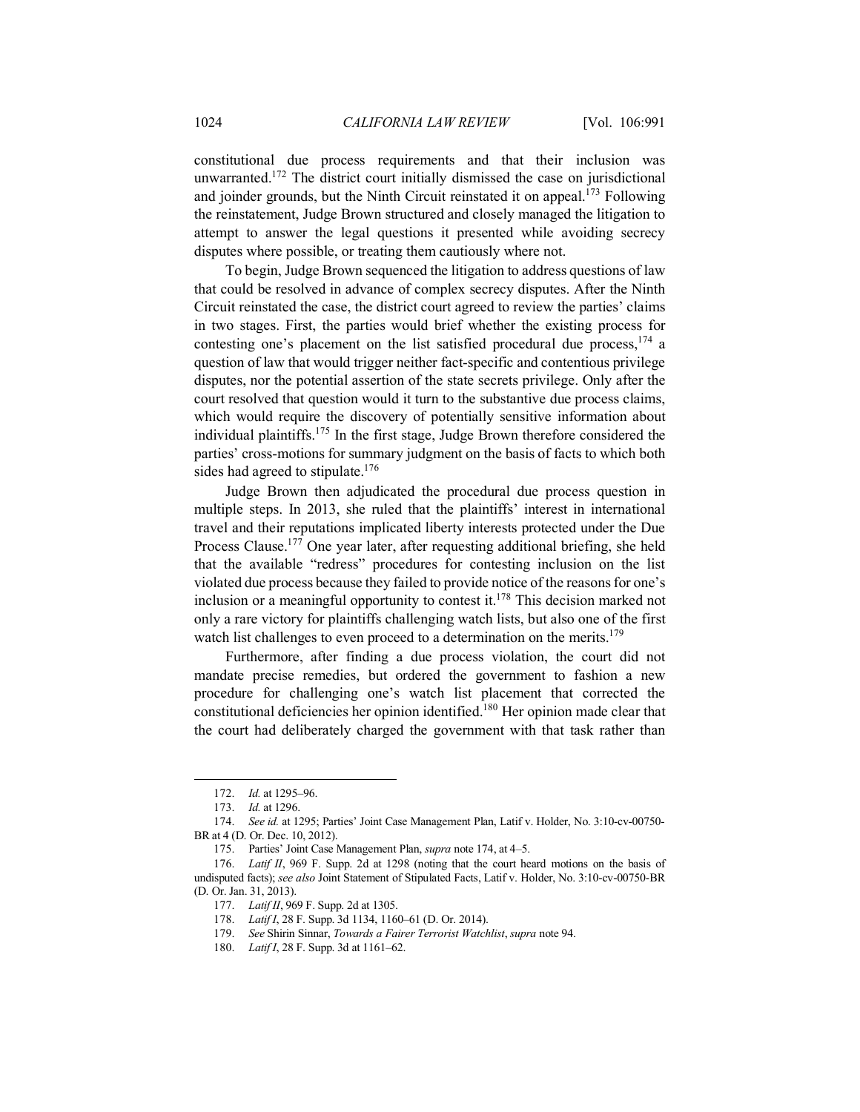constitutional due process requirements and that their inclusion was unwarranted.172 The district court initially dismissed the case on jurisdictional and joinder grounds, but the Ninth Circuit reinstated it on appeal.<sup>173</sup> Following the reinstatement, Judge Brown structured and closely managed the litigation to attempt to answer the legal questions it presented while avoiding secrecy disputes where possible, or treating them cautiously where not.

To begin, Judge Brown sequenced the litigation to address questions of law that could be resolved in advance of complex secrecy disputes. After the Ninth Circuit reinstated the case, the district court agreed to review the parties' claims in two stages. First, the parties would brief whether the existing process for contesting one's placement on the list satisfied procedural due process, $174$  a question of law that would trigger neither fact-specific and contentious privilege disputes, nor the potential assertion of the state secrets privilege. Only after the court resolved that question would it turn to the substantive due process claims, which would require the discovery of potentially sensitive information about individual plaintiffs.175 In the first stage, Judge Brown therefore considered the parties' cross-motions for summary judgment on the basis of facts to which both sides had agreed to stipulate.<sup>176</sup>

Judge Brown then adjudicated the procedural due process question in multiple steps. In 2013, she ruled that the plaintiffs' interest in international travel and their reputations implicated liberty interests protected under the Due Process Clause.<sup>177</sup> One year later, after requesting additional briefing, she held that the available "redress" procedures for contesting inclusion on the list violated due process because they failed to provide notice of the reasons for one's inclusion or a meaningful opportunity to contest it.178 This decision marked not only a rare victory for plaintiffs challenging watch lists, but also one of the first watch list challenges to even proceed to a determination on the merits.<sup>179</sup>

Furthermore, after finding a due process violation, the court did not mandate precise remedies, but ordered the government to fashion a new procedure for challenging one's watch list placement that corrected the constitutional deficiencies her opinion identified.180 Her opinion made clear that the court had deliberately charged the government with that task rather than

<sup>172.</sup> *Id.* at 1295–96.

<sup>173.</sup> *Id.* at 1296.

<sup>174.</sup> *See id.* at 1295; Parties' Joint Case Management Plan, Latif v. Holder, No. 3:10-cv-00750- BR at 4 (D. Or. Dec. 10, 2012).

<sup>175.</sup> Parties' Joint Case Management Plan, *supra* note 174, at 4–5.

<sup>176.</sup> *Latif II*, 969 F. Supp. 2d at 1298 (noting that the court heard motions on the basis of undisputed facts); *see also* Joint Statement of Stipulated Facts, Latif v. Holder, No. 3:10-cv-00750-BR (D. Or. Jan. 31, 2013).

<sup>177.</sup> *Latif II*, 969 F. Supp. 2d at 1305.

<sup>178.</sup> *Latif I*, 28 F. Supp. 3d 1134, 1160–61 (D. Or. 2014).

<sup>179.</sup> *See* Shirin Sinnar, *Towards a Fairer Terrorist Watchlist*, *supra* note 94.

<sup>180.</sup> *Latif I*, 28 F. Supp. 3d at 1161–62.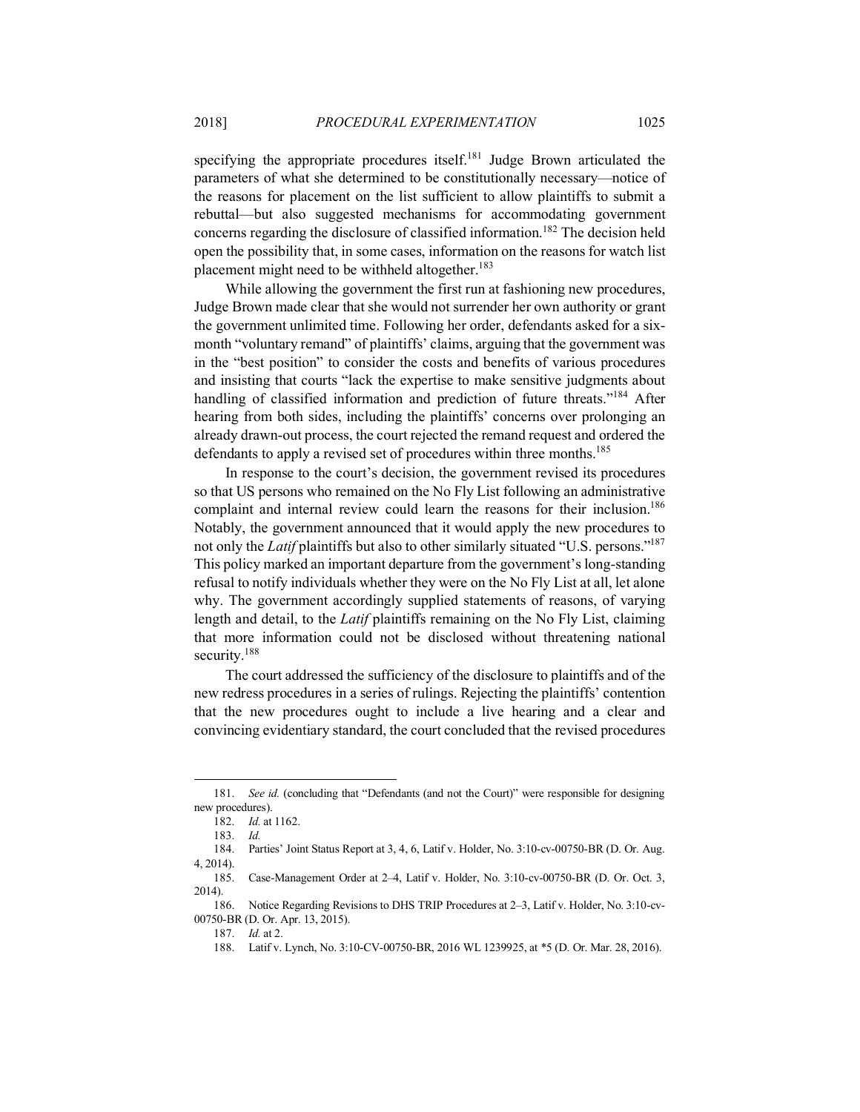specifying the appropriate procedures itself.<sup>181</sup> Judge Brown articulated the parameters of what she determined to be constitutionally necessary—notice of the reasons for placement on the list sufficient to allow plaintiffs to submit a rebuttal—but also suggested mechanisms for accommodating government concerns regarding the disclosure of classified information.<sup>182</sup> The decision held open the possibility that, in some cases, information on the reasons for watch list placement might need to be withheld altogether.<sup>183</sup>

While allowing the government the first run at fashioning new procedures, Judge Brown made clear that she would not surrender her own authority or grant the government unlimited time. Following her order, defendants asked for a sixmonth "voluntary remand" of plaintiffs' claims, arguing that the government was in the "best position" to consider the costs and benefits of various procedures and insisting that courts "lack the expertise to make sensitive judgments about handling of classified information and prediction of future threats."<sup>184</sup> After hearing from both sides, including the plaintiffs' concerns over prolonging an already drawn-out process, the court rejected the remand request and ordered the defendants to apply a revised set of procedures within three months.<sup>185</sup>

In response to the court's decision, the government revised its procedures so that US persons who remained on the No Fly List following an administrative complaint and internal review could learn the reasons for their inclusion.<sup>186</sup> Notably, the government announced that it would apply the new procedures to not only the *Latif* plaintiffs but also to other similarly situated "U.S. persons."187 This policy marked an important departure from the government's long-standing refusal to notify individuals whether they were on the No Fly List at all, let alone why. The government accordingly supplied statements of reasons, of varying length and detail, to the *Latif* plaintiffs remaining on the No Fly List, claiming that more information could not be disclosed without threatening national security.<sup>188</sup>

The court addressed the sufficiency of the disclosure to plaintiffs and of the new redress procedures in a series of rulings. Rejecting the plaintiffs' contention that the new procedures ought to include a live hearing and a clear and convincing evidentiary standard, the court concluded that the revised procedures

<sup>181.</sup> *See id.* (concluding that "Defendants (and not the Court)" were responsible for designing new procedures).

<sup>182.</sup> *Id.* at 1162.

<sup>183.</sup> *Id.*

<sup>184.</sup> Parties' Joint Status Report at 3, 4, 6, Latif v. Holder, No. 3:10-cv-00750-BR (D. Or. Aug. 4, 2014).

<sup>185.</sup> Case-Management Order at 2–4, Latif v. Holder, No. 3:10-cv-00750-BR (D. Or. Oct. 3, 2014).

<sup>186.</sup> Notice Regarding Revisions to DHS TRIP Procedures at 2–3, Latif v. Holder, No. 3:10-cv-00750-BR (D. Or. Apr. 13, 2015).

<sup>187.</sup> *Id.* at 2.

<sup>188.</sup> Latif v. Lynch, No. 3:10-CV-00750-BR, 2016 WL 1239925, at \*5 (D. Or. Mar. 28, 2016).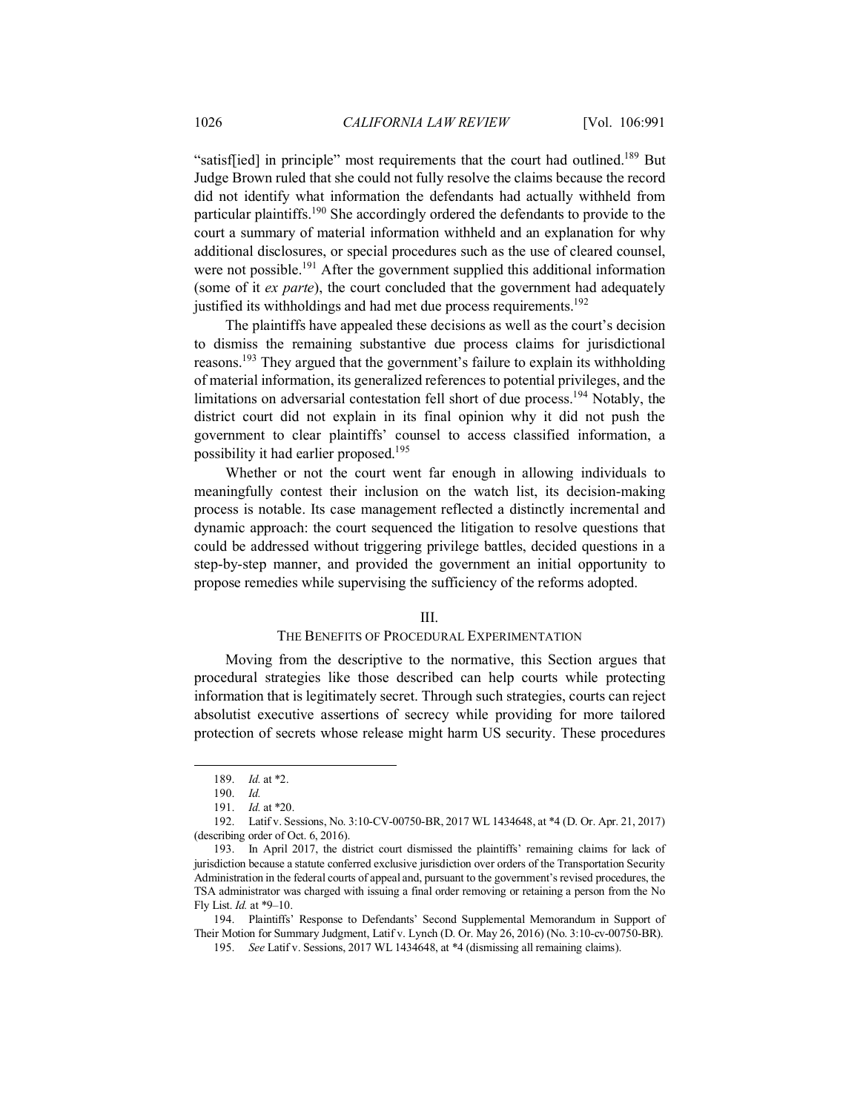"satisf[ied] in principle" most requirements that the court had outlined.<sup>189</sup> But Judge Brown ruled that she could not fully resolve the claims because the record did not identify what information the defendants had actually withheld from particular plaintiffs.190 She accordingly ordered the defendants to provide to the court a summary of material information withheld and an explanation for why additional disclosures, or special procedures such as the use of cleared counsel, were not possible.<sup>191</sup> After the government supplied this additional information (some of it *ex parte*), the court concluded that the government had adequately justified its withholdings and had met due process requirements.<sup>192</sup>

The plaintiffs have appealed these decisions as well as the court's decision to dismiss the remaining substantive due process claims for jurisdictional reasons.193 They argued that the government's failure to explain its withholding of material information, its generalized references to potential privileges, and the limitations on adversarial contestation fell short of due process.<sup>194</sup> Notably, the district court did not explain in its final opinion why it did not push the government to clear plaintiffs' counsel to access classified information, a possibility it had earlier proposed.195

Whether or not the court went far enough in allowing individuals to meaningfully contest their inclusion on the watch list, its decision-making process is notable. Its case management reflected a distinctly incremental and dynamic approach: the court sequenced the litigation to resolve questions that could be addressed without triggering privilege battles, decided questions in a step-by-step manner, and provided the government an initial opportunity to propose remedies while supervising the sufficiency of the reforms adopted.

# III.

#### THE BENEFITS OF PROCEDURAL EXPERIMENTATION

Moving from the descriptive to the normative, this Section argues that procedural strategies like those described can help courts while protecting information that is legitimately secret. Through such strategies, courts can reject absolutist executive assertions of secrecy while providing for more tailored protection of secrets whose release might harm US security. These procedures

<sup>189.</sup> *Id.* at \*2.

<sup>190.</sup> *Id.*

<sup>191.</sup> *Id.* at \*20.

<sup>192.</sup> Latif v. Sessions, No. 3:10-CV-00750-BR, 2017 WL 1434648, at \*4 (D. Or. Apr. 21, 2017) (describing order of Oct. 6, 2016).

<sup>193.</sup> In April 2017, the district court dismissed the plaintiffs' remaining claims for lack of jurisdiction because a statute conferred exclusive jurisdiction over orders of the Transportation Security Administration in the federal courts of appeal and, pursuant to the government's revised procedures, the TSA administrator was charged with issuing a final order removing or retaining a person from the No Fly List. *Id.* at \*9–10.

<sup>194.</sup> Plaintiffs' Response to Defendants' Second Supplemental Memorandum in Support of Their Motion for Summary Judgment, Latif v. Lynch (D. Or. May 26, 2016) (No. 3:10-cv-00750-BR).

<sup>195.</sup> *See* Latif v. Sessions, 2017 WL 1434648, at \*4 (dismissing all remaining claims).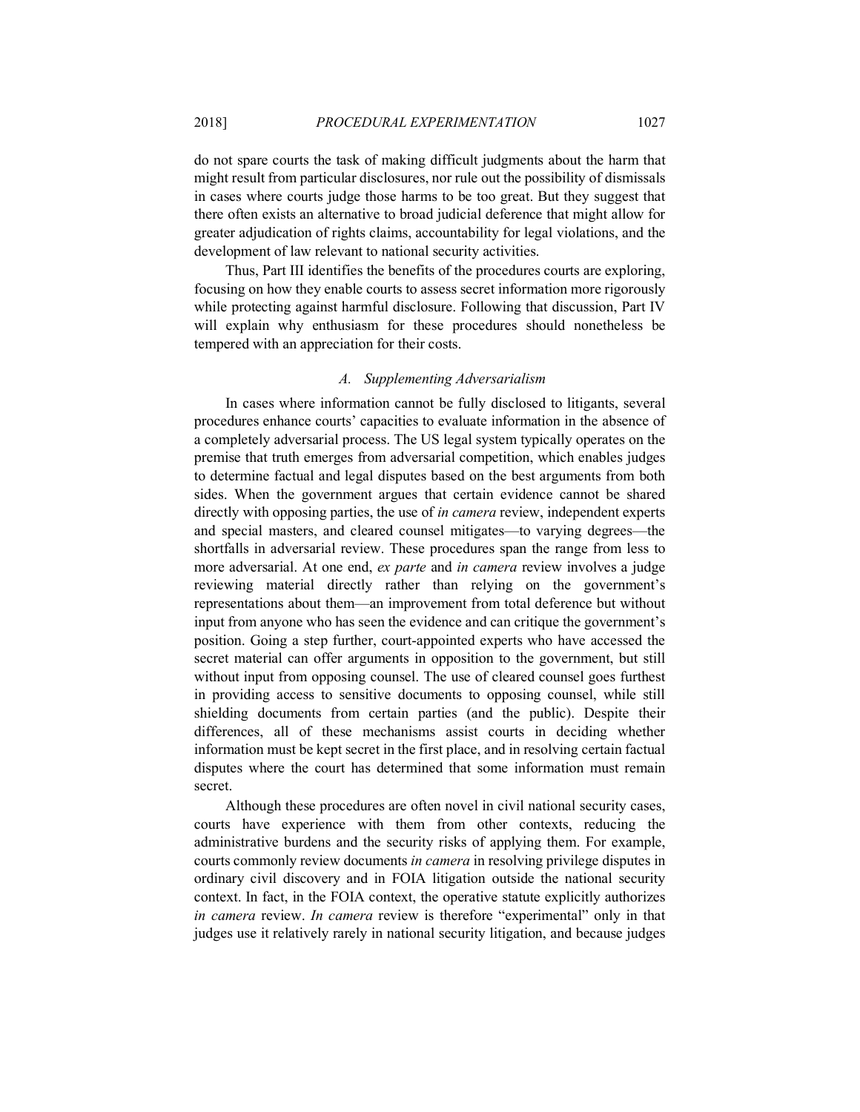do not spare courts the task of making difficult judgments about the harm that might result from particular disclosures, nor rule out the possibility of dismissals in cases where courts judge those harms to be too great. But they suggest that there often exists an alternative to broad judicial deference that might allow for greater adjudication of rights claims, accountability for legal violations, and the development of law relevant to national security activities.

Thus, Part III identifies the benefits of the procedures courts are exploring, focusing on how they enable courts to assess secret information more rigorously while protecting against harmful disclosure. Following that discussion, Part IV will explain why enthusiasm for these procedures should nonetheless be tempered with an appreciation for their costs.

# *A. Supplementing Adversarialism*

In cases where information cannot be fully disclosed to litigants, several procedures enhance courts' capacities to evaluate information in the absence of a completely adversarial process. The US legal system typically operates on the premise that truth emerges from adversarial competition, which enables judges to determine factual and legal disputes based on the best arguments from both sides. When the government argues that certain evidence cannot be shared directly with opposing parties, the use of *in camera* review, independent experts and special masters, and cleared counsel mitigates—to varying degrees—the shortfalls in adversarial review. These procedures span the range from less to more adversarial. At one end, *ex parte* and *in camera* review involves a judge reviewing material directly rather than relying on the government's representations about them—an improvement from total deference but without input from anyone who has seen the evidence and can critique the government's position. Going a step further, court-appointed experts who have accessed the secret material can offer arguments in opposition to the government, but still without input from opposing counsel. The use of cleared counsel goes furthest in providing access to sensitive documents to opposing counsel, while still shielding documents from certain parties (and the public). Despite their differences, all of these mechanisms assist courts in deciding whether information must be kept secret in the first place, and in resolving certain factual disputes where the court has determined that some information must remain secret.

Although these procedures are often novel in civil national security cases, courts have experience with them from other contexts, reducing the administrative burdens and the security risks of applying them. For example, courts commonly review documents *in camera* in resolving privilege disputes in ordinary civil discovery and in FOIA litigation outside the national security context. In fact, in the FOIA context, the operative statute explicitly authorizes *in camera* review. *In camera* review is therefore "experimental" only in that judges use it relatively rarely in national security litigation, and because judges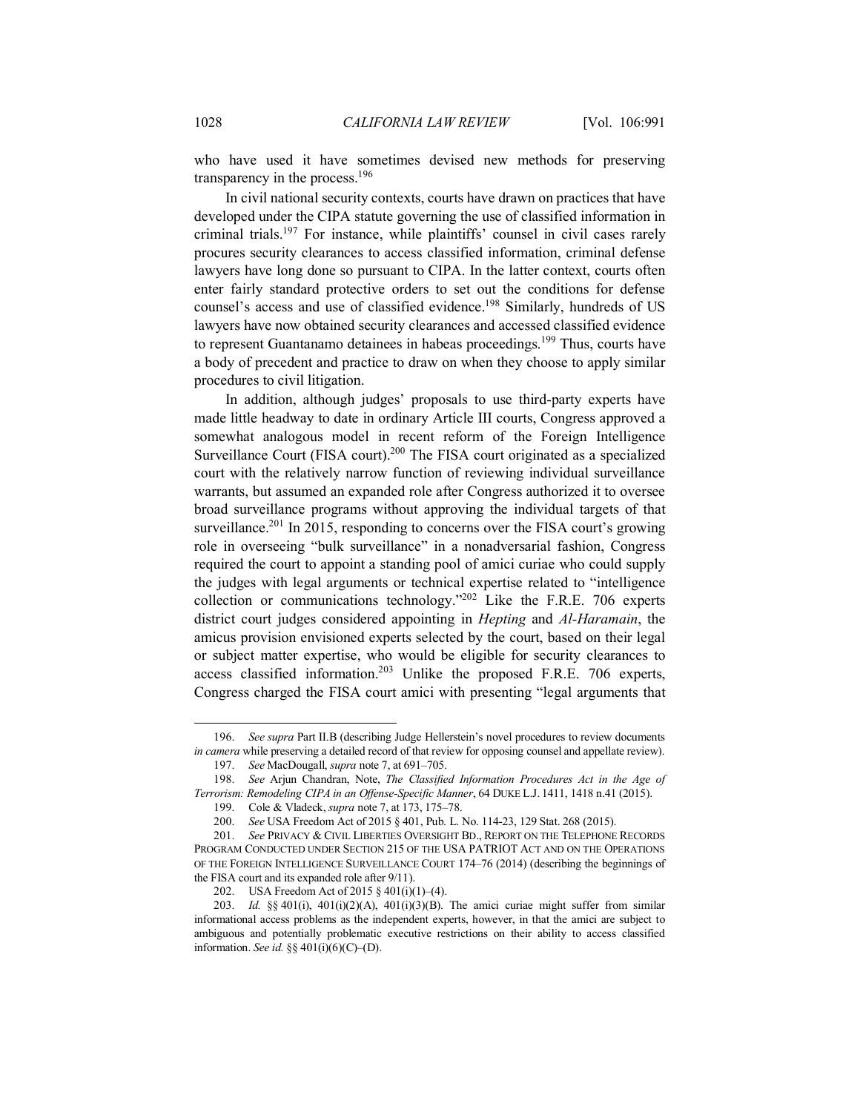who have used it have sometimes devised new methods for preserving transparency in the process.<sup>196</sup>

In civil national security contexts, courts have drawn on practices that have developed under the CIPA statute governing the use of classified information in criminal trials.197 For instance, while plaintiffs' counsel in civil cases rarely procures security clearances to access classified information, criminal defense lawyers have long done so pursuant to CIPA. In the latter context, courts often enter fairly standard protective orders to set out the conditions for defense counsel's access and use of classified evidence.<sup>198</sup> Similarly, hundreds of US lawyers have now obtained security clearances and accessed classified evidence to represent Guantanamo detainees in habeas proceedings.<sup>199</sup> Thus, courts have a body of precedent and practice to draw on when they choose to apply similar procedures to civil litigation.

In addition, although judges' proposals to use third-party experts have made little headway to date in ordinary Article III courts, Congress approved a somewhat analogous model in recent reform of the Foreign Intelligence Surveillance Court (FISA court).<sup>200</sup> The FISA court originated as a specialized court with the relatively narrow function of reviewing individual surveillance warrants, but assumed an expanded role after Congress authorized it to oversee broad surveillance programs without approving the individual targets of that surveillance.<sup>201</sup> In 2015, responding to concerns over the FISA court's growing role in overseeing "bulk surveillance" in a nonadversarial fashion, Congress required the court to appoint a standing pool of amici curiae who could supply the judges with legal arguments or technical expertise related to "intelligence collection or communications technology."202 Like the F.R.E. 706 experts district court judges considered appointing in *Hepting* and *Al-Haramain*, the amicus provision envisioned experts selected by the court, based on their legal or subject matter expertise, who would be eligible for security clearances to access classified information.203 Unlike the proposed F.R.E. 706 experts, Congress charged the FISA court amici with presenting "legal arguments that

<sup>196.</sup> *See supra* Part II.B (describing Judge Hellerstein's novel procedures to review documents *in camera* while preserving a detailed record of that review for opposing counsel and appellate review).

<sup>197.</sup> *See* MacDougall, *supra* note 7, at 691–705.

<sup>198.</sup> *See* Arjun Chandran, Note, *The Classified Information Procedures Act in the Age of Terrorism: Remodeling CIPA in an Offense-Specific Manner*, 64 DUKE L.J. 1411, 1418 n.41 (2015).

<sup>199.</sup> Cole & Vladeck, *supra* note 7, at 173, 175–78.

<sup>200.</sup> *See* USA Freedom Act of 2015 § 401, Pub. L. No. 114-23, 129 Stat. 268 (2015).

<sup>201.</sup> *See* PRIVACY & CIVIL LIBERTIES OVERSIGHT BD., REPORT ON THE TELEPHONE RECORDS PROGRAM CONDUCTED UNDER SECTION 215 OF THE USA PATRIOT ACT AND ON THE OPERATIONS OF THE FOREIGN INTELLIGENCE SURVEILLANCE COURT 174–76 (2014) (describing the beginnings of the FISA court and its expanded role after 9/11).

<sup>202.</sup> USA Freedom Act of 2015 § 401(i)(1)–(4).

<sup>203.</sup> *Id.* §§ 401(i), 401(i)(2)(A), 401(i)(3)(B). The amici curiae might suffer from similar informational access problems as the independent experts, however, in that the amici are subject to ambiguous and potentially problematic executive restrictions on their ability to access classified information. *See id.* §§ 401(i)(6)(C)–(D).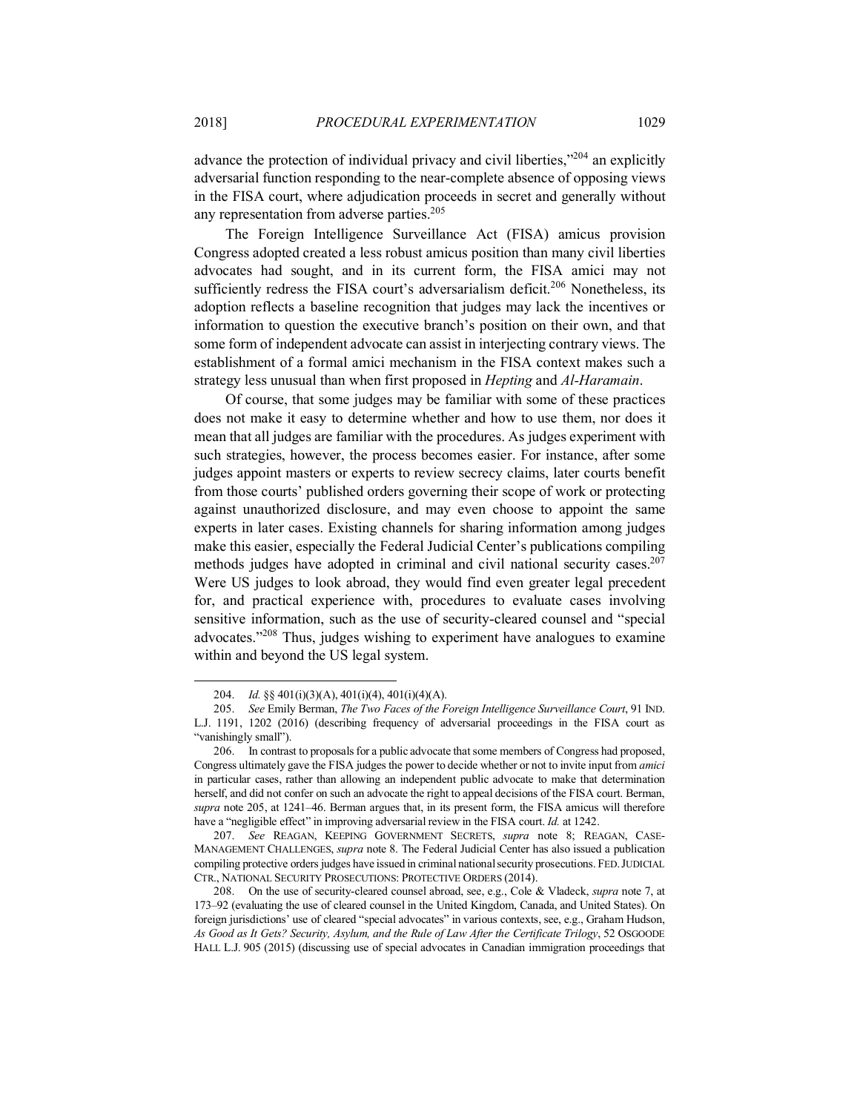advance the protection of individual privacy and civil liberties,"204 an explicitly adversarial function responding to the near-complete absence of opposing views in the FISA court, where adjudication proceeds in secret and generally without any representation from adverse parties.<sup>205</sup>

The Foreign Intelligence Surveillance Act (FISA) amicus provision Congress adopted created a less robust amicus position than many civil liberties advocates had sought, and in its current form, the FISA amici may not sufficiently redress the FISA court's adversarialism deficit.<sup>206</sup> Nonetheless, its adoption reflects a baseline recognition that judges may lack the incentives or information to question the executive branch's position on their own, and that some form of independent advocate can assist in interjecting contrary views. The establishment of a formal amici mechanism in the FISA context makes such a strategy less unusual than when first proposed in *Hepting* and *Al-Haramain*.

Of course, that some judges may be familiar with some of these practices does not make it easy to determine whether and how to use them, nor does it mean that all judges are familiar with the procedures. As judges experiment with such strategies, however, the process becomes easier. For instance, after some judges appoint masters or experts to review secrecy claims, later courts benefit from those courts' published orders governing their scope of work or protecting against unauthorized disclosure, and may even choose to appoint the same experts in later cases. Existing channels for sharing information among judges make this easier, especially the Federal Judicial Center's publications compiling methods judges have adopted in criminal and civil national security cases.<sup>207</sup> Were US judges to look abroad, they would find even greater legal precedent for, and practical experience with, procedures to evaluate cases involving sensitive information, such as the use of security-cleared counsel and "special advocates."208 Thus, judges wishing to experiment have analogues to examine within and beyond the US legal system.

<sup>204.</sup> *Id.* §§ 401(i)(3)(A), 401(i)(4), 401(i)(4)(A).

<sup>205.</sup> *See* Emily Berman, *The Two Faces of the Foreign Intelligence Surveillance Court*, 91 IND. L.J. 1191, 1202 (2016) (describing frequency of adversarial proceedings in the FISA court as "vanishingly small").

<sup>206.</sup> In contrast to proposals for a public advocate that some members of Congress had proposed, Congress ultimately gave the FISA judges the power to decide whether or not to invite input from *amici* in particular cases, rather than allowing an independent public advocate to make that determination herself, and did not confer on such an advocate the right to appeal decisions of the FISA court. Berman, *supra* note 205, at 1241–46. Berman argues that, in its present form, the FISA amicus will therefore have a "negligible effect" in improving adversarial review in the FISA court. *Id.* at 1242.

<sup>207.</sup> *See* REAGAN, KEEPING GOVERNMENT SECRETS, *supra* note 8; REAGAN, CASE-MANAGEMENT CHALLENGES, *supra* note 8. The Federal Judicial Center has also issued a publication compiling protective orders judges have issued in criminal national security prosecutions. FED.JUDICIAL CTR., NATIONAL SECURITY PROSECUTIONS: PROTECTIVE ORDERS (2014).

<sup>208.</sup> On the use of security-cleared counsel abroad, see, e.g., Cole & Vladeck, *supra* note 7, at 173–92 (evaluating the use of cleared counsel in the United Kingdom, Canada, and United States). On foreign jurisdictions' use of cleared "special advocates" in various contexts, see, e.g., Graham Hudson, *As Good as It Gets? Security, Asylum, and the Rule of Law After the Certificate Trilogy*, 52 OSGOODE HALL L.J. 905 (2015) (discussing use of special advocates in Canadian immigration proceedings that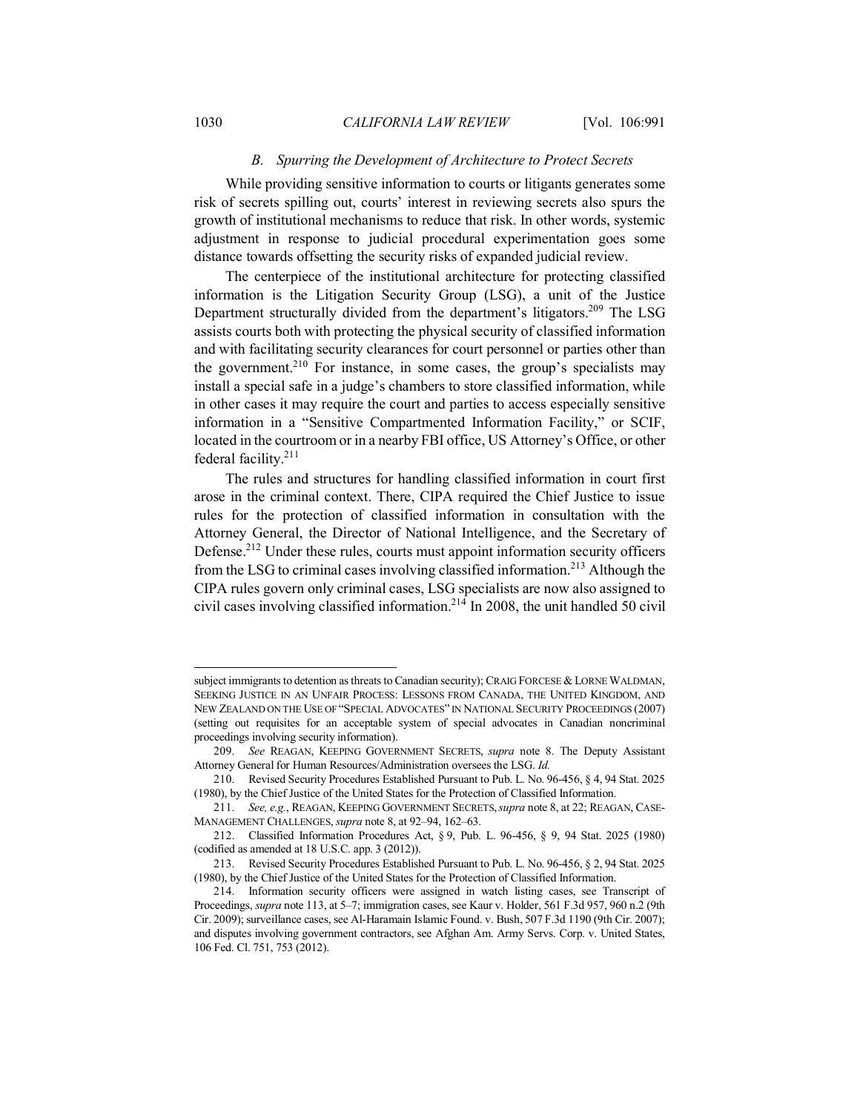#### *B. Spurring the Development of Architecture to Protect Secrets*

While providing sensitive information to courts or litigants generates some risk of secrets spilling out, courts' interest in reviewing secrets also spurs the growth of institutional mechanisms to reduce that risk. In other words, systemic adjustment in response to judicial procedural experimentation goes some distance towards offsetting the security risks of expanded judicial review.

The centerpiece of the institutional architecture for protecting classified information is the Litigation Security Group (LSG), a unit of the Justice Department structurally divided from the department's litigators.209 The LSG assists courts both with protecting the physical security of classified information and with facilitating security clearances for court personnel or parties other than the government.<sup>210</sup> For instance, in some cases, the group's specialists may install a special safe in a judge's chambers to store classified information, while in other cases it may require the court and parties to access especially sensitive information in a "Sensitive Compartmented Information Facility," or SCIF, located in the courtroom or in a nearby FBI office, US Attorney's Office, or other federal facility.211

The rules and structures for handling classified information in court first arose in the criminal context. There, CIPA required the Chief Justice to issue rules for the protection of classified information in consultation with the Attorney General, the Director of National Intelligence, and the Secretary of Defense.<sup>212</sup> Under these rules, courts must appoint information security officers from the LSG to criminal cases involving classified information.213 Although the CIPA rules govern only criminal cases, LSG specialists are now also assigned to civil cases involving classified information.214 In 2008, the unit handled 50 civil

subject immigrants to detention as threats to Canadian security); CRAIG FORCESE & LORNE WALDMAN, SEEKING JUSTICE IN AN UNFAIR PROCESS: LESSONS FROM CANADA, THE UNITED KINGDOM, AND NEW ZEALAND ON THE USE OF "SPECIAL ADVOCATES" IN NATIONAL SECURITY PROCEEDINGS (2007) (setting out requisites for an acceptable system of special advocates in Canadian noncriminal proceedings involving security information).

<sup>209.</sup> *See* REAGAN, KEEPING GOVERNMENT SECRETS, *supra* note 8. The Deputy Assistant Attorney General for Human Resources/Administration oversees the LSG. *Id.*

<sup>210.</sup> Revised Security Procedures Established Pursuant to Pub. L. No. 96-456, § 4, 94 Stat. 2025 (1980), by the Chief Justice of the United States for the Protection of Classified Information.

<sup>211.</sup> *See, e.g.*, REAGAN, KEEPING GOVERNMENT SECRETS,*supra* note 8, at 22; REAGAN, CASE-MANAGEMENT CHALLENGES, *supra* note 8, at 92–94, 162–63.

<sup>212.</sup> Classified Information Procedures Act, § 9, Pub. L. 96-456, § 9, 94 Stat. 2025 (1980) (codified as amended at 18 U.S.C. app. 3 (2012)).

<sup>213.</sup> Revised Security Procedures Established Pursuant to Pub. L. No. 96-456, § 2, 94 Stat. 2025 (1980), by the Chief Justice of the United States for the Protection of Classified Information.

<sup>214.</sup> Information security officers were assigned in watch listing cases, see Transcript of Proceedings, *supra* note 113, at 5–7; immigration cases, see Kaur v. Holder, 561 F.3d 957, 960 n.2 (9th Cir. 2009); surveillance cases, see Al-Haramain Islamic Found. v. Bush, 507 F.3d 1190 (9th Cir. 2007); and disputes involving government contractors, see Afghan Am. Army Servs. Corp. v. United States, 106 Fed. Cl. 751, 753 (2012).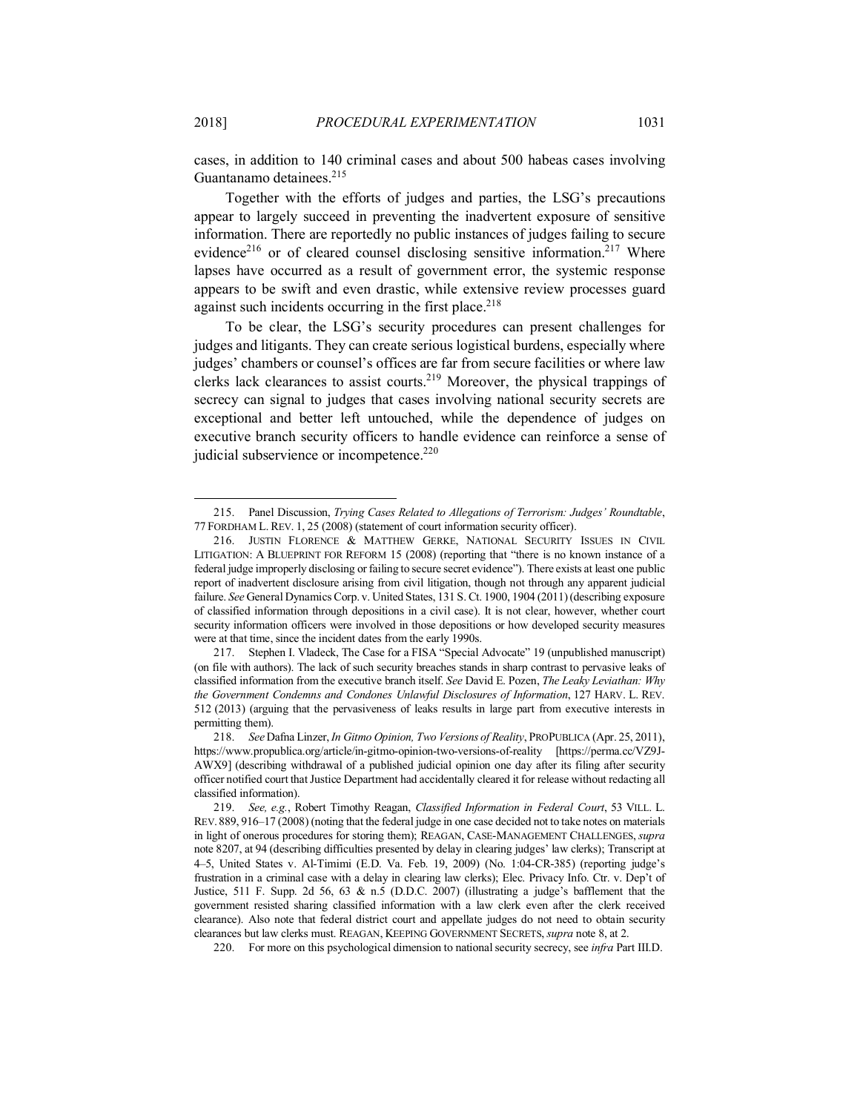cases, in addition to 140 criminal cases and about 500 habeas cases involving Guantanamo detainees.<sup>215</sup>

Together with the efforts of judges and parties, the LSG's precautions appear to largely succeed in preventing the inadvertent exposure of sensitive information. There are reportedly no public instances of judges failing to secure evidence<sup>216</sup> or of cleared counsel disclosing sensitive information.<sup>217</sup> Where lapses have occurred as a result of government error, the systemic response appears to be swift and even drastic, while extensive review processes guard against such incidents occurring in the first place.<sup>218</sup>

To be clear, the LSG's security procedures can present challenges for judges and litigants. They can create serious logistical burdens, especially where judges' chambers or counsel's offices are far from secure facilities or where law clerks lack clearances to assist courts.<sup>219</sup> Moreover, the physical trappings of secrecy can signal to judges that cases involving national security secrets are exceptional and better left untouched, while the dependence of judges on executive branch security officers to handle evidence can reinforce a sense of judicial subservience or incompetence.<sup>220</sup>

220. For more on this psychological dimension to national security secrecy, see *infra* Part III.D.

<sup>215.</sup> Panel Discussion, *Trying Cases Related to Allegations of Terrorism: Judges' Roundtable*, 77 FORDHAM L. REV. 1, 25 (2008) (statement of court information security officer).

<sup>216.</sup> JUSTIN FLORENCE & MATTHEW GERKE, NATIONAL SECURITY ISSUES IN CIVIL LITIGATION: A BLUEPRINT FOR REFORM 15 (2008) (reporting that "there is no known instance of a federal judge improperly disclosing or failing to secure secret evidence"). There exists at least one public report of inadvertent disclosure arising from civil litigation, though not through any apparent judicial failure. *See* General Dynamics Corp. v. United States, 131 S. Ct. 1900, 1904 (2011) (describing exposure of classified information through depositions in a civil case). It is not clear, however, whether court security information officers were involved in those depositions or how developed security measures were at that time, since the incident dates from the early 1990s.

<sup>217.</sup> Stephen I. Vladeck, The Case for a FISA "Special Advocate" 19 (unpublished manuscript) (on file with authors). The lack of such security breaches stands in sharp contrast to pervasive leaks of classified information from the executive branch itself. *See* David E. Pozen, *The Leaky Leviathan: Why the Government Condemns and Condones Unlawful Disclosures of Information*, 127 HARV. L. REV. 512 (2013) (arguing that the pervasiveness of leaks results in large part from executive interests in permitting them).

<sup>218.</sup> *See* Dafna Linzer, *In Gitmo Opinion, Two Versions of Reality*, PROPUBLICA (Apr. 25, 2011), https://www.propublica.org/article/in-gitmo-opinion-two-versions-of-reality [https://perma.cc/VZ9J-AWX9] (describing withdrawal of a published judicial opinion one day after its filing after security officer notified court that Justice Department had accidentally cleared it for release without redacting all classified information).

<sup>219.</sup> *See, e.g.*, Robert Timothy Reagan, *Classified Information in Federal Court*, 53 VILL. L. REV.889, 916–17 (2008) (noting that the federal judge in one case decided not to take notes on materials in light of onerous procedures for storing them); REAGAN, CASE-MANAGEMENT CHALLENGES, *supra* note 8207, at 94 (describing difficulties presented by delay in clearing judges' law clerks); Transcript at 4–5, United States v. Al-Timimi (E.D. Va. Feb. 19, 2009) (No. 1:04-CR-385) (reporting judge's frustration in a criminal case with a delay in clearing law clerks); Elec. Privacy Info. Ctr. v. Dep't of Justice, 511 F. Supp. 2d 56, 63 & n.5 (D.D.C. 2007) (illustrating a judge's bafflement that the government resisted sharing classified information with a law clerk even after the clerk received clearance). Also note that federal district court and appellate judges do not need to obtain security clearances but law clerks must. REAGAN, KEEPING GOVERNMENT SECRETS, *supra* note 8, at 2.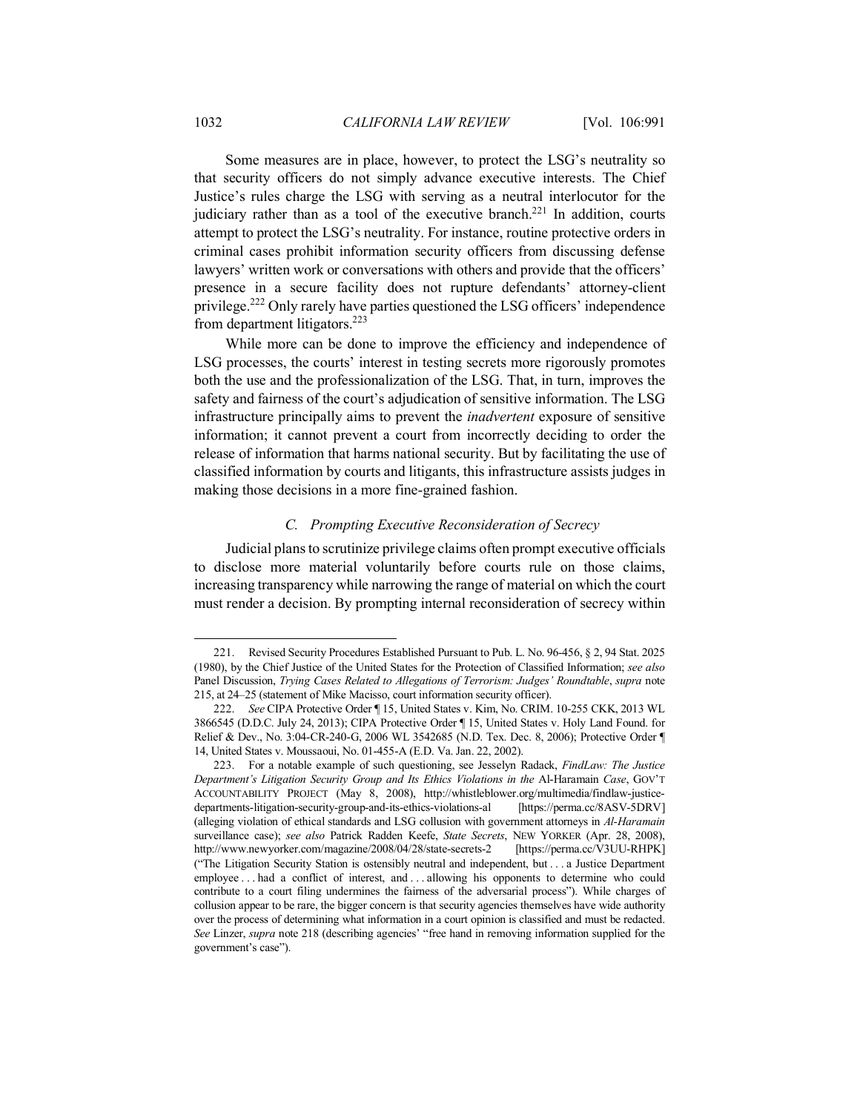Some measures are in place, however, to protect the LSG's neutrality so that security officers do not simply advance executive interests. The Chief Justice's rules charge the LSG with serving as a neutral interlocutor for the judiciary rather than as a tool of the executive branch.<sup>221</sup> In addition, courts attempt to protect the LSG's neutrality. For instance, routine protective orders in criminal cases prohibit information security officers from discussing defense lawyers' written work or conversations with others and provide that the officers' presence in a secure facility does not rupture defendants' attorney-client privilege.222 Only rarely have parties questioned the LSG officers' independence from department litigators.223

While more can be done to improve the efficiency and independence of LSG processes, the courts' interest in testing secrets more rigorously promotes both the use and the professionalization of the LSG. That, in turn, improves the safety and fairness of the court's adjudication of sensitive information. The LSG infrastructure principally aims to prevent the *inadvertent* exposure of sensitive information; it cannot prevent a court from incorrectly deciding to order the release of information that harms national security. But by facilitating the use of classified information by courts and litigants, this infrastructure assists judges in making those decisions in a more fine-grained fashion.

## *C. Prompting Executive Reconsideration of Secrecy*

Judicial plans to scrutinize privilege claims often prompt executive officials to disclose more material voluntarily before courts rule on those claims, increasing transparency while narrowing the range of material on which the court must render a decision. By prompting internal reconsideration of secrecy within

<sup>221.</sup> Revised Security Procedures Established Pursuant to Pub. L. No. 96-456, § 2, 94 Stat. 2025 (1980), by the Chief Justice of the United States for the Protection of Classified Information; *see also* Panel Discussion, *Trying Cases Related to Allegations of Terrorism: Judges' Roundtable*, *supra* note 215, at 24–25 (statement of Mike Macisso, court information security officer).

<sup>222.</sup> *See* CIPA Protective Order ¶ 15, United States v. Kim, No. CRIM. 10-255 CKK, 2013 WL 3866545 (D.D.C. July 24, 2013); CIPA Protective Order ¶ 15, United States v. Holy Land Found. for Relief & Dev., No. 3:04-CR-240-G, 2006 WL 3542685 (N.D. Tex. Dec. 8, 2006); Protective Order ¶ 14, United States v. Moussaoui, No. 01-455-A (E.D. Va. Jan. 22, 2002).

<sup>223.</sup> For a notable example of such questioning, see Jesselyn Radack, *FindLaw: The Justice Department's Litigation Security Group and Its Ethics Violations in the* Al-Haramain *Case*, GOV'T ACCOUNTABILITY PROJECT (May 8, 2008), http://whistleblower.org/multimedia/findlaw-justicedepartments-litigation-security-group-and-its-ethics-violations-al [https://perma.cc/8ASV-5DRV] (alleging violation of ethical standards and LSG collusion with government attorneys in *Al-Haramain* surveillance case); *see also* Patrick Radden Keefe, *State Secrets*, NEW YORKER (Apr. 28, 2008), http://www.newyorker.com/magazine/2008/04/28/state-secrets-2 [https://perma.cc/V3UU-RHPK] ("The Litigation Security Station is ostensibly neutral and independent, but . . . a Justice Department employee . . . had a conflict of interest, and . . . allowing his opponents to determine who could contribute to a court filing undermines the fairness of the adversarial process"). While charges of collusion appear to be rare, the bigger concern is that security agencies themselves have wide authority over the process of determining what information in a court opinion is classified and must be redacted. *See* Linzer, *supra* note 218 (describing agencies' "free hand in removing information supplied for the government's case").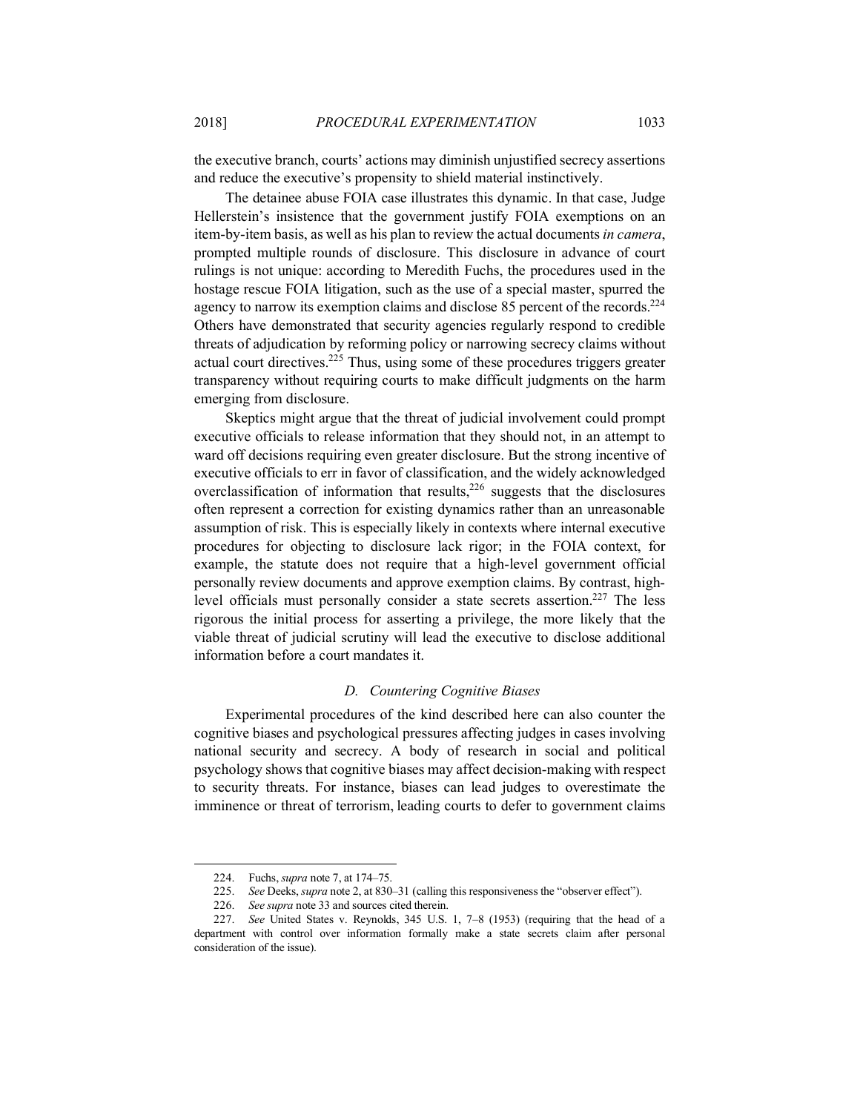the executive branch, courts' actions may diminish unjustified secrecy assertions and reduce the executive's propensity to shield material instinctively.

The detainee abuse FOIA case illustrates this dynamic. In that case, Judge Hellerstein's insistence that the government justify FOIA exemptions on an item-by-item basis, as well as his plan to review the actual documents *in camera*, prompted multiple rounds of disclosure. This disclosure in advance of court rulings is not unique: according to Meredith Fuchs, the procedures used in the hostage rescue FOIA litigation, such as the use of a special master, spurred the agency to narrow its exemption claims and disclose 85 percent of the records.<sup>224</sup> Others have demonstrated that security agencies regularly respond to credible threats of adjudication by reforming policy or narrowing secrecy claims without actual court directives.225 Thus, using some of these procedures triggers greater transparency without requiring courts to make difficult judgments on the harm emerging from disclosure.

Skeptics might argue that the threat of judicial involvement could prompt executive officials to release information that they should not, in an attempt to ward off decisions requiring even greater disclosure. But the strong incentive of executive officials to err in favor of classification, and the widely acknowledged overclassification of information that results, $226$  suggests that the disclosures often represent a correction for existing dynamics rather than an unreasonable assumption of risk. This is especially likely in contexts where internal executive procedures for objecting to disclosure lack rigor; in the FOIA context, for example, the statute does not require that a high-level government official personally review documents and approve exemption claims. By contrast, highlevel officials must personally consider a state secrets assertion.<sup>227</sup> The less rigorous the initial process for asserting a privilege, the more likely that the viable threat of judicial scrutiny will lead the executive to disclose additional information before a court mandates it.

# *D. Countering Cognitive Biases*

Experimental procedures of the kind described here can also counter the cognitive biases and psychological pressures affecting judges in cases involving national security and secrecy. A body of research in social and political psychology shows that cognitive biases may affect decision-making with respect to security threats. For instance, biases can lead judges to overestimate the imminence or threat of terrorism, leading courts to defer to government claims

<sup>224.</sup> Fuchs, *supra* note 7, at 174–75.

<sup>225.</sup> *See* Deeks, *supra* note 2, at 830–31 (calling this responsiveness the "observer effect").

<sup>226.</sup> *See supra* note 33 and sources cited therein.

<sup>227.</sup> *See* United States v. Reynolds, 345 U.S. 1, 7–8 (1953) (requiring that the head of a department with control over information formally make a state secrets claim after personal consideration of the issue).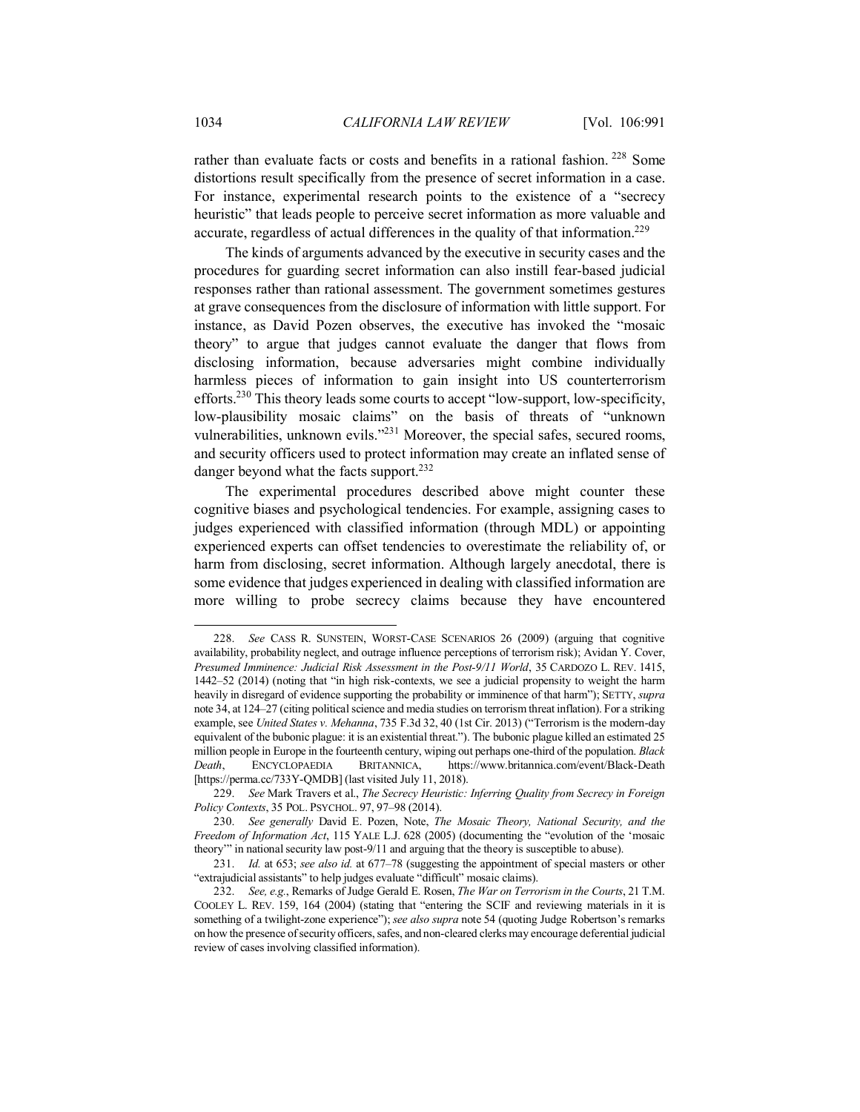rather than evaluate facts or costs and benefits in a rational fashion.<sup>228</sup> Some distortions result specifically from the presence of secret information in a case. For instance, experimental research points to the existence of a "secrecy heuristic" that leads people to perceive secret information as more valuable and accurate, regardless of actual differences in the quality of that information.<sup>229</sup>

The kinds of arguments advanced by the executive in security cases and the procedures for guarding secret information can also instill fear-based judicial responses rather than rational assessment. The government sometimes gestures at grave consequences from the disclosure of information with little support. For instance, as David Pozen observes, the executive has invoked the "mosaic theory" to argue that judges cannot evaluate the danger that flows from disclosing information, because adversaries might combine individually harmless pieces of information to gain insight into US counterterrorism efforts.230 This theory leads some courts to accept "low-support, low-specificity, low-plausibility mosaic claims" on the basis of threats of "unknown vulnerabilities, unknown evils."231 Moreover, the special safes, secured rooms, and security officers used to protect information may create an inflated sense of danger beyond what the facts support.<sup>232</sup>

The experimental procedures described above might counter these cognitive biases and psychological tendencies. For example, assigning cases to judges experienced with classified information (through MDL) or appointing experienced experts can offset tendencies to overestimate the reliability of, or harm from disclosing, secret information. Although largely anecdotal, there is some evidence that judges experienced in dealing with classified information are more willing to probe secrecy claims because they have encountered

 <sup>228.</sup> *See* CASS R. SUNSTEIN, WORST-CASE SCENARIOS 26 (2009) (arguing that cognitive availability, probability neglect, and outrage influence perceptions of terrorism risk); Avidan Y. Cover, *Presumed Imminence: Judicial Risk Assessment in the Post-9/11 World*, 35 CARDOZO L. REV. 1415, 1442–52 (2014) (noting that "in high risk-contexts, we see a judicial propensity to weight the harm heavily in disregard of evidence supporting the probability or imminence of that harm"); SETTY, *supra* note 34, at 124–27 (citing political science and media studies on terrorism threat inflation). For a striking example, see *United States v. Mehanna*, 735 F.3d 32, 40 (1st Cir. 2013) ("Terrorism is the modern-day equivalent of the bubonic plague: it is an existential threat."). The bubonic plague killed an estimated 25 million people in Europe in the fourteenth century, wiping out perhaps one-third of the population. *Black Death*, ENCYCLOPAEDIA BRITANNICA, https://www.britannica.com/event/Black-Death [https://perma.cc/733Y-QMDB] (last visited July 11, 2018).

<sup>229.</sup> *See* Mark Travers et al., *The Secrecy Heuristic: Inferring Quality from Secrecy in Foreign Policy Contexts*, 35 POL. PSYCHOL. 97, 97–98 (2014).

<sup>230.</sup> *See generally* David E. Pozen, Note, *The Mosaic Theory, National Security, and the Freedom of Information Act*, 115 YALE L.J. 628 (2005) (documenting the "evolution of the 'mosaic theory'" in national security law post-9/11 and arguing that the theory is susceptible to abuse).

<sup>231.</sup> *Id.* at 653; *see also id.* at 677–78 (suggesting the appointment of special masters or other "extrajudicial assistants" to help judges evaluate "difficult" mosaic claims).

<sup>232.</sup> *See, e.g.*, Remarks of Judge Gerald E. Rosen, *The War on Terrorism in the Courts*, 21 T.M. COOLEY L. REV. 159, 164 (2004) (stating that "entering the SCIF and reviewing materials in it is something of a twilight-zone experience"); *see also supra* note 54 (quoting Judge Robertson's remarks on how the presence of security officers, safes, and non-cleared clerks may encourage deferential judicial review of cases involving classified information).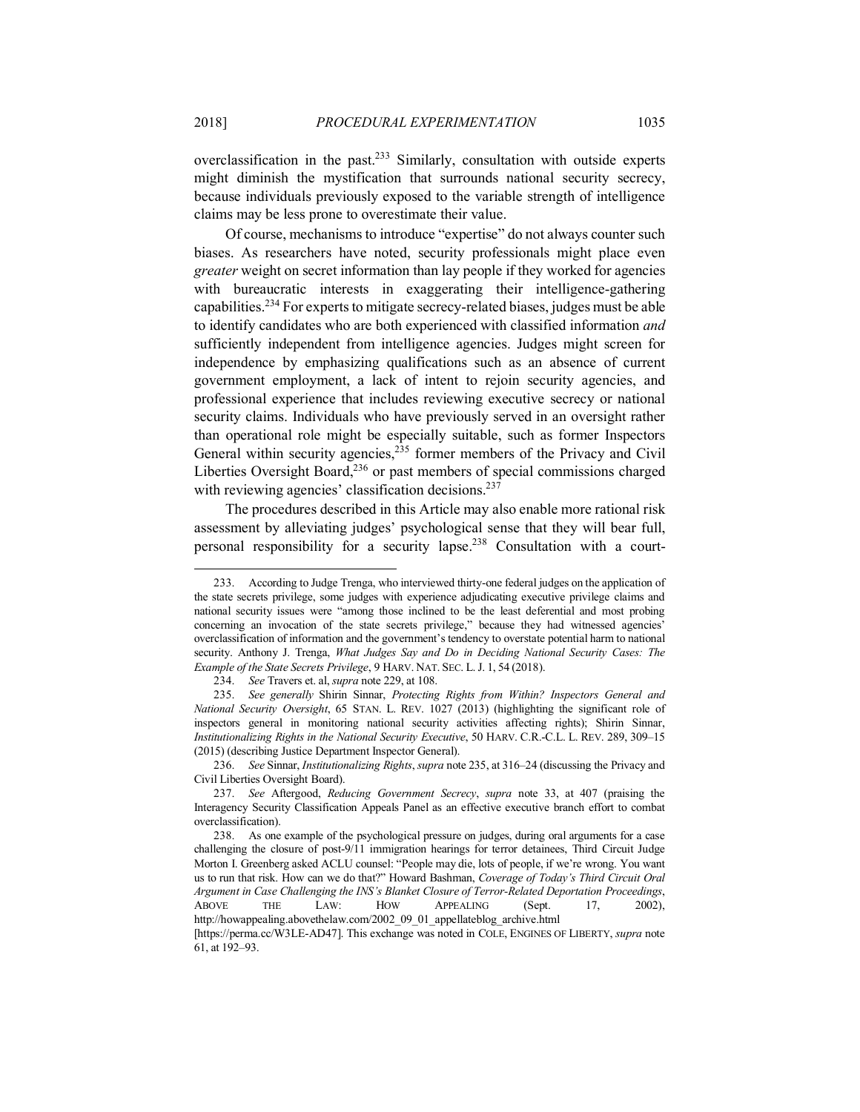overclassification in the past.233 Similarly, consultation with outside experts might diminish the mystification that surrounds national security secrecy, because individuals previously exposed to the variable strength of intelligence claims may be less prone to overestimate their value.

Of course, mechanisms to introduce "expertise" do not always counter such biases. As researchers have noted, security professionals might place even *greater* weight on secret information than lay people if they worked for agencies with bureaucratic interests in exaggerating their intelligence-gathering capabilities.234 For experts to mitigate secrecy-related biases, judges must be able to identify candidates who are both experienced with classified information *and* sufficiently independent from intelligence agencies. Judges might screen for independence by emphasizing qualifications such as an absence of current government employment, a lack of intent to rejoin security agencies, and professional experience that includes reviewing executive secrecy or national security claims. Individuals who have previously served in an oversight rather than operational role might be especially suitable, such as former Inspectors General within security agencies,<sup>235</sup> former members of the Privacy and Civil Liberties Oversight Board, $^{236}$  or past members of special commissions charged with reviewing agencies' classification decisions.<sup>237</sup>

The procedures described in this Article may also enable more rational risk assessment by alleviating judges' psychological sense that they will bear full, personal responsibility for a security lapse.238 Consultation with a court-

<sup>233.</sup> According to Judge Trenga, who interviewed thirty-one federal judges on the application of the state secrets privilege, some judges with experience adjudicating executive privilege claims and national security issues were "among those inclined to be the least deferential and most probing concerning an invocation of the state secrets privilege," because they had witnessed agencies' overclassification of information and the government's tendency to overstate potential harm to national security. Anthony J. Trenga, *What Judges Say and Do in Deciding National Security Cases: The Example of the State Secrets Privilege*, 9 HARV. NAT. SEC. L.J. 1, 54 (2018).

<sup>234.</sup> *See* Travers et. al, *supra* note 229, at 108.

<sup>235.</sup> *See generally* Shirin Sinnar, *Protecting Rights from Within? Inspectors General and National Security Oversight*, 65 STAN. L. REV. 1027 (2013) (highlighting the significant role of inspectors general in monitoring national security activities affecting rights); Shirin Sinnar, *Institutionalizing Rights in the National Security Executive*, 50 HARV. C.R.-C.L. L. REV. 289, 309–15 (2015) (describing Justice Department Inspector General).

<sup>236.</sup> *See* Sinnar, *Institutionalizing Rights*, *supra* note 235, at 316–24 (discussing the Privacy and Civil Liberties Oversight Board).

<sup>237.</sup> *See* Aftergood, *Reducing Government Secrecy*, *supra* note 33, at 407 (praising the Interagency Security Classification Appeals Panel as an effective executive branch effort to combat overclassification).

<sup>238.</sup> As one example of the psychological pressure on judges, during oral arguments for a case challenging the closure of post-9/11 immigration hearings for terror detainees, Third Circuit Judge Morton I. Greenberg asked ACLU counsel: "People may die, lots of people, if we're wrong. You want us to run that risk. How can we do that?" Howard Bashman, *Coverage of Today's Third Circuit Oral Argument in Case Challenging the INS's Blanket Closure of Terror-Related Deportation Proceedings*, ABOVE THE LAW: HOW APPEALING (Sept. 17, 2002), http://howappealing.abovethelaw.com/2002\_09\_01\_appellateblog\_archive.html

<sup>[</sup>https://perma.cc/W3LE-AD47]. This exchange was noted in COLE, ENGINES OF LIBERTY, *supra* note 61, at 192–93.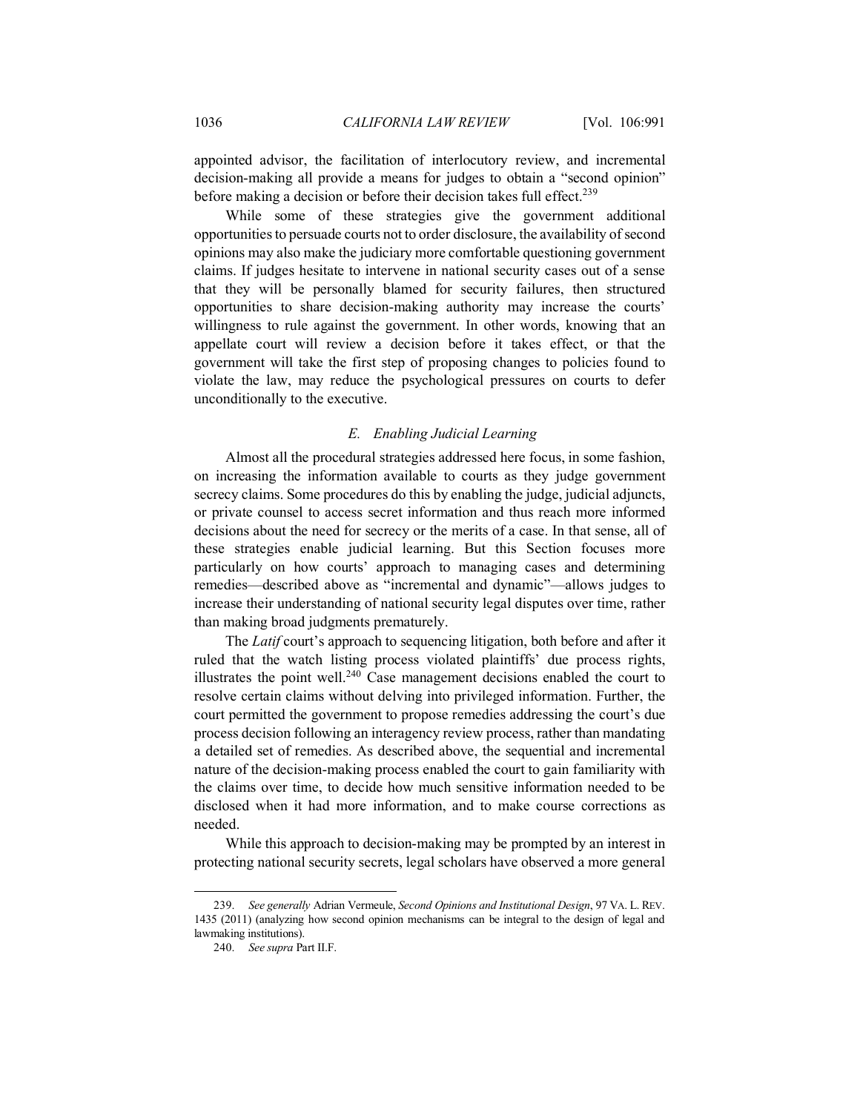appointed advisor, the facilitation of interlocutory review, and incremental decision-making all provide a means for judges to obtain a "second opinion" before making a decision or before their decision takes full effect.<sup>239</sup>

While some of these strategies give the government additional opportunities to persuade courts not to order disclosure, the availability of second opinions may also make the judiciary more comfortable questioning government claims. If judges hesitate to intervene in national security cases out of a sense that they will be personally blamed for security failures, then structured opportunities to share decision-making authority may increase the courts' willingness to rule against the government. In other words, knowing that an appellate court will review a decision before it takes effect, or that the government will take the first step of proposing changes to policies found to violate the law, may reduce the psychological pressures on courts to defer unconditionally to the executive.

# *E. Enabling Judicial Learning*

Almost all the procedural strategies addressed here focus, in some fashion, on increasing the information available to courts as they judge government secrecy claims. Some procedures do this by enabling the judge, judicial adjuncts, or private counsel to access secret information and thus reach more informed decisions about the need for secrecy or the merits of a case. In that sense, all of these strategies enable judicial learning. But this Section focuses more particularly on how courts' approach to managing cases and determining remedies—described above as "incremental and dynamic"—allows judges to increase their understanding of national security legal disputes over time, rather than making broad judgments prematurely.

The *Latif* court's approach to sequencing litigation, both before and after it ruled that the watch listing process violated plaintiffs' due process rights, illustrates the point well.<sup>240</sup> Case management decisions enabled the court to resolve certain claims without delving into privileged information. Further, the court permitted the government to propose remedies addressing the court's due process decision following an interagency review process, rather than mandating a detailed set of remedies. As described above, the sequential and incremental nature of the decision-making process enabled the court to gain familiarity with the claims over time, to decide how much sensitive information needed to be disclosed when it had more information, and to make course corrections as needed.

While this approach to decision-making may be prompted by an interest in protecting national security secrets, legal scholars have observed a more general

<sup>239.</sup> *See generally* Adrian Vermeule, *Second Opinions and Institutional Design*, 97 VA. L. REV. 1435 (2011) (analyzing how second opinion mechanisms can be integral to the design of legal and lawmaking institutions).

<sup>240.</sup> *See supra* Part II.F.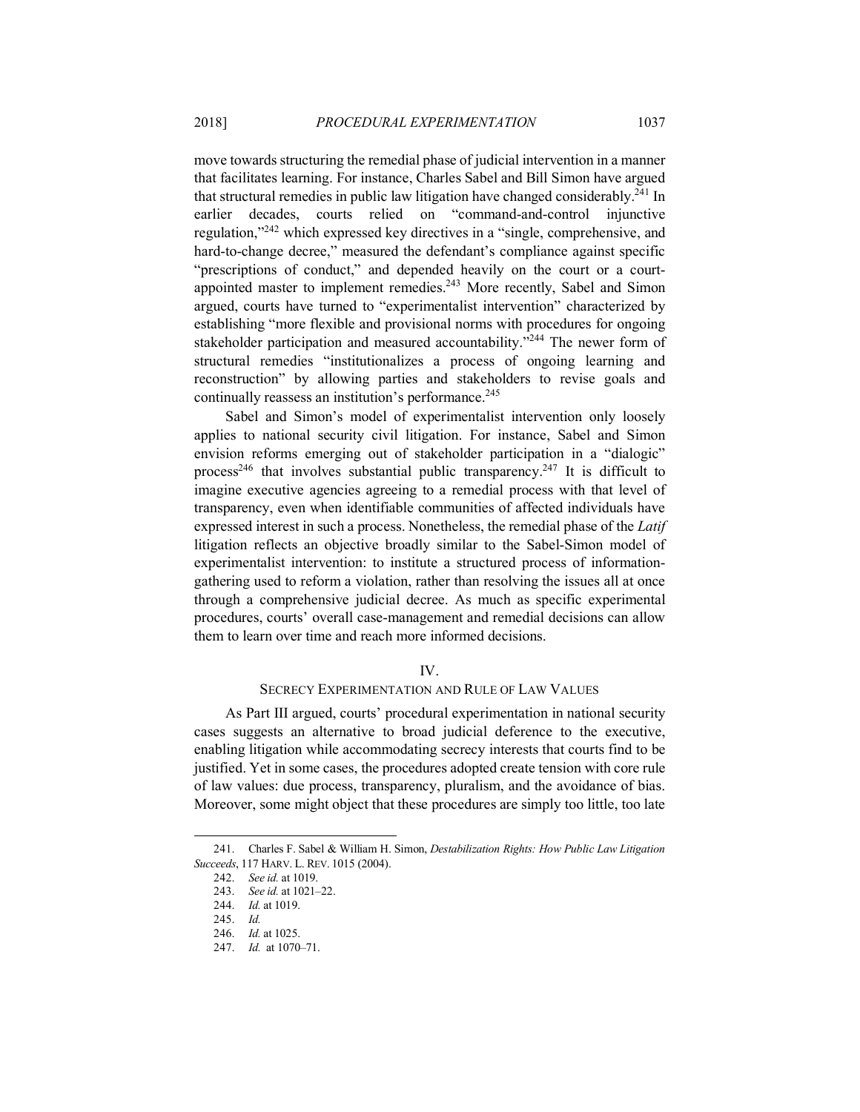move towards structuring the remedial phase of judicial intervention in a manner that facilitates learning. For instance, Charles Sabel and Bill Simon have argued that structural remedies in public law litigation have changed considerably.<sup>241</sup> In earlier decades, courts relied on "command-and-control injunctive regulation,"242 which expressed key directives in a "single, comprehensive, and hard-to-change decree," measured the defendant's compliance against specific "prescriptions of conduct," and depended heavily on the court or a courtappointed master to implement remedies.<sup>243</sup> More recently, Sabel and Simon argued, courts have turned to "experimentalist intervention" characterized by establishing "more flexible and provisional norms with procedures for ongoing stakeholder participation and measured accountability."<sup>244</sup> The newer form of structural remedies "institutionalizes a process of ongoing learning and reconstruction" by allowing parties and stakeholders to revise goals and continually reassess an institution's performance.<sup>245</sup>

Sabel and Simon's model of experimentalist intervention only loosely applies to national security civil litigation. For instance, Sabel and Simon envision reforms emerging out of stakeholder participation in a "dialogic" process<sup>246</sup> that involves substantial public transparency.<sup>247</sup> It is difficult to imagine executive agencies agreeing to a remedial process with that level of transparency, even when identifiable communities of affected individuals have expressed interest in such a process. Nonetheless, the remedial phase of the *Latif* litigation reflects an objective broadly similar to the Sabel-Simon model of experimentalist intervention: to institute a structured process of informationgathering used to reform a violation, rather than resolving the issues all at once through a comprehensive judicial decree. As much as specific experimental procedures, courts' overall case-management and remedial decisions can allow them to learn over time and reach more informed decisions.

#### IV.

#### SECRECY EXPERIMENTATION AND RULE OF LAW VALUES

As Part III argued, courts' procedural experimentation in national security cases suggests an alternative to broad judicial deference to the executive, enabling litigation while accommodating secrecy interests that courts find to be justified. Yet in some cases, the procedures adopted create tension with core rule of law values: due process, transparency, pluralism, and the avoidance of bias. Moreover, some might object that these procedures are simply too little, too late

 <sup>241.</sup> Charles F. Sabel & William H. Simon, *Destabilization Rights: How Public Law Litigation Succeeds*, 117 HARV. L. REV. 1015 (2004).

<sup>242.</sup> *See id.* at 1019.

<sup>243.</sup> *See id.* at 1021–22.

<sup>244.</sup> *Id.* at 1019.

<sup>245.</sup> *Id.*

<sup>246.</sup> *Id.* at 1025.

<sup>247.</sup> *Id.* at 1070–71.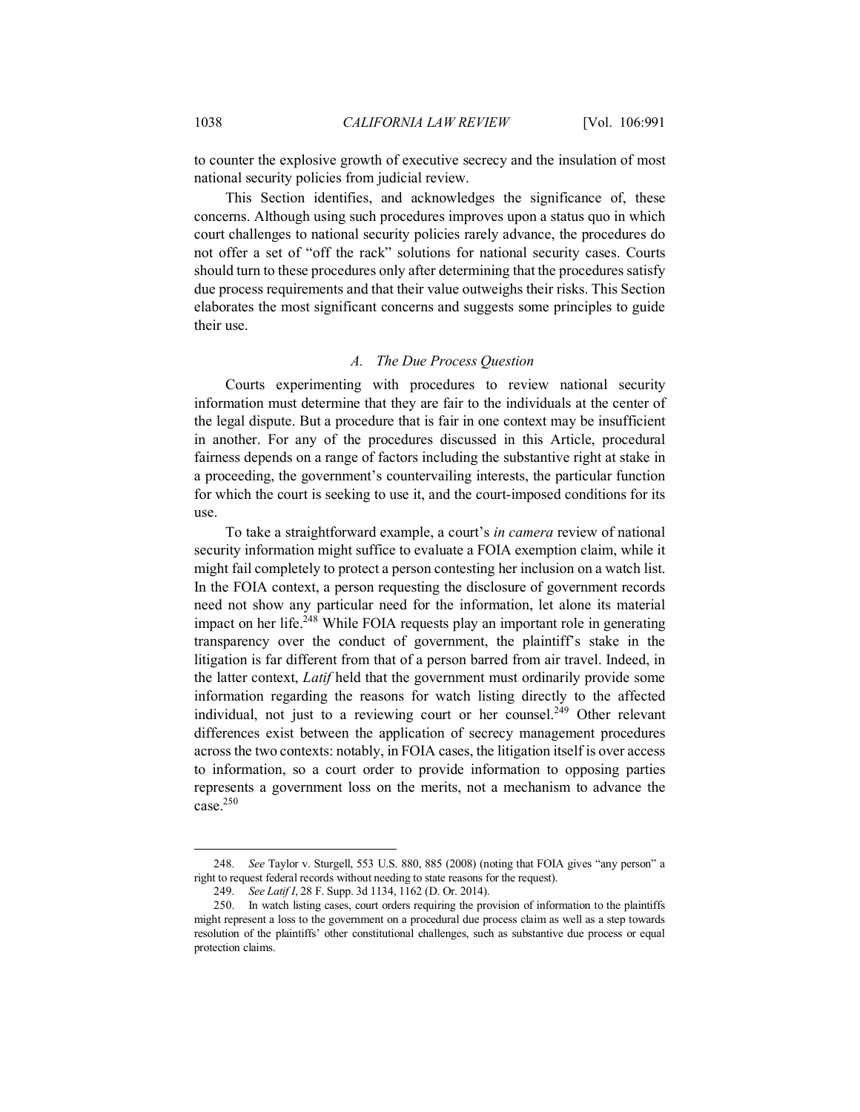to counter the explosive growth of executive secrecy and the insulation of most national security policies from judicial review.

This Section identifies, and acknowledges the significance of, these concerns. Although using such procedures improves upon a status quo in which court challenges to national security policies rarely advance, the procedures do not offer a set of "off the rack" solutions for national security cases. Courts should turn to these procedures only after determining that the procedures satisfy due process requirements and that their value outweighs their risks. This Section elaborates the most significant concerns and suggests some principles to guide their use.

#### *A. The Due Process Question*

Courts experimenting with procedures to review national security information must determine that they are fair to the individuals at the center of the legal dispute. But a procedure that is fair in one context may be insufficient in another. For any of the procedures discussed in this Article, procedural fairness depends on a range of factors including the substantive right at stake in a proceeding, the government's countervailing interests, the particular function for which the court is seeking to use it, and the court-imposed conditions for its use.

To take a straightforward example, a court's *in camera* review of national security information might suffice to evaluate a FOIA exemption claim, while it might fail completely to protect a person contesting her inclusion on a watch list. In the FOIA context, a person requesting the disclosure of government records need not show any particular need for the information, let alone its material impact on her life.<sup>248</sup> While FOIA requests play an important role in generating transparency over the conduct of government, the plaintiff's stake in the litigation is far different from that of a person barred from air travel. Indeed, in the latter context, *Latif* held that the government must ordinarily provide some information regarding the reasons for watch listing directly to the affected individual, not just to a reviewing court or her counsel.<sup>249</sup> Other relevant differences exist between the application of secrecy management procedures across the two contexts: notably, in FOIA cases, the litigation itself is over access to information, so a court order to provide information to opposing parties represents a government loss on the merits, not a mechanism to advance the case.250

<sup>248.</sup> *See* Taylor v. Sturgell, 553 U.S. 880, 885 (2008) (noting that FOIA gives "any person" a right to request federal records without needing to state reasons for the request).

<sup>249.</sup> *See Latif I*, 28 F. Supp. 3d 1134, 1162 (D. Or. 2014).

<sup>250.</sup> In watch listing cases, court orders requiring the provision of information to the plaintiffs might represent a loss to the government on a procedural due process claim as well as a step towards resolution of the plaintiffs' other constitutional challenges, such as substantive due process or equal protection claims.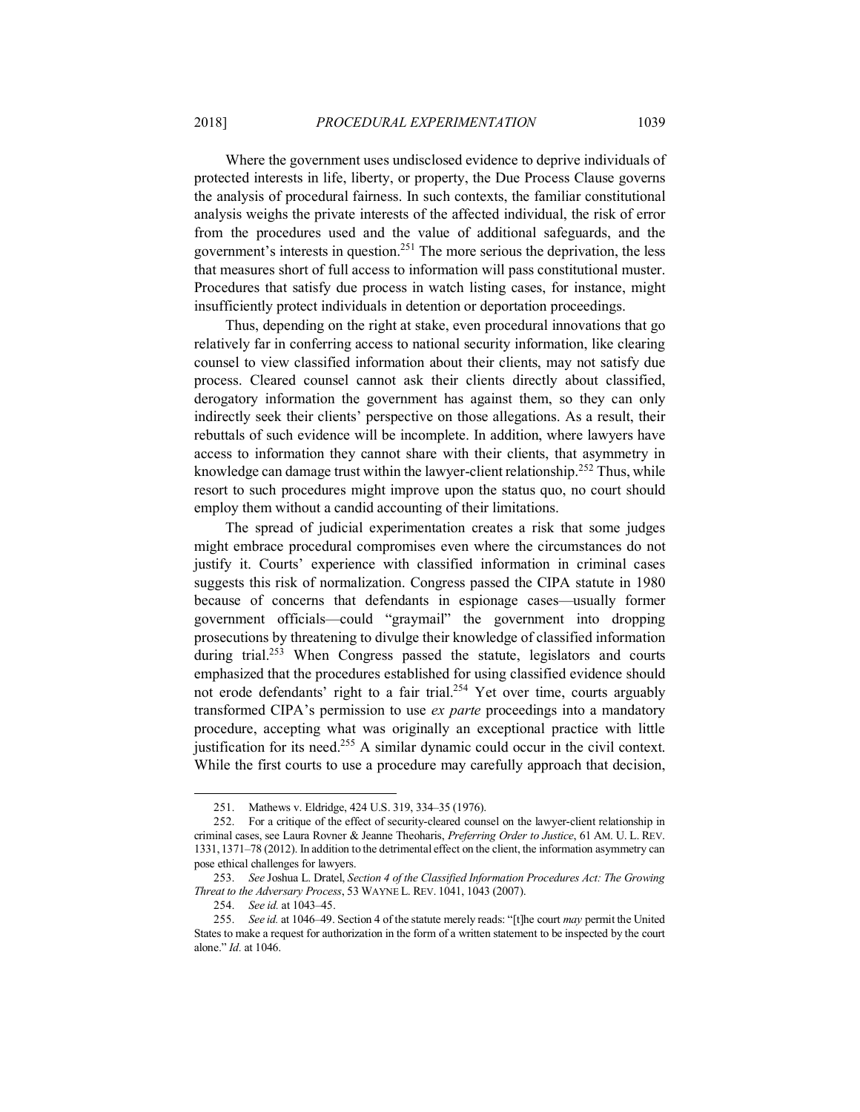Where the government uses undisclosed evidence to deprive individuals of protected interests in life, liberty, or property, the Due Process Clause governs the analysis of procedural fairness. In such contexts, the familiar constitutional analysis weighs the private interests of the affected individual, the risk of error from the procedures used and the value of additional safeguards, and the government's interests in question.251 The more serious the deprivation, the less that measures short of full access to information will pass constitutional muster. Procedures that satisfy due process in watch listing cases, for instance, might insufficiently protect individuals in detention or deportation proceedings.

Thus, depending on the right at stake, even procedural innovations that go relatively far in conferring access to national security information, like clearing counsel to view classified information about their clients, may not satisfy due process. Cleared counsel cannot ask their clients directly about classified, derogatory information the government has against them, so they can only indirectly seek their clients' perspective on those allegations. As a result, their rebuttals of such evidence will be incomplete. In addition, where lawyers have access to information they cannot share with their clients, that asymmetry in knowledge can damage trust within the lawyer-client relationship.<sup>252</sup> Thus, while resort to such procedures might improve upon the status quo, no court should employ them without a candid accounting of their limitations.

The spread of judicial experimentation creates a risk that some judges might embrace procedural compromises even where the circumstances do not justify it. Courts' experience with classified information in criminal cases suggests this risk of normalization. Congress passed the CIPA statute in 1980 because of concerns that defendants in espionage cases—usually former government officials—could "graymail" the government into dropping prosecutions by threatening to divulge their knowledge of classified information during trial.<sup>253</sup> When Congress passed the statute, legislators and courts emphasized that the procedures established for using classified evidence should not erode defendants' right to a fair trial.<sup>254</sup> Yet over time, courts arguably transformed CIPA's permission to use *ex parte* proceedings into a mandatory procedure, accepting what was originally an exceptional practice with little justification for its need.<sup>255</sup> A similar dynamic could occur in the civil context. While the first courts to use a procedure may carefully approach that decision,

 <sup>251.</sup> Mathews v. Eldridge, 424 U.S. 319, 334–35 (1976).

<sup>252.</sup> For a critique of the effect of security-cleared counsel on the lawyer-client relationship in criminal cases, see Laura Rovner & Jeanne Theoharis, *Preferring Order to Justice*, 61 AM. U. L. REV. 1331,1371–78 (2012). In addition to the detrimental effect on the client, the information asymmetry can pose ethical challenges for lawyers.

<sup>253.</sup> *See* Joshua L. Dratel, *Section 4 of the Classified Information Procedures Act: The Growing Threat to the Adversary Process*, 53 WAYNE L. REV. 1041, 1043 (2007).

<sup>254.</sup> *See id.* at 1043–45.

<sup>255.</sup> *See id.* at 1046–49. Section 4 of the statute merely reads: "[t]he court *may* permit the United States to make a request for authorization in the form of a written statement to be inspected by the court alone." *Id.* at 1046.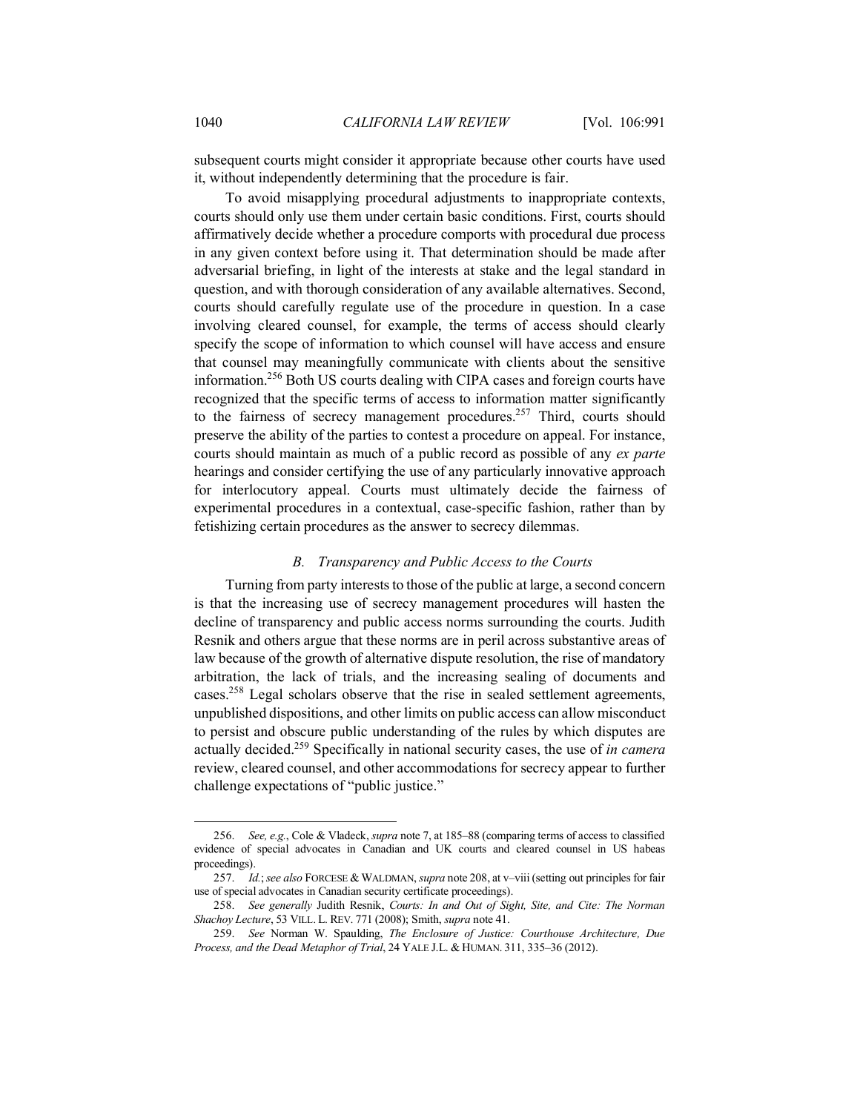subsequent courts might consider it appropriate because other courts have used it, without independently determining that the procedure is fair.

To avoid misapplying procedural adjustments to inappropriate contexts, courts should only use them under certain basic conditions. First, courts should affirmatively decide whether a procedure comports with procedural due process in any given context before using it. That determination should be made after adversarial briefing, in light of the interests at stake and the legal standard in question, and with thorough consideration of any available alternatives. Second, courts should carefully regulate use of the procedure in question. In a case involving cleared counsel, for example, the terms of access should clearly specify the scope of information to which counsel will have access and ensure that counsel may meaningfully communicate with clients about the sensitive information.256 Both US courts dealing with CIPA cases and foreign courts have recognized that the specific terms of access to information matter significantly to the fairness of secrecy management procedures.<sup>257</sup> Third, courts should preserve the ability of the parties to contest a procedure on appeal. For instance, courts should maintain as much of a public record as possible of any *ex parte* hearings and consider certifying the use of any particularly innovative approach for interlocutory appeal. Courts must ultimately decide the fairness of experimental procedures in a contextual, case-specific fashion, rather than by fetishizing certain procedures as the answer to secrecy dilemmas.

#### *B. Transparency and Public Access to the Courts*

Turning from party interests to those of the public at large, a second concern is that the increasing use of secrecy management procedures will hasten the decline of transparency and public access norms surrounding the courts. Judith Resnik and others argue that these norms are in peril across substantive areas of law because of the growth of alternative dispute resolution, the rise of mandatory arbitration, the lack of trials, and the increasing sealing of documents and cases.258 Legal scholars observe that the rise in sealed settlement agreements, unpublished dispositions, and other limits on public access can allow misconduct to persist and obscure public understanding of the rules by which disputes are actually decided.259 Specifically in national security cases, the use of *in camera* review, cleared counsel, and other accommodations for secrecy appear to further challenge expectations of "public justice."

<sup>256.</sup> *See, e.g.*, Cole & Vladeck, *supra* note 7, at 185–88 (comparing terms of access to classified evidence of special advocates in Canadian and UK courts and cleared counsel in US habeas proceedings).

<sup>257.</sup> *Id.*; *see also* FORCESE & WALDMAN, *supra* note 208, at v–viii (setting out principles for fair use of special advocates in Canadian security certificate proceedings).

<sup>258.</sup> *See generally* Judith Resnik, *Courts: In and Out of Sight, Site, and Cite: The Norman Shachoy Lecture*, 53 VILL. L. REV. 771 (2008); Smith, *supra* note 41.

<sup>259.</sup> *See* Norman W. Spaulding, *The Enclosure of Justice: Courthouse Architecture, Due Process, and the Dead Metaphor of Trial*, 24 YALE J.L. & HUMAN. 311, 335–36 (2012).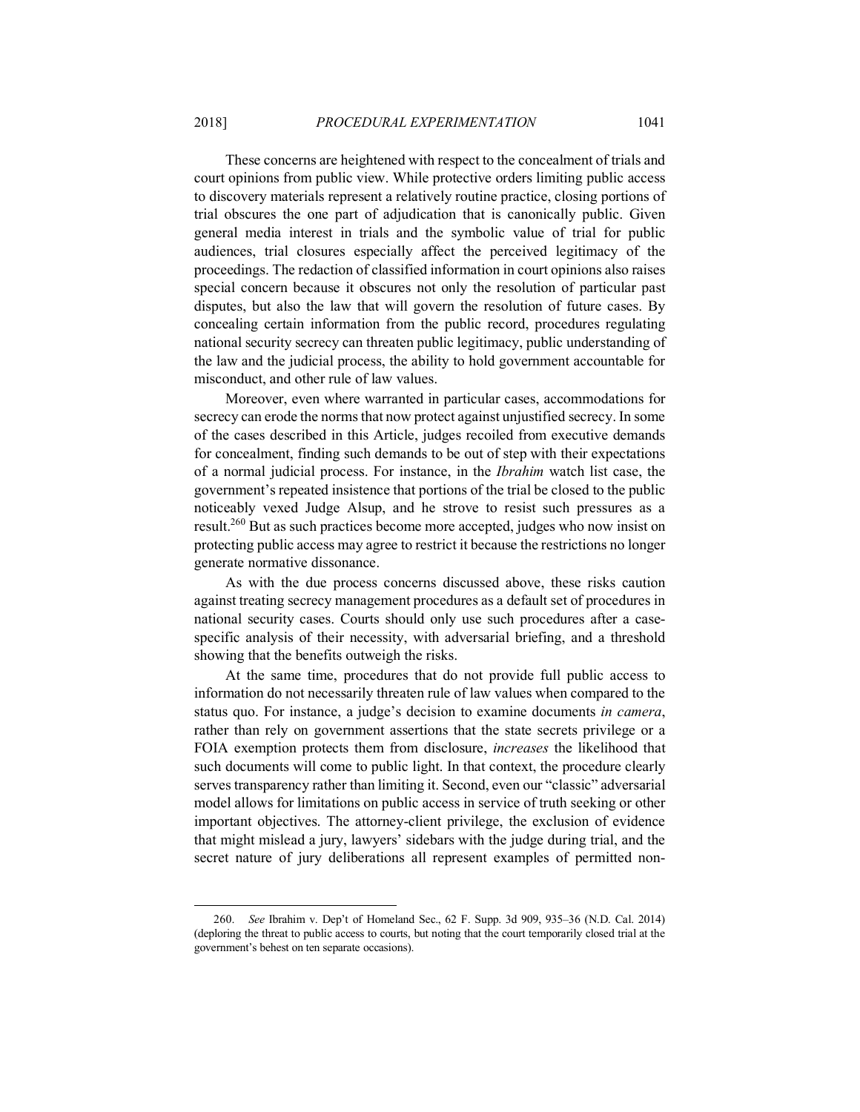These concerns are heightened with respect to the concealment of trials and court opinions from public view. While protective orders limiting public access to discovery materials represent a relatively routine practice, closing portions of trial obscures the one part of adjudication that is canonically public. Given general media interest in trials and the symbolic value of trial for public audiences, trial closures especially affect the perceived legitimacy of the proceedings. The redaction of classified information in court opinions also raises special concern because it obscures not only the resolution of particular past disputes, but also the law that will govern the resolution of future cases. By concealing certain information from the public record, procedures regulating national security secrecy can threaten public legitimacy, public understanding of the law and the judicial process, the ability to hold government accountable for misconduct, and other rule of law values.

Moreover, even where warranted in particular cases, accommodations for secrecy can erode the norms that now protect against unjustified secrecy. In some of the cases described in this Article, judges recoiled from executive demands for concealment, finding such demands to be out of step with their expectations of a normal judicial process. For instance, in the *Ibrahim* watch list case, the government's repeated insistence that portions of the trial be closed to the public noticeably vexed Judge Alsup, and he strove to resist such pressures as a result.260 But as such practices become more accepted, judges who now insist on protecting public access may agree to restrict it because the restrictions no longer generate normative dissonance.

As with the due process concerns discussed above, these risks caution against treating secrecy management procedures as a default set of procedures in national security cases. Courts should only use such procedures after a casespecific analysis of their necessity, with adversarial briefing, and a threshold showing that the benefits outweigh the risks.

At the same time, procedures that do not provide full public access to information do not necessarily threaten rule of law values when compared to the status quo. For instance, a judge's decision to examine documents *in camera*, rather than rely on government assertions that the state secrets privilege or a FOIA exemption protects them from disclosure, *increases* the likelihood that such documents will come to public light. In that context, the procedure clearly serves transparency rather than limiting it. Second, even our "classic" adversarial model allows for limitations on public access in service of truth seeking or other important objectives. The attorney-client privilege, the exclusion of evidence that might mislead a jury, lawyers' sidebars with the judge during trial, and the secret nature of jury deliberations all represent examples of permitted non-

<sup>260.</sup> *See* Ibrahim v. Dep't of Homeland Sec., 62 F. Supp. 3d 909, 935–36 (N.D. Cal. 2014) (deploring the threat to public access to courts, but noting that the court temporarily closed trial at the government's behest on ten separate occasions).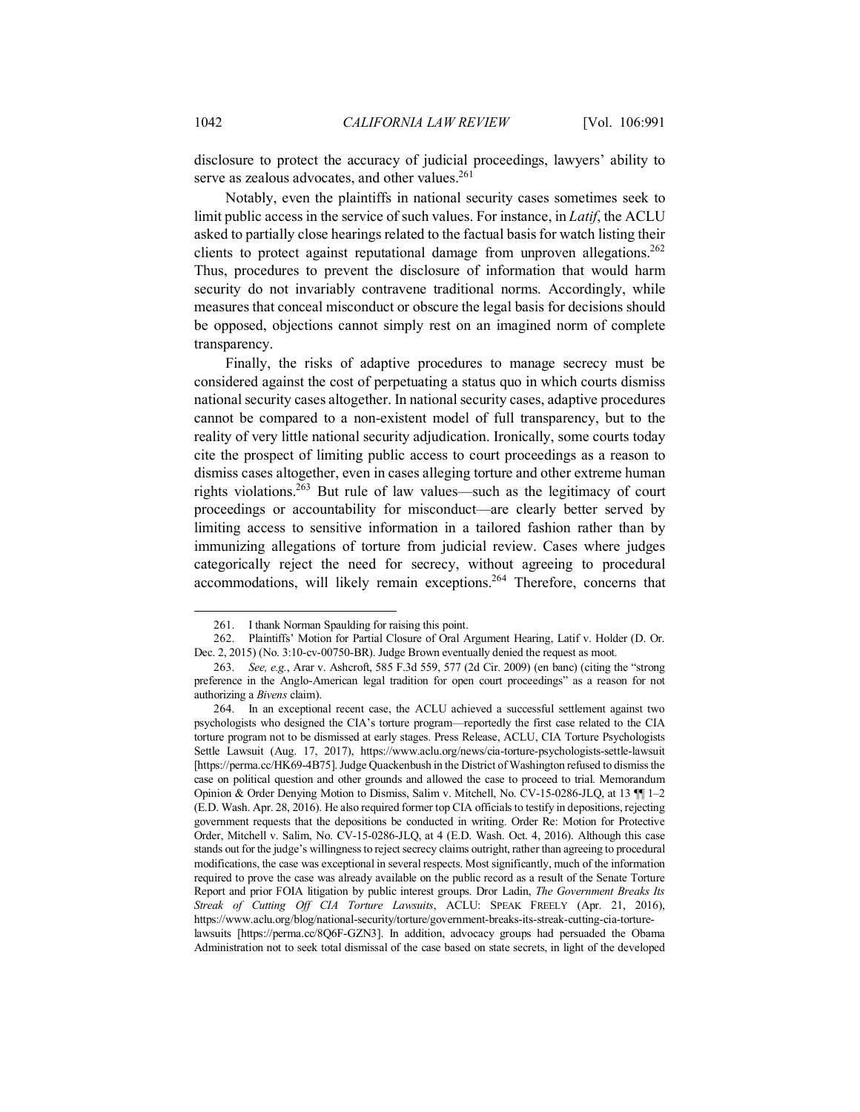disclosure to protect the accuracy of judicial proceedings, lawyers' ability to serve as zealous advocates, and other values.<sup>261</sup>

Notably, even the plaintiffs in national security cases sometimes seek to limit public access in the service of such values. For instance, in *Latif*, the ACLU asked to partially close hearings related to the factual basis for watch listing their clients to protect against reputational damage from unproven allegations.<sup>262</sup> Thus, procedures to prevent the disclosure of information that would harm security do not invariably contravene traditional norms. Accordingly, while measures that conceal misconduct or obscure the legal basis for decisions should be opposed, objections cannot simply rest on an imagined norm of complete transparency.

Finally, the risks of adaptive procedures to manage secrecy must be considered against the cost of perpetuating a status quo in which courts dismiss national security cases altogether. In national security cases, adaptive procedures cannot be compared to a non-existent model of full transparency, but to the reality of very little national security adjudication. Ironically, some courts today cite the prospect of limiting public access to court proceedings as a reason to dismiss cases altogether, even in cases alleging torture and other extreme human rights violations.263 But rule of law values—such as the legitimacy of court proceedings or accountability for misconduct—are clearly better served by limiting access to sensitive information in a tailored fashion rather than by immunizing allegations of torture from judicial review. Cases where judges categorically reject the need for secrecy, without agreeing to procedural accommodations, will likely remain exceptions.<sup>264</sup> Therefore, concerns that

<sup>261.</sup> I thank Norman Spaulding for raising this point.

<sup>262.</sup> Plaintiffs' Motion for Partial Closure of Oral Argument Hearing, Latif v. Holder (D. Or. Dec. 2, 2015) (No. 3:10-cv-00750-BR). Judge Brown eventually denied the request as moot.

<sup>263.</sup> *See, e.g.*, Arar v. Ashcroft, 585 F.3d 559, 577 (2d Cir. 2009) (en banc) (citing the "strong preference in the Anglo-American legal tradition for open court proceedings" as a reason for not authorizing a *Bivens* claim).

<sup>264.</sup> In an exceptional recent case, the ACLU achieved a successful settlement against two psychologists who designed the CIA's torture program—reportedly the first case related to the CIA torture program not to be dismissed at early stages. Press Release, ACLU, CIA Torture Psychologists Settle Lawsuit (Aug. 17, 2017), https://www.aclu.org/news/cia-torture-psychologists-settle-lawsuit [https://perma.cc/HK69-4B75]. Judge Quackenbush in the District of Washington refused to dismiss the case on political question and other grounds and allowed the case to proceed to trial. Memorandum Opinion & Order Denying Motion to Dismiss, Salim v. Mitchell, No. CV-15-0286-JLQ, at 13 ¶¶ 1–2 (E.D. Wash. Apr. 28, 2016). He also required former top CIA officials to testify in depositions, rejecting government requests that the depositions be conducted in writing. Order Re: Motion for Protective Order, Mitchell v. Salim, No. CV-15-0286-JLQ, at 4 (E.D. Wash. Oct. 4, 2016). Although this case stands out for the judge's willingness to reject secrecy claims outright, rather than agreeing to procedural modifications, the case was exceptional in several respects. Most significantly, much of the information required to prove the case was already available on the public record as a result of the Senate Torture Report and prior FOIA litigation by public interest groups. Dror Ladin, *The Government Breaks Its Streak of Cutting Off CIA Torture Lawsuits*, ACLU: SPEAK FREELY (Apr. 21, 2016), https://www.aclu.org/blog/national-security/torture/government-breaks-its-streak-cutting-cia-torturelawsuits [https://perma.cc/8Q6F-GZN3]. In addition, advocacy groups had persuaded the Obama Administration not to seek total dismissal of the case based on state secrets, in light of the developed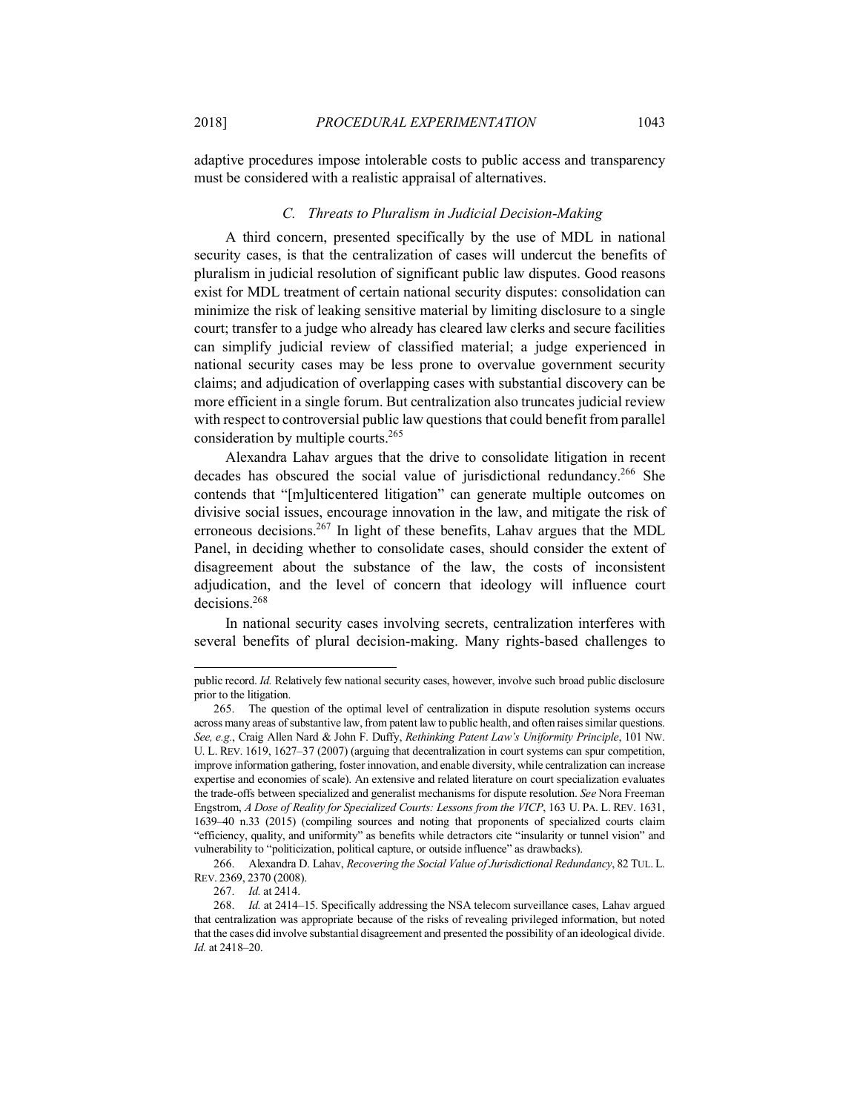adaptive procedures impose intolerable costs to public access and transparency must be considered with a realistic appraisal of alternatives.

#### *C. Threats to Pluralism in Judicial Decision-Making*

A third concern, presented specifically by the use of MDL in national security cases, is that the centralization of cases will undercut the benefits of pluralism in judicial resolution of significant public law disputes. Good reasons exist for MDL treatment of certain national security disputes: consolidation can minimize the risk of leaking sensitive material by limiting disclosure to a single court; transfer to a judge who already has cleared law clerks and secure facilities can simplify judicial review of classified material; a judge experienced in national security cases may be less prone to overvalue government security claims; and adjudication of overlapping cases with substantial discovery can be more efficient in a single forum. But centralization also truncates judicial review with respect to controversial public law questions that could benefit from parallel consideration by multiple courts.<sup>265</sup>

Alexandra Lahav argues that the drive to consolidate litigation in recent decades has obscured the social value of jurisdictional redundancy.<sup>266</sup> She contends that "[m]ulticentered litigation" can generate multiple outcomes on divisive social issues, encourage innovation in the law, and mitigate the risk of erroneous decisions.<sup>267</sup> In light of these benefits, Lahav argues that the MDL Panel, in deciding whether to consolidate cases, should consider the extent of disagreement about the substance of the law, the costs of inconsistent adjudication, and the level of concern that ideology will influence court decisions.<sup>268</sup>

In national security cases involving secrets, centralization interferes with several benefits of plural decision-making. Many rights-based challenges to

public record. *Id.* Relatively few national security cases, however, involve such broad public disclosure prior to the litigation.

<sup>265.</sup> The question of the optimal level of centralization in dispute resolution systems occurs across many areas of substantive law, from patent law to public health, and often raises similar questions. *See, e.g.*, Craig Allen Nard & John F. Duffy, *Rethinking Patent Law's Uniformity Principle*, 101 NW. U. L. REV. 1619, 1627–37 (2007) (arguing that decentralization in court systems can spur competition, improve information gathering, foster innovation, and enable diversity, while centralization can increase expertise and economies of scale). An extensive and related literature on court specialization evaluates the trade-offs between specialized and generalist mechanisms for dispute resolution. *See* Nora Freeman Engstrom, *A Dose of Reality for Specialized Courts: Lessons from the VICP*, 163 U. PA. L. REV. 1631, 1639–40 n.33 (2015) (compiling sources and noting that proponents of specialized courts claim "efficiency, quality, and uniformity" as benefits while detractors cite "insularity or tunnel vision" and vulnerability to "politicization, political capture, or outside influence" as drawbacks).

<sup>266.</sup> Alexandra D. Lahav, *Recovering the Social Value of Jurisdictional Redundancy*, 82 TUL. L. REV. 2369, 2370 (2008).

<sup>267.</sup> *Id.* at 2414.

<sup>268.</sup> *Id.* at 2414–15. Specifically addressing the NSA telecom surveillance cases, Lahav argued that centralization was appropriate because of the risks of revealing privileged information, but noted that the cases did involve substantial disagreement and presented the possibility of an ideological divide. *Id.* at 2418–20.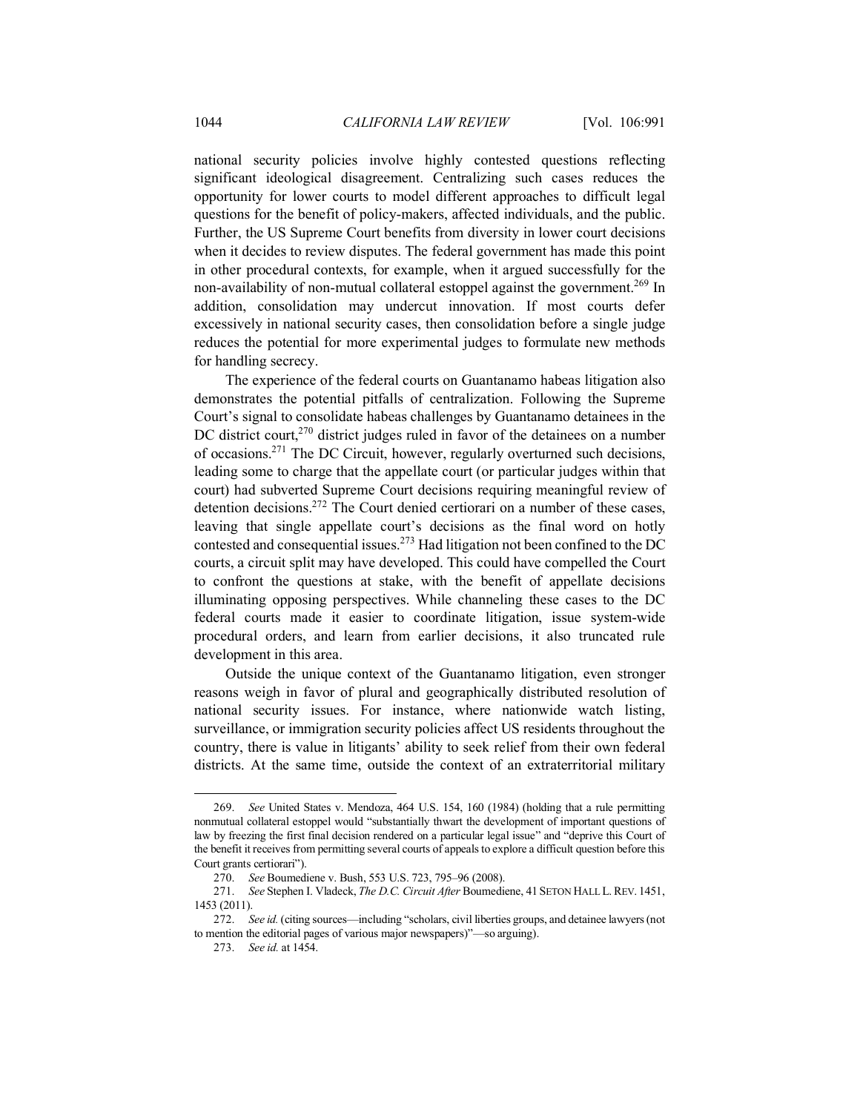national security policies involve highly contested questions reflecting significant ideological disagreement. Centralizing such cases reduces the opportunity for lower courts to model different approaches to difficult legal questions for the benefit of policy-makers, affected individuals, and the public. Further, the US Supreme Court benefits from diversity in lower court decisions when it decides to review disputes. The federal government has made this point in other procedural contexts, for example, when it argued successfully for the non-availability of non-mutual collateral estoppel against the government.<sup>269</sup> In addition, consolidation may undercut innovation. If most courts defer excessively in national security cases, then consolidation before a single judge reduces the potential for more experimental judges to formulate new methods for handling secrecy.

The experience of the federal courts on Guantanamo habeas litigation also demonstrates the potential pitfalls of centralization. Following the Supreme Court's signal to consolidate habeas challenges by Guantanamo detainees in the DC district court,<sup>270</sup> district judges ruled in favor of the detainees on a number of occasions.271 The DC Circuit, however, regularly overturned such decisions, leading some to charge that the appellate court (or particular judges within that court) had subverted Supreme Court decisions requiring meaningful review of detention decisions.272 The Court denied certiorari on a number of these cases, leaving that single appellate court's decisions as the final word on hotly contested and consequential issues.273 Had litigation not been confined to the DC courts, a circuit split may have developed. This could have compelled the Court to confront the questions at stake, with the benefit of appellate decisions illuminating opposing perspectives. While channeling these cases to the DC federal courts made it easier to coordinate litigation, issue system-wide procedural orders, and learn from earlier decisions, it also truncated rule development in this area.

Outside the unique context of the Guantanamo litigation, even stronger reasons weigh in favor of plural and geographically distributed resolution of national security issues. For instance, where nationwide watch listing, surveillance, or immigration security policies affect US residents throughout the country, there is value in litigants' ability to seek relief from their own federal districts. At the same time, outside the context of an extraterritorial military

 <sup>269.</sup> *See* United States v. Mendoza, 464 U.S. 154, 160 (1984) (holding that a rule permitting nonmutual collateral estoppel would "substantially thwart the development of important questions of law by freezing the first final decision rendered on a particular legal issue" and "deprive this Court of the benefit it receives from permitting several courts of appeals to explore a difficult question before this Court grants certiorari").

<sup>270.</sup> *See* Boumediene v. Bush, 553 U.S. 723, 795–96 (2008).

<sup>271.</sup> *See* Stephen I. Vladeck, *The D.C. Circuit After* Boumediene, 41 SETON HALL L. REV. 1451, 1453 (2011).

<sup>272.</sup> *See id.* (citing sources—including "scholars, civil liberties groups, and detainee lawyers (not to mention the editorial pages of various major newspapers)"—so arguing).

<sup>273.</sup> *See id.* at 1454.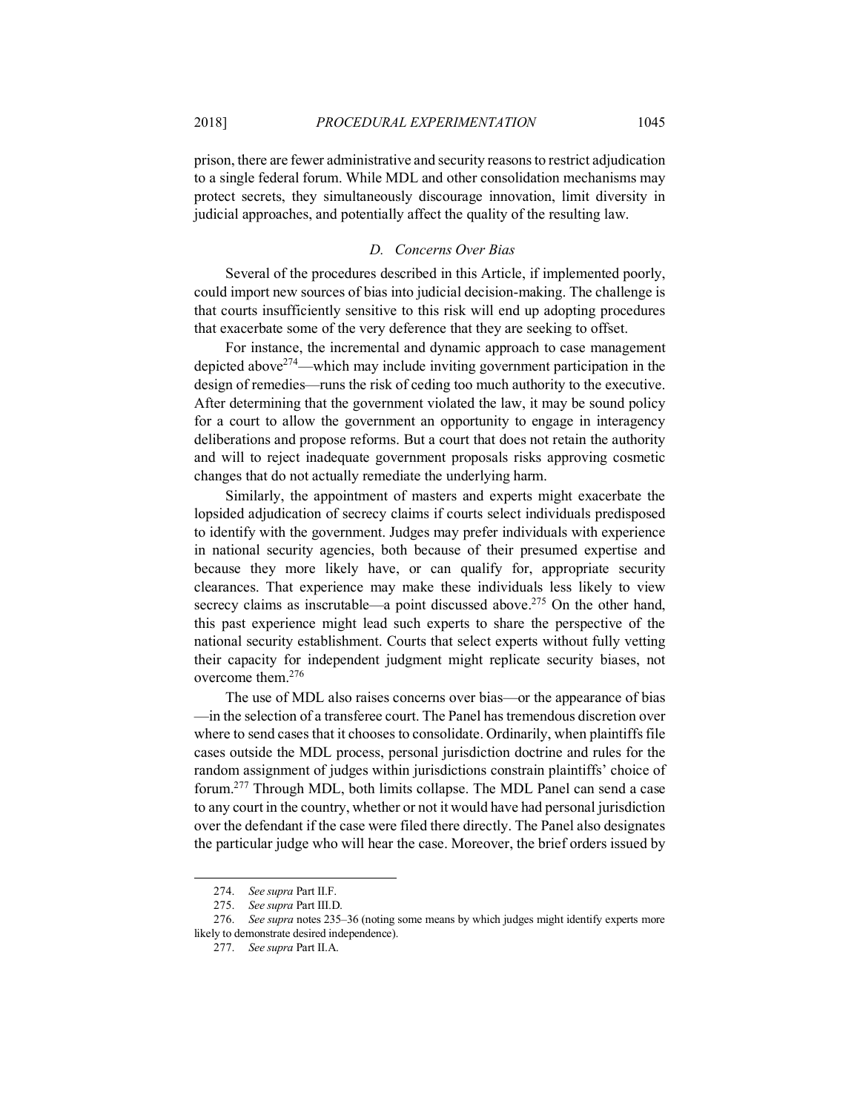prison, there are fewer administrative and security reasons to restrict adjudication to a single federal forum. While MDL and other consolidation mechanisms may protect secrets, they simultaneously discourage innovation, limit diversity in judicial approaches, and potentially affect the quality of the resulting law.

#### *D. Concerns Over Bias*

Several of the procedures described in this Article, if implemented poorly, could import new sources of bias into judicial decision-making. The challenge is that courts insufficiently sensitive to this risk will end up adopting procedures that exacerbate some of the very deference that they are seeking to offset.

For instance, the incremental and dynamic approach to case management depicted above $274$ —which may include inviting government participation in the design of remedies—runs the risk of ceding too much authority to the executive. After determining that the government violated the law, it may be sound policy for a court to allow the government an opportunity to engage in interagency deliberations and propose reforms. But a court that does not retain the authority and will to reject inadequate government proposals risks approving cosmetic changes that do not actually remediate the underlying harm.

Similarly, the appointment of masters and experts might exacerbate the lopsided adjudication of secrecy claims if courts select individuals predisposed to identify with the government. Judges may prefer individuals with experience in national security agencies, both because of their presumed expertise and because they more likely have, or can qualify for, appropriate security clearances. That experience may make these individuals less likely to view secrecy claims as inscrutable—a point discussed above.<sup>275</sup> On the other hand, this past experience might lead such experts to share the perspective of the national security establishment. Courts that select experts without fully vetting their capacity for independent judgment might replicate security biases, not overcome them.276

The use of MDL also raises concerns over bias—or the appearance of bias —in the selection of a transferee court. The Panel has tremendous discretion over where to send cases that it chooses to consolidate. Ordinarily, when plaintiffs file cases outside the MDL process, personal jurisdiction doctrine and rules for the random assignment of judges within jurisdictions constrain plaintiffs' choice of forum.277 Through MDL, both limits collapse. The MDL Panel can send a case to any court in the country, whether or not it would have had personal jurisdiction over the defendant if the case were filed there directly. The Panel also designates the particular judge who will hear the case. Moreover, the brief orders issued by

 <sup>274.</sup> *See supra* Part II.F.

<sup>275.</sup> *See supra* Part III.D.

<sup>276.</sup> *See supra* notes 235–36 (noting some means by which judges might identify experts more likely to demonstrate desired independence).

<sup>277.</sup> *See supra* Part II.A.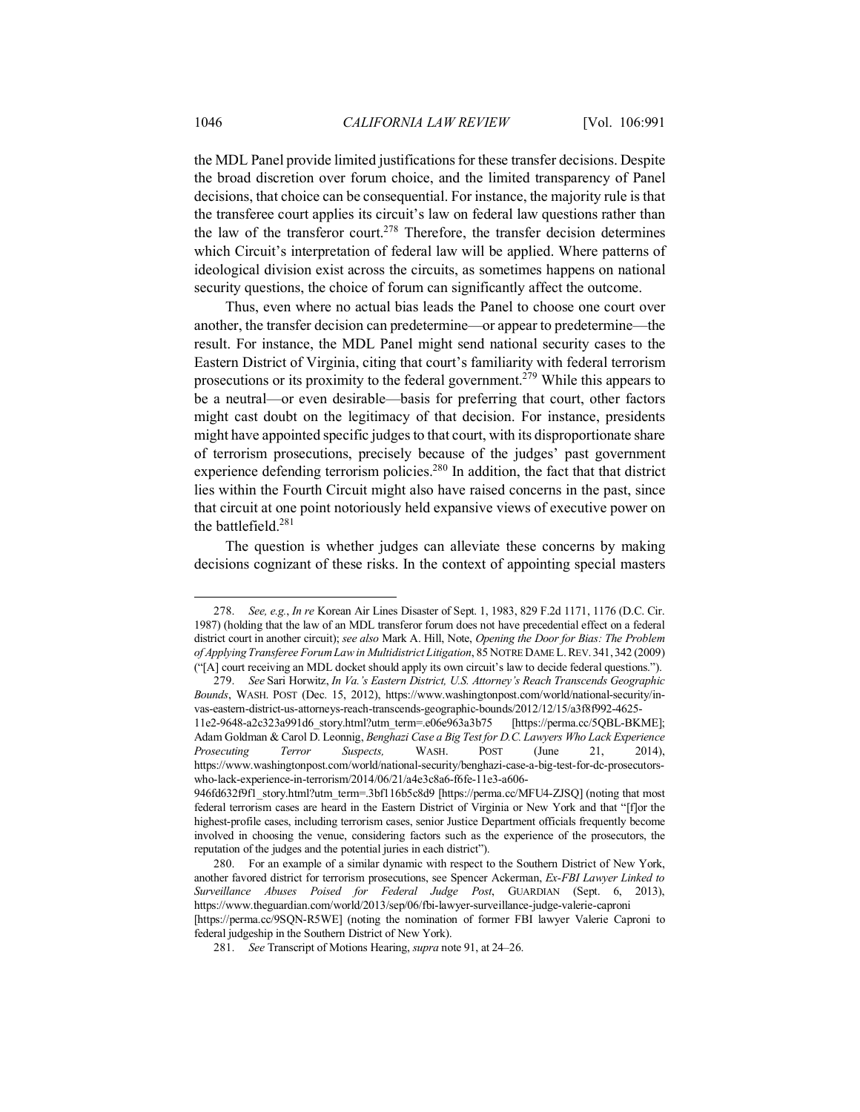the MDL Panel provide limited justifications for these transfer decisions. Despite the broad discretion over forum choice, and the limited transparency of Panel decisions, that choice can be consequential. For instance, the majority rule is that the transferee court applies its circuit's law on federal law questions rather than the law of the transferor court.<sup>278</sup> Therefore, the transfer decision determines which Circuit's interpretation of federal law will be applied. Where patterns of ideological division exist across the circuits, as sometimes happens on national security questions, the choice of forum can significantly affect the outcome.

Thus, even where no actual bias leads the Panel to choose one court over another, the transfer decision can predetermine—or appear to predetermine—the result. For instance, the MDL Panel might send national security cases to the Eastern District of Virginia, citing that court's familiarity with federal terrorism prosecutions or its proximity to the federal government.<sup>279</sup> While this appears to be a neutral—or even desirable—basis for preferring that court, other factors might cast doubt on the legitimacy of that decision. For instance, presidents might have appointed specific judges to that court, with its disproportionate share of terrorism prosecutions, precisely because of the judges' past government experience defending terrorism policies.<sup>280</sup> In addition, the fact that that district lies within the Fourth Circuit might also have raised concerns in the past, since that circuit at one point notoriously held expansive views of executive power on the battlefield.281

The question is whether judges can alleviate these concerns by making decisions cognizant of these risks. In the context of appointing special masters

<sup>278.</sup> *See, e.g.*, *In re* Korean Air Lines Disaster of Sept. 1, 1983, 829 F.2d 1171, 1176 (D.C. Cir. 1987) (holding that the law of an MDL transferor forum does not have precedential effect on a federal district court in another circuit); *see also* Mark A. Hill, Note, *Opening the Door for Bias: The Problem of Applying Transferee Forum Law in Multidistrict Litigation*, 85 NOTRE DAME L.REV.341,342 (2009) ("[A] court receiving an MDL docket should apply its own circuit's law to decide federal questions.").

<sup>279.</sup> *See* Sari Horwitz, *In Va.'s Eastern District, U.S. Attorney's Reach Transcends Geographic Bounds*, WASH. POST (Dec. 15, 2012), https://www.washingtonpost.com/world/national-security/invas-eastern-district-us-attorneys-reach-transcends-geographic-bounds/2012/12/15/a3f8f992-4625-

<sup>11</sup>e2-9648-a2c323a991d6\_story.html?utm\_term=.e06e963a3b75 [https://perma.cc/5QBL-BKME]; Adam Goldman & Carol D. Leonnig, *Benghazi Case a Big Test for D.C. Lawyers Who Lack Experience Prosecuting Terror Suspects,* WASH. POST (June 21, 2014), https://www.washingtonpost.com/world/national-security/benghazi-case-a-big-test-for-dc-prosecutorswho-lack-experience-in-terrorism/2014/06/21/a4e3c8a6-f6fe-11e3-a606-

<sup>946</sup>fd632f9f1\_story.html?utm\_term=.3bf116b5c8d9 [https://perma.cc/MFU4-ZJSQ] (noting that most federal terrorism cases are heard in the Eastern District of Virginia or New York and that "[f]or the highest-profile cases, including terrorism cases, senior Justice Department officials frequently become involved in choosing the venue, considering factors such as the experience of the prosecutors, the reputation of the judges and the potential juries in each district").

<sup>280.</sup> For an example of a similar dynamic with respect to the Southern District of New York, another favored district for terrorism prosecutions, see Spencer Ackerman, *Ex-FBI Lawyer Linked to Surveillance Abuses Poised for Federal Judge Post*, GUARDIAN (Sept. 6, 2013), https://www.theguardian.com/world/2013/sep/06/fbi-lawyer-surveillance-judge-valerie-caproni [https://perma.cc/9SQN-R5WE] (noting the nomination of former FBI lawyer Valerie Caproni to federal judgeship in the Southern District of New York).

<sup>281.</sup> *See* Transcript of Motions Hearing, *supra* note 91, at 24–26.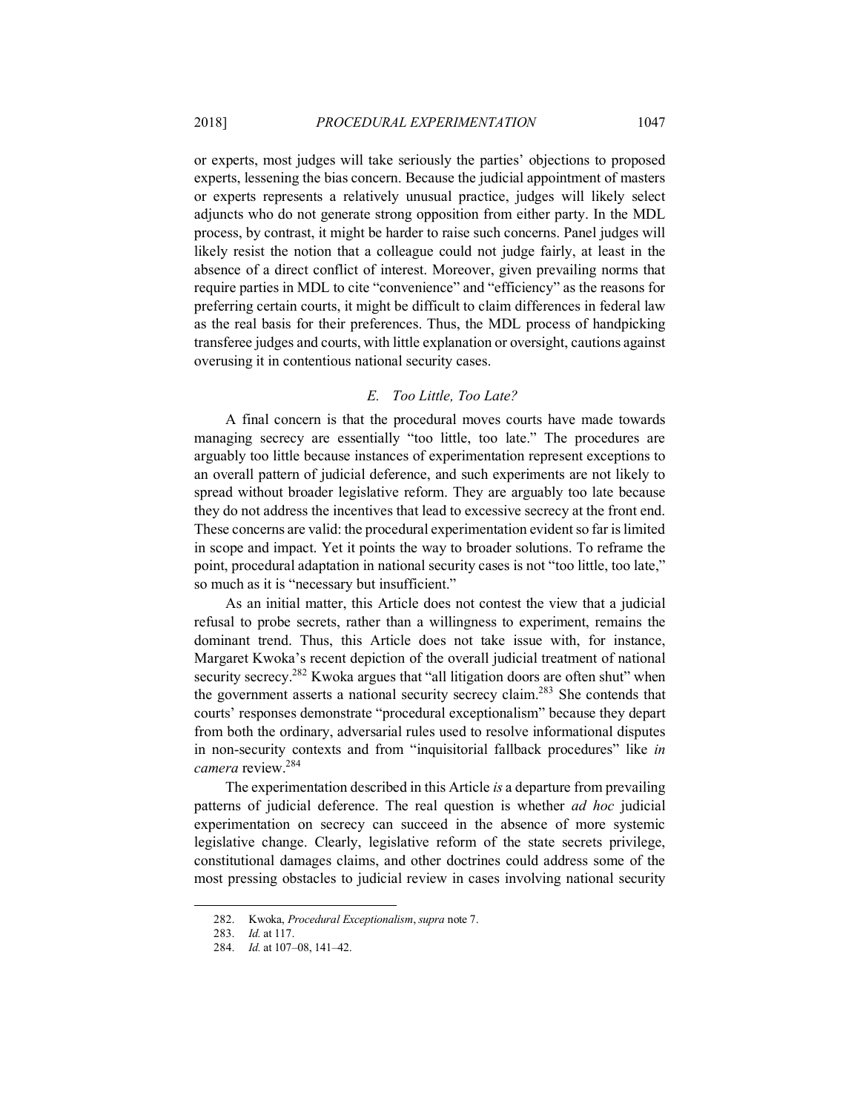or experts, most judges will take seriously the parties' objections to proposed experts, lessening the bias concern. Because the judicial appointment of masters or experts represents a relatively unusual practice, judges will likely select adjuncts who do not generate strong opposition from either party. In the MDL process, by contrast, it might be harder to raise such concerns. Panel judges will likely resist the notion that a colleague could not judge fairly, at least in the absence of a direct conflict of interest. Moreover, given prevailing norms that require parties in MDL to cite "convenience" and "efficiency" as the reasons for preferring certain courts, it might be difficult to claim differences in federal law as the real basis for their preferences. Thus, the MDL process of handpicking transferee judges and courts, with little explanation or oversight, cautions against overusing it in contentious national security cases.

#### *E. Too Little, Too Late?*

A final concern is that the procedural moves courts have made towards managing secrecy are essentially "too little, too late." The procedures are arguably too little because instances of experimentation represent exceptions to an overall pattern of judicial deference, and such experiments are not likely to spread without broader legislative reform. They are arguably too late because they do not address the incentives that lead to excessive secrecy at the front end. These concerns are valid: the procedural experimentation evident so far is limited in scope and impact. Yet it points the way to broader solutions. To reframe the point, procedural adaptation in national security cases is not "too little, too late," so much as it is "necessary but insufficient."

As an initial matter, this Article does not contest the view that a judicial refusal to probe secrets, rather than a willingness to experiment, remains the dominant trend. Thus, this Article does not take issue with, for instance, Margaret Kwoka's recent depiction of the overall judicial treatment of national security secrecy.<sup>282</sup> Kwoka argues that "all litigation doors are often shut" when the government asserts a national security secrecy claim.<sup>283</sup> She contends that courts' responses demonstrate "procedural exceptionalism" because they depart from both the ordinary, adversarial rules used to resolve informational disputes in non-security contexts and from "inquisitorial fallback procedures" like *in camera* review<sup>284</sup>

The experimentation described in this Article *is* a departure from prevailing patterns of judicial deference. The real question is whether *ad hoc* judicial experimentation on secrecy can succeed in the absence of more systemic legislative change. Clearly, legislative reform of the state secrets privilege, constitutional damages claims, and other doctrines could address some of the most pressing obstacles to judicial review in cases involving national security

<sup>282.</sup> Kwoka, *Procedural Exceptionalism*, *supra* note 7.

<sup>283.</sup> *Id.* at 117.

<sup>284.</sup> *Id.* at 107–08, 141–42.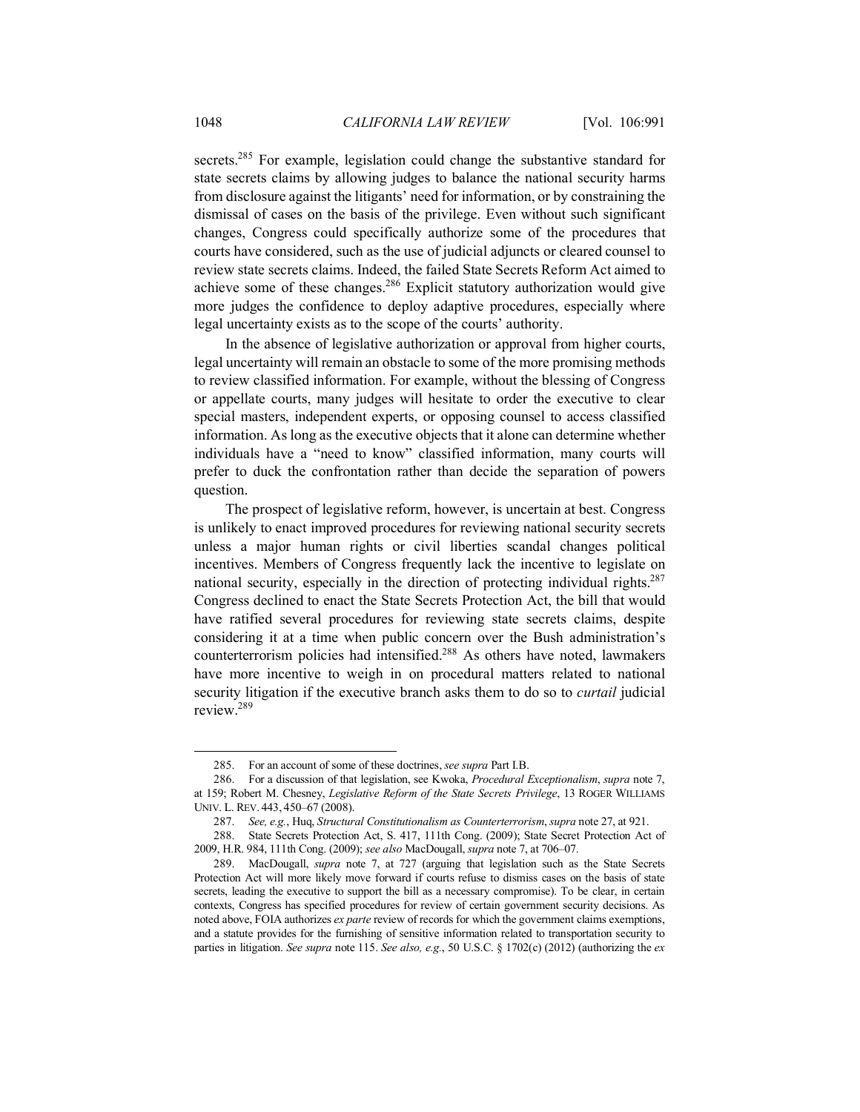secrets.<sup>285</sup> For example, legislation could change the substantive standard for state secrets claims by allowing judges to balance the national security harms from disclosure against the litigants' need for information, or by constraining the dismissal of cases on the basis of the privilege. Even without such significant changes, Congress could specifically authorize some of the procedures that courts have considered, such as the use of judicial adjuncts or cleared counsel to review state secrets claims. Indeed, the failed State Secrets Reform Act aimed to achieve some of these changes.<sup>286</sup> Explicit statutory authorization would give more judges the confidence to deploy adaptive procedures, especially where legal uncertainty exists as to the scope of the courts' authority.

In the absence of legislative authorization or approval from higher courts, legal uncertainty will remain an obstacle to some of the more promising methods to review classified information. For example, without the blessing of Congress or appellate courts, many judges will hesitate to order the executive to clear special masters, independent experts, or opposing counsel to access classified information. As long as the executive objects that it alone can determine whether individuals have a "need to know" classified information, many courts will prefer to duck the confrontation rather than decide the separation of powers question.

The prospect of legislative reform, however, is uncertain at best. Congress is unlikely to enact improved procedures for reviewing national security secrets unless a major human rights or civil liberties scandal changes political incentives. Members of Congress frequently lack the incentive to legislate on national security, especially in the direction of protecting individual rights.<sup>287</sup> Congress declined to enact the State Secrets Protection Act, the bill that would have ratified several procedures for reviewing state secrets claims, despite considering it at a time when public concern over the Bush administration's counterterrorism policies had intensified.288 As others have noted, lawmakers have more incentive to weigh in on procedural matters related to national security litigation if the executive branch asks them to do so to *curtail* judicial review.289

 <sup>285.</sup> For an account of some of these doctrines, *see supra* Part I.B.

<sup>286.</sup> For a discussion of that legislation, see Kwoka, *Procedural Exceptionalism*, *supra* note 7, at 159; Robert M. Chesney, *Legislative Reform of the State Secrets Privilege*, 13 ROGER WILLIAMS UNIV. L. REV. 443, 450–67 (2008).

<sup>287.</sup> *See, e.g.*, Huq, *Structural Constitutionalism as Counterterrorism*, *supra* note 27, at 921.

<sup>288.</sup> State Secrets Protection Act, S. 417, 111th Cong. (2009); State Secret Protection Act of 2009, H.R. 984, 111th Cong. (2009); *see also* MacDougall, *supra* note 7, at 706–07.

<sup>289.</sup> MacDougall, *supra* note 7, at 727 (arguing that legislation such as the State Secrets Protection Act will more likely move forward if courts refuse to dismiss cases on the basis of state secrets, leading the executive to support the bill as a necessary compromise). To be clear, in certain contexts, Congress has specified procedures for review of certain government security decisions. As noted above, FOIA authorizes *ex parte* review of records for which the government claims exemptions, and a statute provides for the furnishing of sensitive information related to transportation security to parties in litigation. *See supra* note 115. *See also, e.g.*, 50 U.S.C. § 1702(c) (2012) (authorizing the *ex*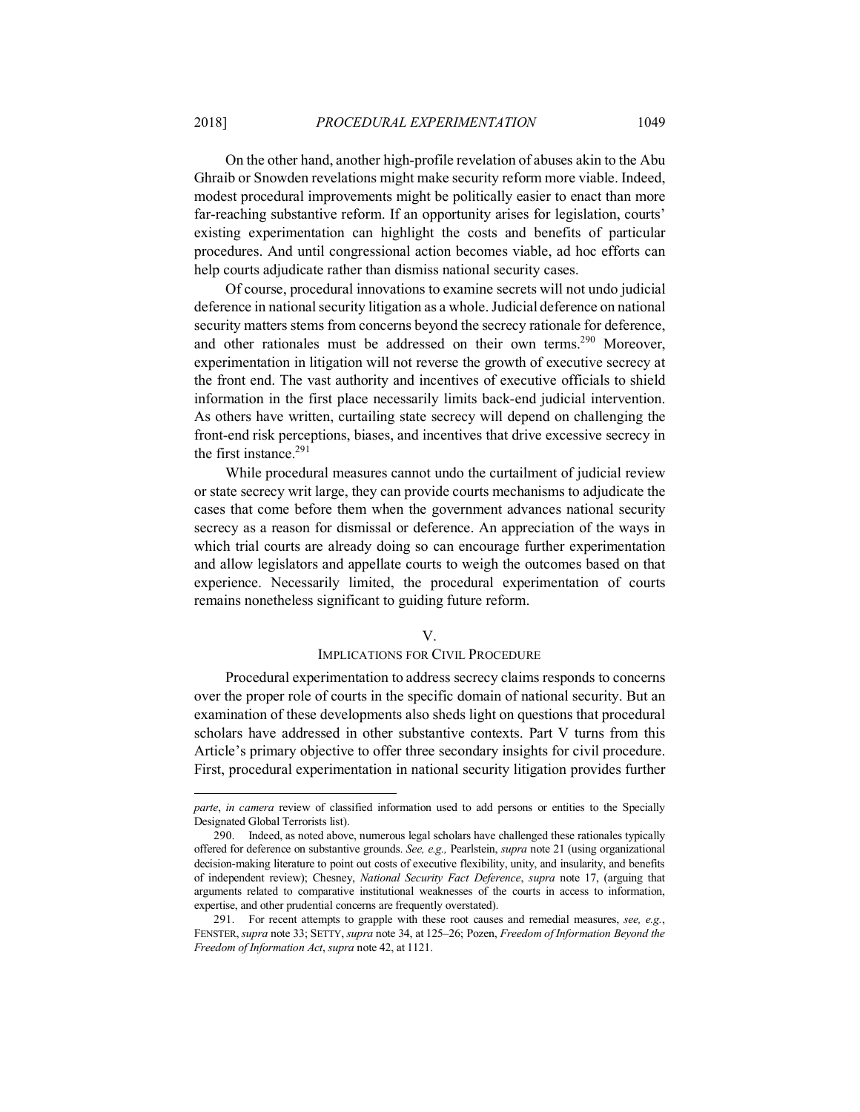On the other hand, another high-profile revelation of abuses akin to the Abu Ghraib or Snowden revelations might make security reform more viable. Indeed, modest procedural improvements might be politically easier to enact than more far-reaching substantive reform. If an opportunity arises for legislation, courts' existing experimentation can highlight the costs and benefits of particular procedures. And until congressional action becomes viable, ad hoc efforts can help courts adjudicate rather than dismiss national security cases.

Of course, procedural innovations to examine secrets will not undo judicial deference in national security litigation as a whole. Judicial deference on national security matters stems from concerns beyond the secrecy rationale for deference, and other rationales must be addressed on their own terms.290 Moreover, experimentation in litigation will not reverse the growth of executive secrecy at the front end. The vast authority and incentives of executive officials to shield information in the first place necessarily limits back-end judicial intervention. As others have written, curtailing state secrecy will depend on challenging the front-end risk perceptions, biases, and incentives that drive excessive secrecy in the first instance. $291$ 

While procedural measures cannot undo the curtailment of judicial review or state secrecy writ large, they can provide courts mechanisms to adjudicate the cases that come before them when the government advances national security secrecy as a reason for dismissal or deference. An appreciation of the ways in which trial courts are already doing so can encourage further experimentation and allow legislators and appellate courts to weigh the outcomes based on that experience. Necessarily limited, the procedural experimentation of courts remains nonetheless significant to guiding future reform.

#### V.

#### IMPLICATIONS FOR CIVIL PROCEDURE

Procedural experimentation to address secrecy claims responds to concerns over the proper role of courts in the specific domain of national security. But an examination of these developments also sheds light on questions that procedural scholars have addressed in other substantive contexts. Part V turns from this Article's primary objective to offer three secondary insights for civil procedure. First, procedural experimentation in national security litigation provides further

*parte*, *in camera* review of classified information used to add persons or entities to the Specially Designated Global Terrorists list).

<sup>290.</sup> Indeed, as noted above, numerous legal scholars have challenged these rationales typically offered for deference on substantive grounds. *See, e.g.,* Pearlstein, *supra* note 21 (using organizational decision-making literature to point out costs of executive flexibility, unity, and insularity, and benefits of independent review); Chesney, *National Security Fact Deference*, *supra* note 17, (arguing that arguments related to comparative institutional weaknesses of the courts in access to information, expertise, and other prudential concerns are frequently overstated).

<sup>291.</sup> For recent attempts to grapple with these root causes and remedial measures, *see, e.g.*, FENSTER, *supra* note 33; SETTY, *supra* note 34, at 125–26; Pozen, *Freedom of Information Beyond the Freedom of Information Act*, *supra* note 42, at 1121.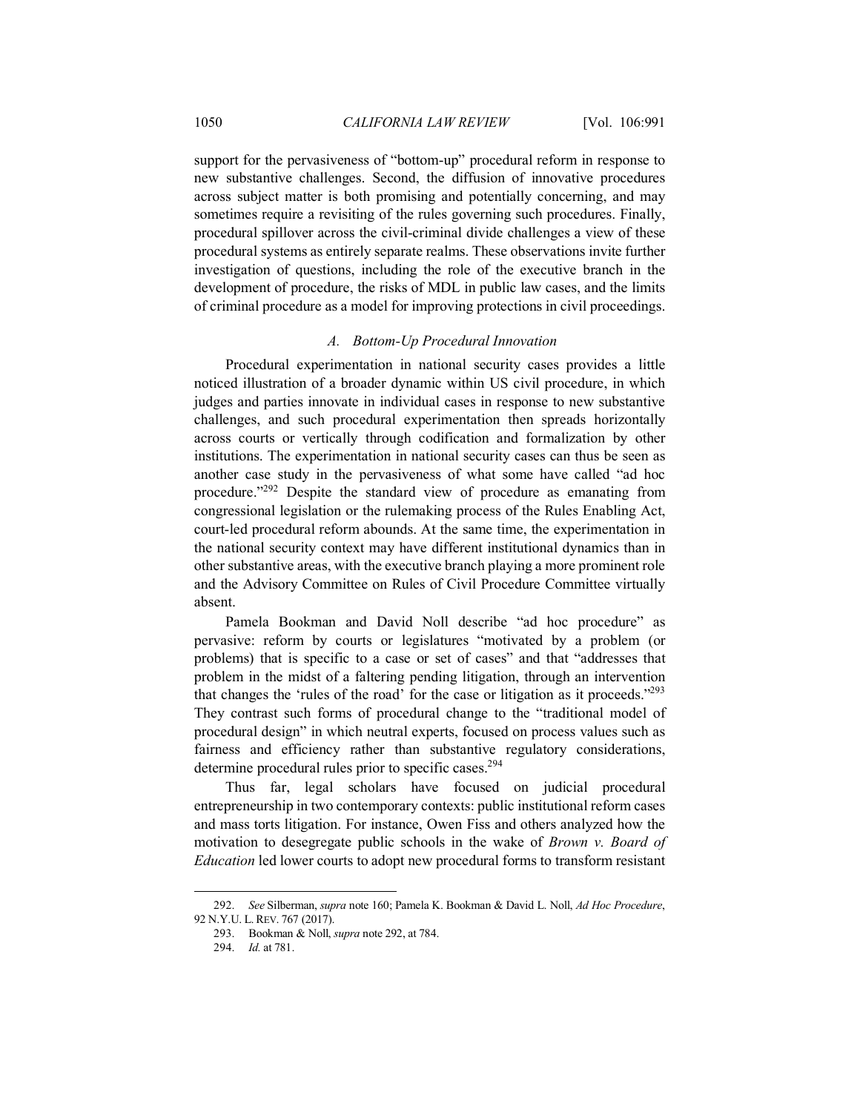support for the pervasiveness of "bottom-up" procedural reform in response to new substantive challenges. Second, the diffusion of innovative procedures across subject matter is both promising and potentially concerning, and may sometimes require a revisiting of the rules governing such procedures. Finally, procedural spillover across the civil-criminal divide challenges a view of these procedural systems as entirely separate realms. These observations invite further investigation of questions, including the role of the executive branch in the development of procedure, the risks of MDL in public law cases, and the limits of criminal procedure as a model for improving protections in civil proceedings.

#### *A. Bottom-Up Procedural Innovation*

Procedural experimentation in national security cases provides a little noticed illustration of a broader dynamic within US civil procedure, in which judges and parties innovate in individual cases in response to new substantive challenges, and such procedural experimentation then spreads horizontally across courts or vertically through codification and formalization by other institutions. The experimentation in national security cases can thus be seen as another case study in the pervasiveness of what some have called "ad hoc procedure."292 Despite the standard view of procedure as emanating from congressional legislation or the rulemaking process of the Rules Enabling Act, court-led procedural reform abounds. At the same time, the experimentation in the national security context may have different institutional dynamics than in other substantive areas, with the executive branch playing a more prominent role and the Advisory Committee on Rules of Civil Procedure Committee virtually absent.

Pamela Bookman and David Noll describe "ad hoc procedure" as pervasive: reform by courts or legislatures "motivated by a problem (or problems) that is specific to a case or set of cases" and that "addresses that problem in the midst of a faltering pending litigation, through an intervention that changes the 'rules of the road' for the case or litigation as it proceeds."293 They contrast such forms of procedural change to the "traditional model of procedural design" in which neutral experts, focused on process values such as fairness and efficiency rather than substantive regulatory considerations, determine procedural rules prior to specific cases.<sup>294</sup>

Thus far, legal scholars have focused on judicial procedural entrepreneurship in two contemporary contexts: public institutional reform cases and mass torts litigation. For instance, Owen Fiss and others analyzed how the motivation to desegregate public schools in the wake of *Brown v. Board of Education* led lower courts to adopt new procedural forms to transform resistant

<sup>292.</sup> *See* Silberman, *supra* note 160; Pamela K. Bookman & David L. Noll, *Ad Hoc Procedure*, 92 N.Y.U. L. REV. 767 (2017).

<sup>293.</sup> Bookman & Noll, *supra* note 292, at 784.

<sup>294.</sup> *Id.* at 781.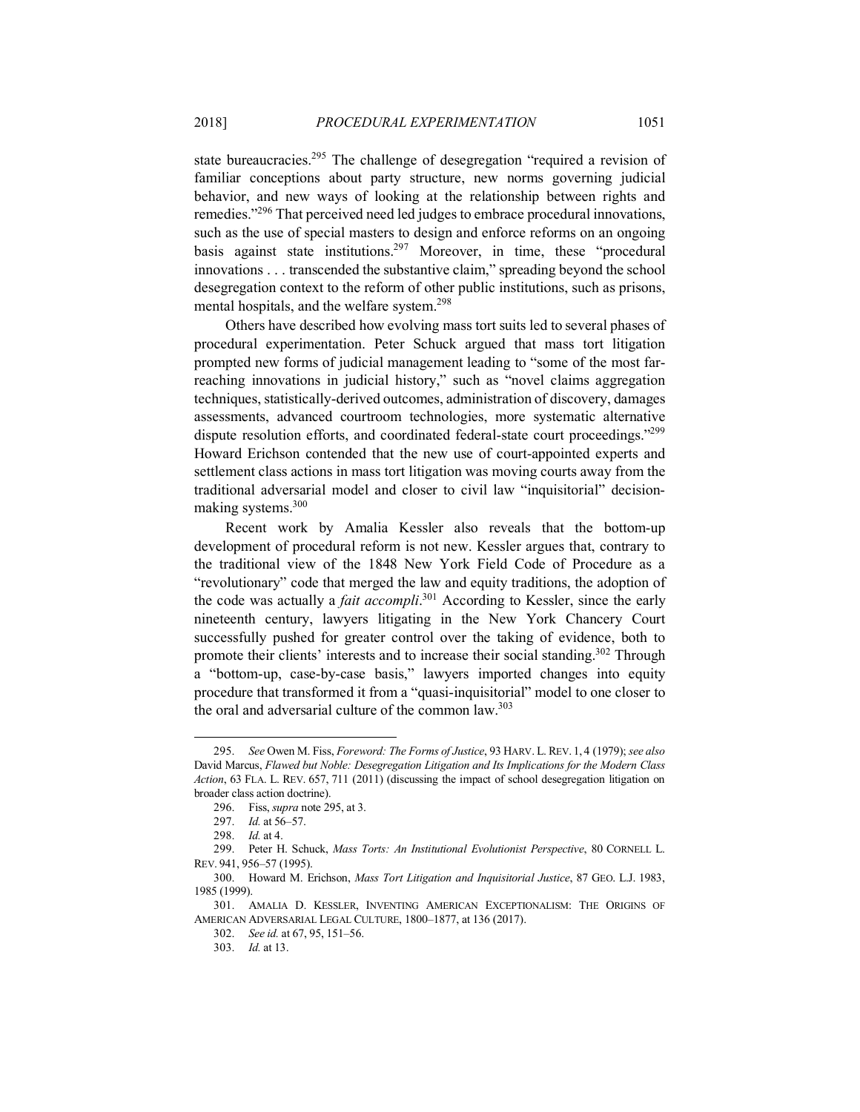state bureaucracies.<sup>295</sup> The challenge of desegregation "required a revision of familiar conceptions about party structure, new norms governing judicial behavior, and new ways of looking at the relationship between rights and remedies."296 That perceived need led judges to embrace procedural innovations, such as the use of special masters to design and enforce reforms on an ongoing basis against state institutions.<sup>297</sup> Moreover, in time, these "procedural innovations . . . transcended the substantive claim," spreading beyond the school desegregation context to the reform of other public institutions, such as prisons, mental hospitals, and the welfare system.<sup>298</sup>

Others have described how evolving mass tort suits led to several phases of procedural experimentation. Peter Schuck argued that mass tort litigation prompted new forms of judicial management leading to "some of the most farreaching innovations in judicial history," such as "novel claims aggregation techniques, statistically-derived outcomes, administration of discovery, damages assessments, advanced courtroom technologies, more systematic alternative dispute resolution efforts, and coordinated federal-state court proceedings."<sup>299</sup> Howard Erichson contended that the new use of court-appointed experts and settlement class actions in mass tort litigation was moving courts away from the traditional adversarial model and closer to civil law "inquisitorial" decisionmaking systems.<sup>300</sup>

Recent work by Amalia Kessler also reveals that the bottom-up development of procedural reform is not new. Kessler argues that, contrary to the traditional view of the 1848 New York Field Code of Procedure as a "revolutionary" code that merged the law and equity traditions, the adoption of the code was actually a *fait accompli*. <sup>301</sup> According to Kessler, since the early nineteenth century, lawyers litigating in the New York Chancery Court successfully pushed for greater control over the taking of evidence, both to promote their clients' interests and to increase their social standing.<sup>302</sup> Through a "bottom-up, case-by-case basis," lawyers imported changes into equity procedure that transformed it from a "quasi-inquisitorial" model to one closer to the oral and adversarial culture of the common law.<sup>303</sup>

<sup>295.</sup> *See* Owen M. Fiss, *Foreword: The Forms of Justice*, 93 HARV. L. REV. 1, 4 (1979); *see also* David Marcus, *Flawed but Noble: Desegregation Litigation and Its Implications for the Modern Class Action*, 63 FLA. L. REV. 657, 711 (2011) (discussing the impact of school desegregation litigation on broader class action doctrine).

<sup>296.</sup> Fiss, *supra* note 295, at 3.

<sup>297.</sup> *Id.* at 56–57.

<sup>298.</sup> *Id.* at 4.

<sup>299.</sup> Peter H. Schuck, *Mass Torts: An Institutional Evolutionist Perspective*, 80 CORNELL L. REV. 941, 956–57 (1995).

<sup>300.</sup> Howard M. Erichson, *Mass Tort Litigation and Inquisitorial Justice*, 87 GEO. L.J. 1983, 1985 (1999).

<sup>301.</sup> AMALIA D. KESSLER, INVENTING AMERICAN EXCEPTIONALISM: THE ORIGINS OF AMERICAN ADVERSARIAL LEGAL CULTURE, 1800–1877, at 136 (2017).

<sup>302.</sup> *See id.* at 67, 95, 151–56.

<sup>303.</sup> *Id.* at 13.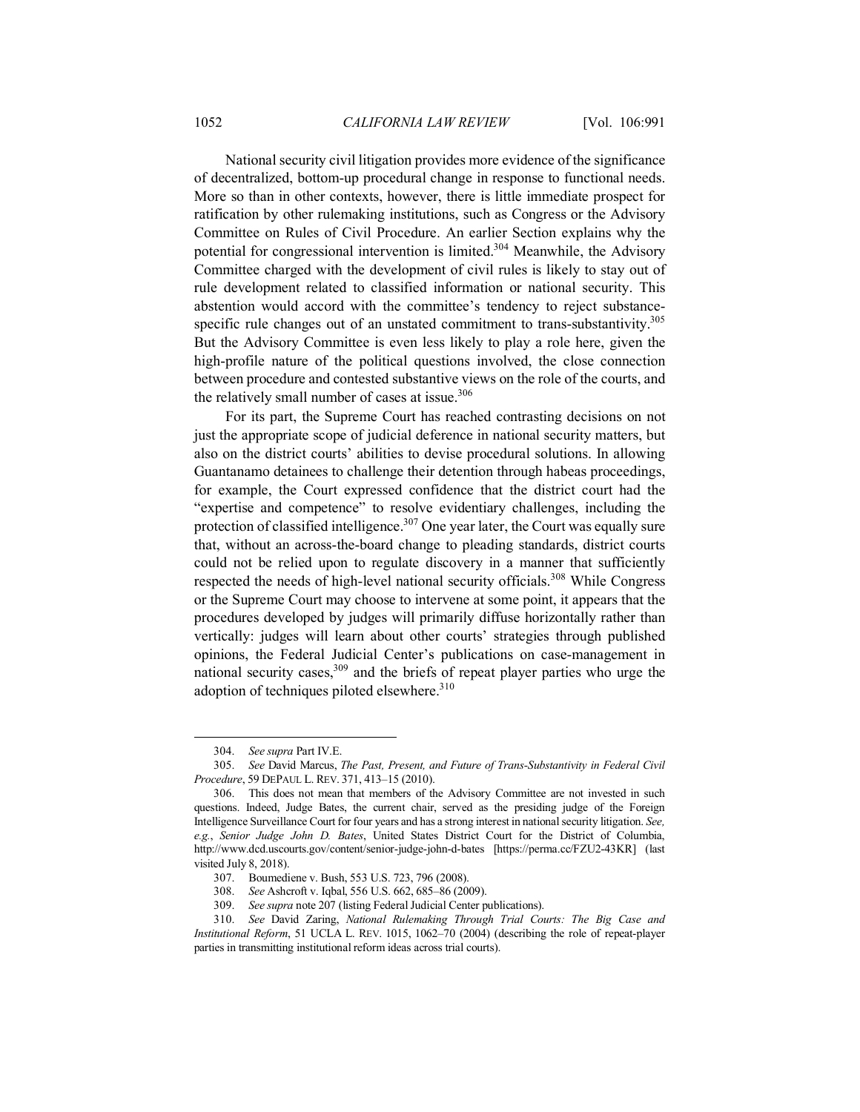National security civil litigation provides more evidence of the significance of decentralized, bottom-up procedural change in response to functional needs. More so than in other contexts, however, there is little immediate prospect for ratification by other rulemaking institutions, such as Congress or the Advisory Committee on Rules of Civil Procedure. An earlier Section explains why the potential for congressional intervention is limited.<sup>304</sup> Meanwhile, the Advisory Committee charged with the development of civil rules is likely to stay out of rule development related to classified information or national security. This abstention would accord with the committee's tendency to reject substancespecific rule changes out of an unstated commitment to trans-substantivity.<sup>305</sup> But the Advisory Committee is even less likely to play a role here, given the high-profile nature of the political questions involved, the close connection between procedure and contested substantive views on the role of the courts, and the relatively small number of cases at issue.<sup>306</sup>

For its part, the Supreme Court has reached contrasting decisions on not just the appropriate scope of judicial deference in national security matters, but also on the district courts' abilities to devise procedural solutions. In allowing Guantanamo detainees to challenge their detention through habeas proceedings, for example, the Court expressed confidence that the district court had the "expertise and competence" to resolve evidentiary challenges, including the protection of classified intelligence.<sup>307</sup> One year later, the Court was equally sure that, without an across-the-board change to pleading standards, district courts could not be relied upon to regulate discovery in a manner that sufficiently respected the needs of high-level national security officials.<sup>308</sup> While Congress or the Supreme Court may choose to intervene at some point, it appears that the procedures developed by judges will primarily diffuse horizontally rather than vertically: judges will learn about other courts' strategies through published opinions, the Federal Judicial Center's publications on case-management in national security cases,<sup>309</sup> and the briefs of repeat player parties who urge the adoption of techniques piloted elsewhere.<sup>310</sup>

<sup>304.</sup> *See supra* Part IV.E.

<sup>305.</sup> *See* David Marcus, *The Past, Present, and Future of Trans-Substantivity in Federal Civil Procedure*, 59 DEPAUL L. REV. 371, 413–15 (2010).

<sup>306.</sup> This does not mean that members of the Advisory Committee are not invested in such questions. Indeed, Judge Bates, the current chair, served as the presiding judge of the Foreign Intelligence Surveillance Court for four years and has a strong interest in national security litigation. *See, e.g.*, *Senior Judge John D. Bates*, United States District Court for the District of Columbia, http://www.dcd.uscourts.gov/content/senior-judge-john-d-bates [https://perma.cc/FZU2-43KR] (last visited July 8, 2018).

<sup>307.</sup> Boumediene v. Bush, 553 U.S. 723, 796 (2008).

<sup>308.</sup> *See* Ashcroft v. Iqbal, 556 U.S. 662, 685–86 (2009).

<sup>309.</sup> *See supra* note 207 (listing Federal Judicial Center publications).

<sup>310.</sup> *See* David Zaring, *National Rulemaking Through Trial Courts: The Big Case and Institutional Reform*, 51 UCLA L. REV. 1015, 1062–70 (2004) (describing the role of repeat-player parties in transmitting institutional reform ideas across trial courts).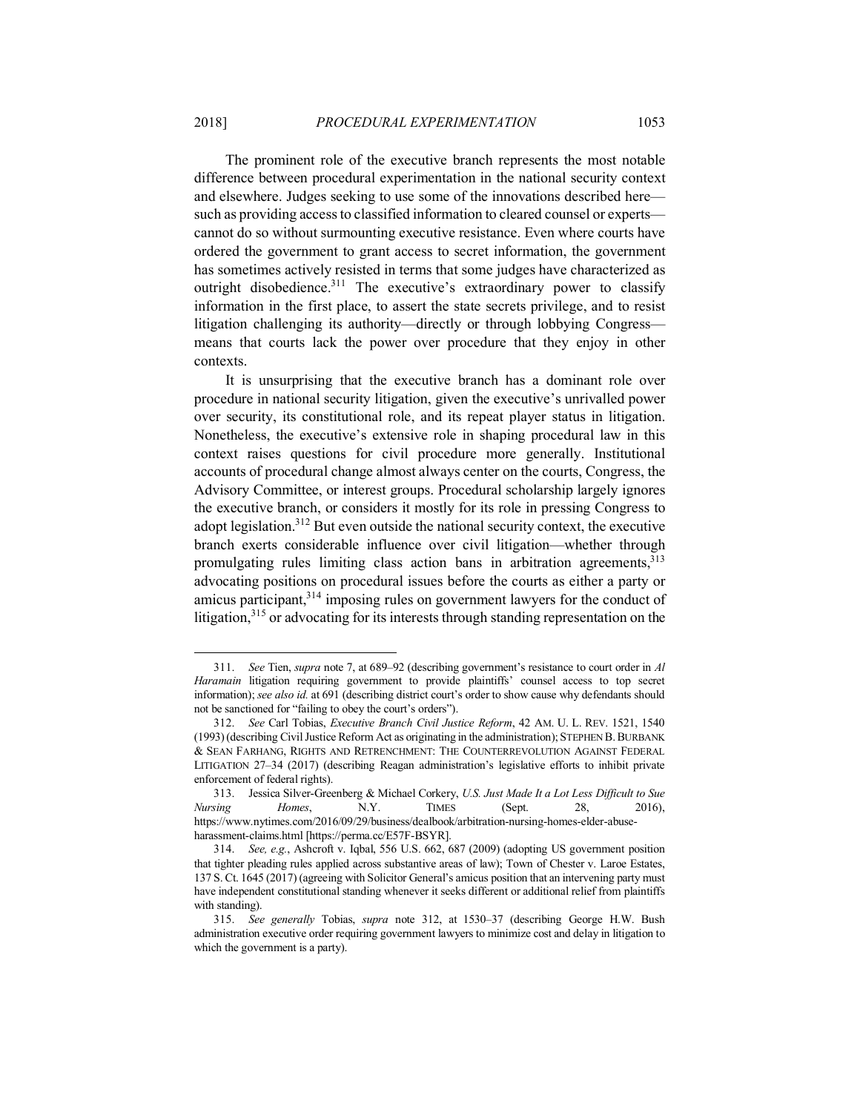The prominent role of the executive branch represents the most notable difference between procedural experimentation in the national security context and elsewhere. Judges seeking to use some of the innovations described here such as providing access to classified information to cleared counsel or experts cannot do so without surmounting executive resistance. Even where courts have ordered the government to grant access to secret information, the government has sometimes actively resisted in terms that some judges have characterized as outright disobedience.<sup>311</sup> The executive's extraordinary power to classify information in the first place, to assert the state secrets privilege, and to resist litigation challenging its authority—directly or through lobbying Congress means that courts lack the power over procedure that they enjoy in other contexts.

It is unsurprising that the executive branch has a dominant role over procedure in national security litigation, given the executive's unrivalled power over security, its constitutional role, and its repeat player status in litigation. Nonetheless, the executive's extensive role in shaping procedural law in this context raises questions for civil procedure more generally. Institutional accounts of procedural change almost always center on the courts, Congress, the Advisory Committee, or interest groups. Procedural scholarship largely ignores the executive branch, or considers it mostly for its role in pressing Congress to adopt legislation.312 But even outside the national security context, the executive branch exerts considerable influence over civil litigation—whether through promulgating rules limiting class action bans in arbitration agreements,<sup>313</sup> advocating positions on procedural issues before the courts as either a party or amicus participant, $3^{14}$  imposing rules on government lawyers for the conduct of litigation,<sup>315</sup> or advocating for its interests through standing representation on the

<sup>311.</sup> *See* Tien, *supra* note 7, at 689–92 (describing government's resistance to court order in *Al Haramain* litigation requiring government to provide plaintiffs' counsel access to top secret information); *see also id.* at 691 (describing district court's order to show cause why defendants should not be sanctioned for "failing to obey the court's orders").

<sup>312.</sup> *See* Carl Tobias, *Executive Branch Civil Justice Reform*, 42 AM. U. L. REV. 1521, 1540 (1993) (describing Civil Justice Reform Act as originating in the administration); STEPHEN B.BURBANK & SEAN FARHANG, RIGHTS AND RETRENCHMENT: THE COUNTERREVOLUTION AGAINST FEDERAL LITIGATION 27–34 (2017) (describing Reagan administration's legislative efforts to inhibit private enforcement of federal rights).

<sup>313.</sup> Jessica Silver-Greenberg & Michael Corkery, *U.S. Just Made It a Lot Less Difficult to Sue Nursing Homes*, N.Y. TIMES (Sept. 28, 2016), https://www.nytimes.com/2016/09/29/business/dealbook/arbitration-nursing-homes-elder-abuseharassment-claims.html [https://perma.cc/E57F-BSYR].

<sup>314.</sup> *See, e.g.*, Ashcroft v. Iqbal, 556 U.S. 662, 687 (2009) (adopting US government position that tighter pleading rules applied across substantive areas of law); Town of Chester v. Laroe Estates, 137 S. Ct. 1645 (2017) (agreeing with Solicitor General's amicus position that an intervening party must have independent constitutional standing whenever it seeks different or additional relief from plaintiffs with standing).

<sup>315.</sup> *See generally* Tobias, *supra* note 312, at 1530–37 (describing George H.W. Bush administration executive order requiring government lawyers to minimize cost and delay in litigation to which the government is a party).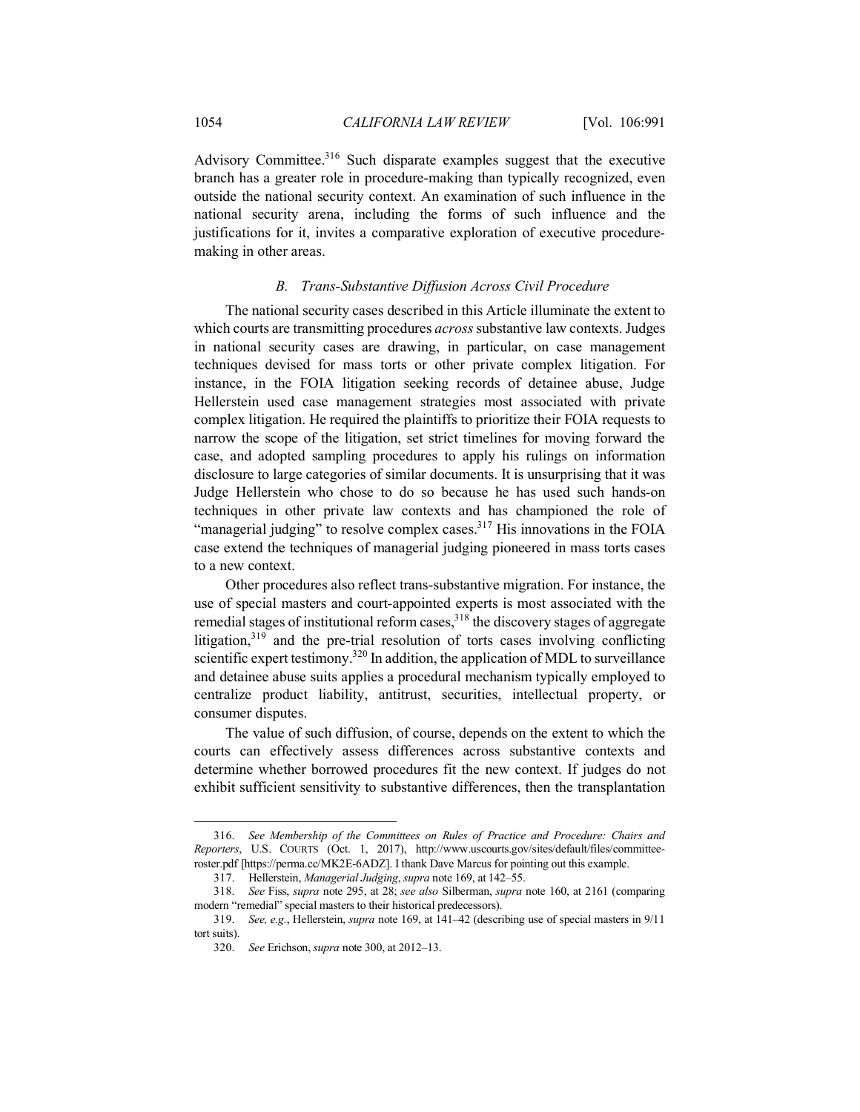Advisory Committee.<sup>316</sup> Such disparate examples suggest that the executive branch has a greater role in procedure-making than typically recognized, even outside the national security context. An examination of such influence in the national security arena, including the forms of such influence and the justifications for it, invites a comparative exploration of executive proceduremaking in other areas.

# *B. Trans-Substantive Diffusion Across Civil Procedure*

The national security cases described in this Article illuminate the extent to which courts are transmitting procedures *across*substantive law contexts. Judges in national security cases are drawing, in particular, on case management techniques devised for mass torts or other private complex litigation. For instance, in the FOIA litigation seeking records of detainee abuse, Judge Hellerstein used case management strategies most associated with private complex litigation. He required the plaintiffs to prioritize their FOIA requests to narrow the scope of the litigation, set strict timelines for moving forward the case, and adopted sampling procedures to apply his rulings on information disclosure to large categories of similar documents. It is unsurprising that it was Judge Hellerstein who chose to do so because he has used such hands-on techniques in other private law contexts and has championed the role of "managerial judging" to resolve complex cases.<sup>317</sup> His innovations in the FOIA case extend the techniques of managerial judging pioneered in mass torts cases to a new context.

Other procedures also reflect trans-substantive migration. For instance, the use of special masters and court-appointed experts is most associated with the remedial stages of institutional reform cases,<sup>318</sup> the discovery stages of aggregate litigation, $319$  and the pre-trial resolution of torts cases involving conflicting scientific expert testimony.<sup>320</sup> In addition, the application of MDL to surveillance and detainee abuse suits applies a procedural mechanism typically employed to centralize product liability, antitrust, securities, intellectual property, or consumer disputes.

The value of such diffusion, of course, depends on the extent to which the courts can effectively assess differences across substantive contexts and determine whether borrowed procedures fit the new context. If judges do not exhibit sufficient sensitivity to substantive differences, then the transplantation

<sup>316.</sup> *See Membership of the Committees on Rules of Practice and Procedure: Chairs and Reporters*, U.S. COURTS (Oct. 1, 2017), http://www.uscourts.gov/sites/default/files/committeeroster.pdf [https://perma.cc/MK2E-6ADZ]. I thank Dave Marcus for pointing out this example.

<sup>317.</sup> Hellerstein, *Managerial Judging*, *supra* note 169, at 142–55.

<sup>318.</sup> *See* Fiss, *supra* note 295, at 28; *see also* Silberman, *supra* note 160, at 2161 (comparing modern "remedial" special masters to their historical predecessors).

<sup>319.</sup> *See, e.g.*, Hellerstein, *supra* note 169, at 141–42 (describing use of special masters in 9/11 tort suits).

<sup>320.</sup> *See* Erichson, *supra* note 300, at 2012–13.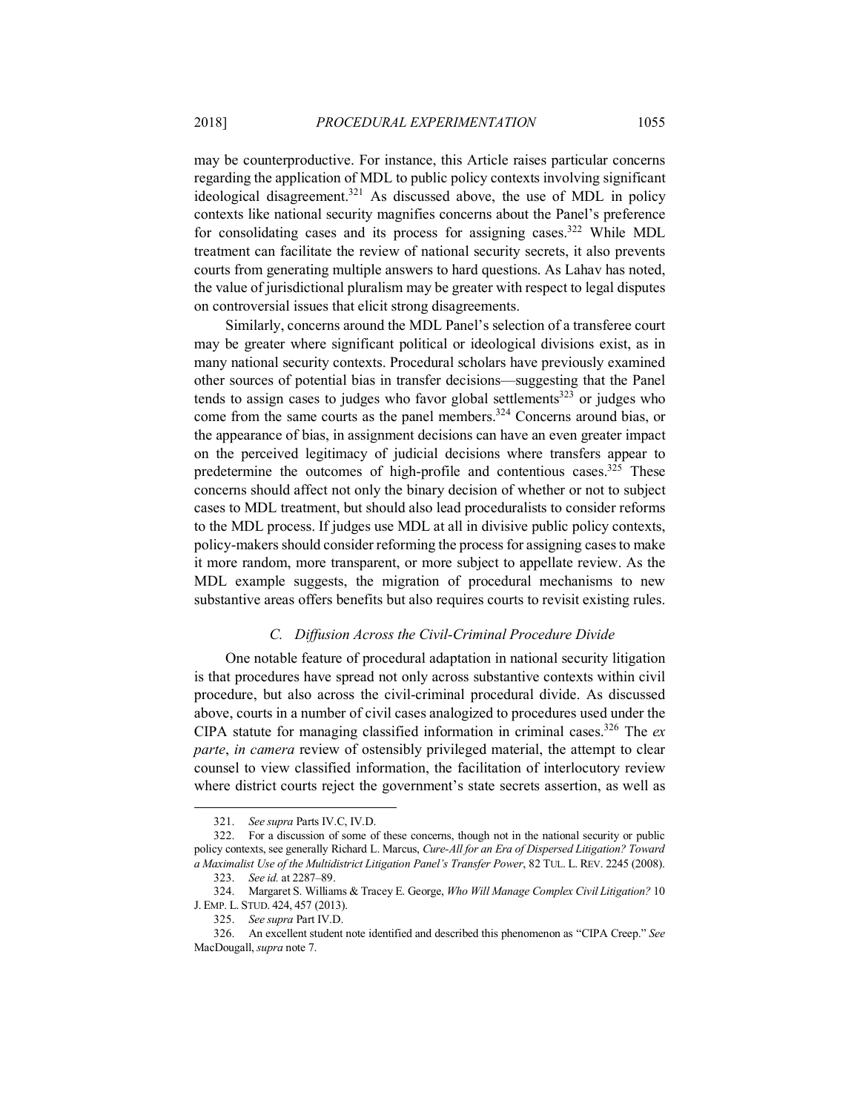may be counterproductive. For instance, this Article raises particular concerns regarding the application of MDL to public policy contexts involving significant ideological disagreement.<sup>321</sup> As discussed above, the use of MDL in policy contexts like national security magnifies concerns about the Panel's preference for consolidating cases and its process for assigning cases.<sup>322</sup> While MDL treatment can facilitate the review of national security secrets, it also prevents courts from generating multiple answers to hard questions. As Lahav has noted, the value of jurisdictional pluralism may be greater with respect to legal disputes on controversial issues that elicit strong disagreements.

Similarly, concerns around the MDL Panel's selection of a transferee court may be greater where significant political or ideological divisions exist, as in many national security contexts. Procedural scholars have previously examined other sources of potential bias in transfer decisions—suggesting that the Panel tends to assign cases to judges who favor global settlements<sup>323</sup> or judges who come from the same courts as the panel members.<sup>324</sup> Concerns around bias, or the appearance of bias, in assignment decisions can have an even greater impact on the perceived legitimacy of judicial decisions where transfers appear to predetermine the outcomes of high-profile and contentious cases.<sup>325</sup> These concerns should affect not only the binary decision of whether or not to subject cases to MDL treatment, but should also lead proceduralists to consider reforms to the MDL process. If judges use MDL at all in divisive public policy contexts, policy-makers should consider reforming the process for assigning cases to make it more random, more transparent, or more subject to appellate review. As the MDL example suggests, the migration of procedural mechanisms to new substantive areas offers benefits but also requires courts to revisit existing rules.

# *C. Diffusion Across the Civil-Criminal Procedure Divide*

One notable feature of procedural adaptation in national security litigation is that procedures have spread not only across substantive contexts within civil procedure, but also across the civil-criminal procedural divide. As discussed above, courts in a number of civil cases analogized to procedures used under the CIPA statute for managing classified information in criminal cases.326 The *ex parte*, *in camera* review of ostensibly privileged material, the attempt to clear counsel to view classified information, the facilitation of interlocutory review where district courts reject the government's state secrets assertion, as well as

<sup>321.</sup> *See supra* Parts IV.C, IV.D.

<sup>322.</sup> For a discussion of some of these concerns, though not in the national security or public policy contexts, see generally Richard L. Marcus, *Cure-All for an Era of Dispersed Litigation? Toward a Maximalist Use of the Multidistrict Litigation Panel's Transfer Power*, 82 TUL. L. REV. 2245 (2008).

<sup>323.</sup> *See id.* at 2287–89.

<sup>324.</sup> Margaret S. Williams & Tracey E. George, *Who Will Manage Complex Civil Litigation?* 10 J. EMP. L. STUD. 424, 457 (2013).

<sup>325.</sup> *See supra* Part IV.D.

<sup>326.</sup> An excellent student note identified and described this phenomenon as "CIPA Creep." *See* MacDougall, *supra* note 7.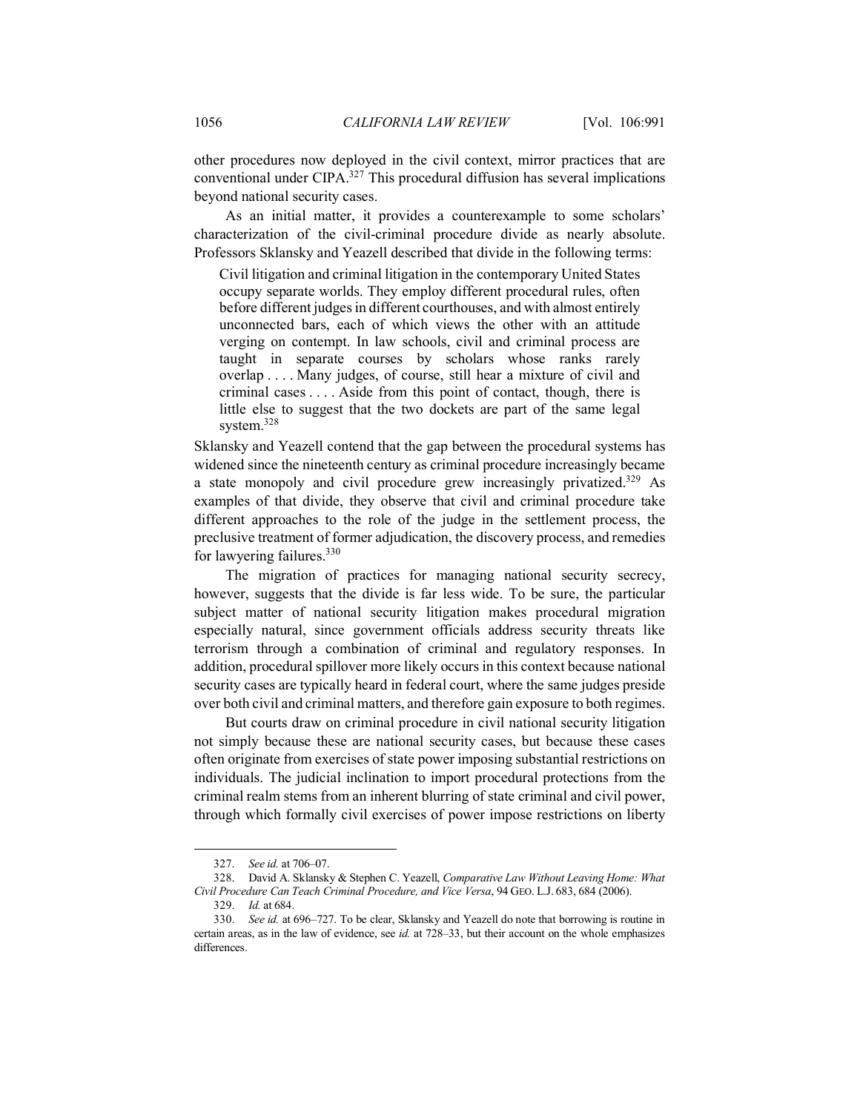other procedures now deployed in the civil context, mirror practices that are conventional under CIPA.327 This procedural diffusion has several implications beyond national security cases.

As an initial matter, it provides a counterexample to some scholars' characterization of the civil-criminal procedure divide as nearly absolute. Professors Sklansky and Yeazell described that divide in the following terms:

Civil litigation and criminal litigation in the contemporary United States occupy separate worlds. They employ different procedural rules, often before different judges in different courthouses, and with almost entirely unconnected bars, each of which views the other with an attitude verging on contempt. In law schools, civil and criminal process are taught in separate courses by scholars whose ranks rarely overlap . . . . Many judges, of course, still hear a mixture of civil and criminal cases . . . . Aside from this point of contact, though, there is little else to suggest that the two dockets are part of the same legal system.<sup>328</sup>

Sklansky and Yeazell contend that the gap between the procedural systems has widened since the nineteenth century as criminal procedure increasingly became a state monopoly and civil procedure grew increasingly privatized.<sup>329</sup> As examples of that divide, they observe that civil and criminal procedure take different approaches to the role of the judge in the settlement process, the preclusive treatment of former adjudication, the discovery process, and remedies for lawyering failures.<sup>330</sup>

The migration of practices for managing national security secrecy, however, suggests that the divide is far less wide. To be sure, the particular subject matter of national security litigation makes procedural migration especially natural, since government officials address security threats like terrorism through a combination of criminal and regulatory responses. In addition, procedural spillover more likely occurs in this context because national security cases are typically heard in federal court, where the same judges preside over both civil and criminal matters, and therefore gain exposure to both regimes.

But courts draw on criminal procedure in civil national security litigation not simply because these are national security cases, but because these cases often originate from exercises of state power imposing substantial restrictions on individuals. The judicial inclination to import procedural protections from the criminal realm stems from an inherent blurring of state criminal and civil power, through which formally civil exercises of power impose restrictions on liberty

<sup>327.</sup> *See id.* at 706–07.

<sup>328.</sup> David A. Sklansky & Stephen C. Yeazell, *Comparative Law Without Leaving Home: What Civil Procedure Can Teach Criminal Procedure, and Vice Versa*, 94 GEO. L.J. 683, 684 (2006).

<sup>329.</sup> *Id.* at 684.

<sup>330.</sup> *See id.* at 696–727. To be clear, Sklansky and Yeazell do note that borrowing is routine in certain areas, as in the law of evidence, see *id.* at 728–33, but their account on the whole emphasizes differences.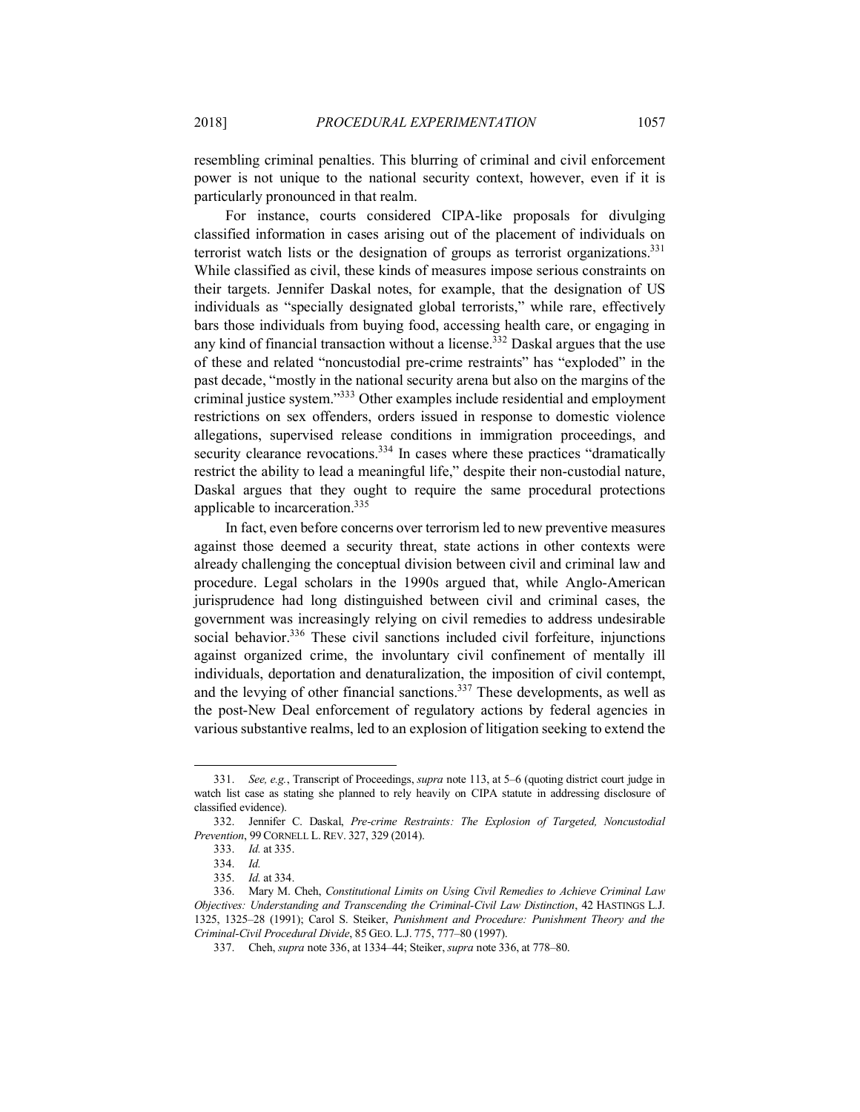resembling criminal penalties. This blurring of criminal and civil enforcement power is not unique to the national security context, however, even if it is particularly pronounced in that realm.

For instance, courts considered CIPA-like proposals for divulging classified information in cases arising out of the placement of individuals on terrorist watch lists or the designation of groups as terrorist organizations.<sup>331</sup> While classified as civil, these kinds of measures impose serious constraints on their targets. Jennifer Daskal notes, for example, that the designation of US individuals as "specially designated global terrorists," while rare, effectively bars those individuals from buying food, accessing health care, or engaging in any kind of financial transaction without a license.<sup>332</sup> Daskal argues that the use of these and related "noncustodial pre-crime restraints" has "exploded" in the past decade, "mostly in the national security arena but also on the margins of the criminal justice system."333 Other examples include residential and employment restrictions on sex offenders, orders issued in response to domestic violence allegations, supervised release conditions in immigration proceedings, and security clearance revocations.<sup>334</sup> In cases where these practices "dramatically restrict the ability to lead a meaningful life," despite their non-custodial nature, Daskal argues that they ought to require the same procedural protections applicable to incarceration.335

In fact, even before concerns over terrorism led to new preventive measures against those deemed a security threat, state actions in other contexts were already challenging the conceptual division between civil and criminal law and procedure. Legal scholars in the 1990s argued that, while Anglo-American jurisprudence had long distinguished between civil and criminal cases, the government was increasingly relying on civil remedies to address undesirable social behavior.<sup>336</sup> These civil sanctions included civil forfeiture, injunctions against organized crime, the involuntary civil confinement of mentally ill individuals, deportation and denaturalization, the imposition of civil contempt, and the levying of other financial sanctions.337 These developments, as well as the post-New Deal enforcement of regulatory actions by federal agencies in various substantive realms, led to an explosion of litigation seeking to extend the

<sup>331.</sup> *See, e.g.*, Transcript of Proceedings, *supra* note 113, at 5–6 (quoting district court judge in watch list case as stating she planned to rely heavily on CIPA statute in addressing disclosure of classified evidence).

<sup>332.</sup> Jennifer C. Daskal, *Pre-crime Restraints: The Explosion of Targeted, Noncustodial Prevention*, 99 CORNELL L. REV. 327, 329 (2014).

<sup>333.</sup> *Id.* at 335.

<sup>334.</sup> *Id.*

<sup>335.</sup> *Id.* at 334.

<sup>336.</sup> Mary M. Cheh, *Constitutional Limits on Using Civil Remedies to Achieve Criminal Law Objectives: Understanding and Transcending the Criminal-Civil Law Distinction*, 42 HASTINGS L.J. 1325, 1325–28 (1991); Carol S. Steiker, *Punishment and Procedure: Punishment Theory and the Criminal-Civil Procedural Divide*, 85 GEO. L.J. 775, 777–80 (1997).

<sup>337.</sup> Cheh, *supra* note 336, at 1334–44; Steiker, *supra* note 336, at 778–80.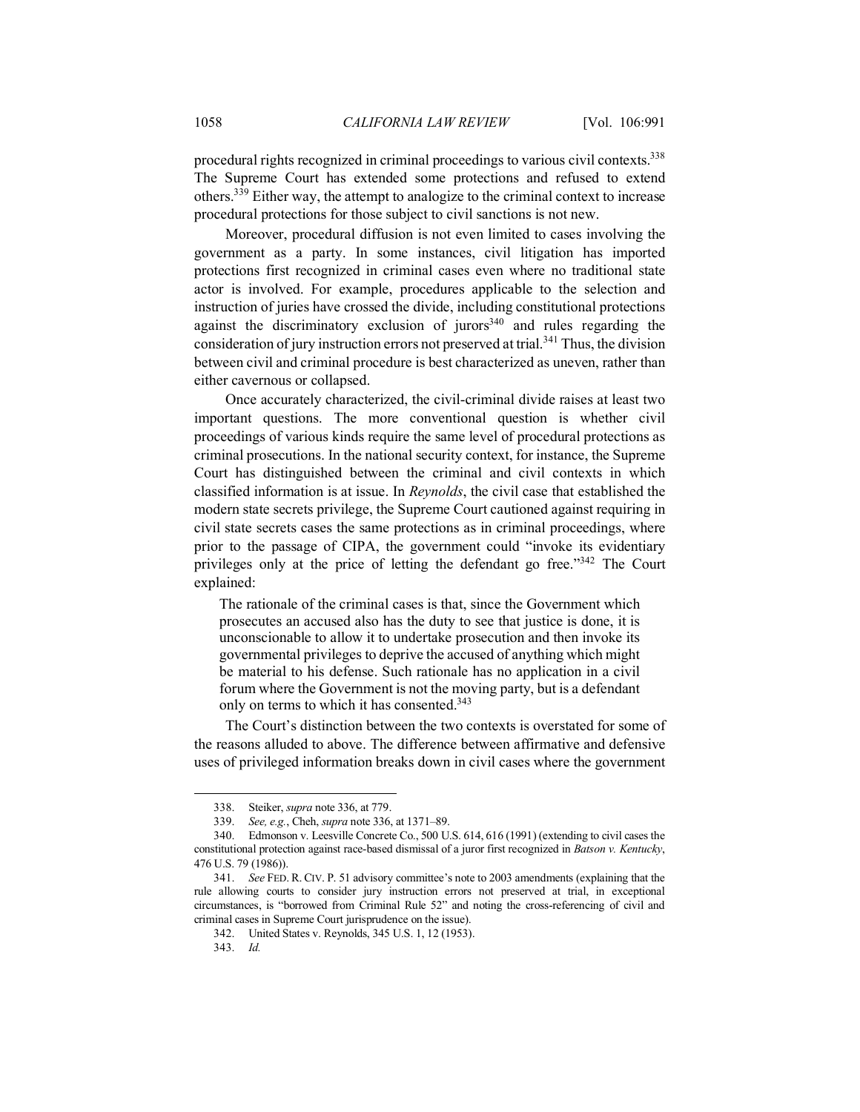procedural rights recognized in criminal proceedings to various civil contexts.338 The Supreme Court has extended some protections and refused to extend others.339 Either way, the attempt to analogize to the criminal context to increase procedural protections for those subject to civil sanctions is not new.

Moreover, procedural diffusion is not even limited to cases involving the government as a party. In some instances, civil litigation has imported protections first recognized in criminal cases even where no traditional state actor is involved. For example, procedures applicable to the selection and instruction of juries have crossed the divide, including constitutional protections against the discriminatory exclusion of jurors $340$  and rules regarding the consideration of jury instruction errors not preserved at trial.<sup>341</sup> Thus, the division between civil and criminal procedure is best characterized as uneven, rather than either cavernous or collapsed.

Once accurately characterized, the civil-criminal divide raises at least two important questions. The more conventional question is whether civil proceedings of various kinds require the same level of procedural protections as criminal prosecutions. In the national security context, for instance, the Supreme Court has distinguished between the criminal and civil contexts in which classified information is at issue. In *Reynolds*, the civil case that established the modern state secrets privilege, the Supreme Court cautioned against requiring in civil state secrets cases the same protections as in criminal proceedings, where prior to the passage of CIPA, the government could "invoke its evidentiary privileges only at the price of letting the defendant go free."342 The Court explained:

The rationale of the criminal cases is that, since the Government which prosecutes an accused also has the duty to see that justice is done, it is unconscionable to allow it to undertake prosecution and then invoke its governmental privileges to deprive the accused of anything which might be material to his defense. Such rationale has no application in a civil forum where the Government is not the moving party, but is a defendant only on terms to which it has consented.<sup>343</sup>

The Court's distinction between the two contexts is overstated for some of the reasons alluded to above. The difference between affirmative and defensive uses of privileged information breaks down in civil cases where the government

 <sup>338.</sup> Steiker, *supra* note 336, at 779.

<sup>339.</sup> *See, e.g.*, Cheh, *supra* note 336, at 1371–89.

<sup>340.</sup> Edmonson v. Leesville Concrete Co., 500 U.S. 614, 616 (1991) (extending to civil cases the constitutional protection against race-based dismissal of a juror first recognized in *Batson v. Kentucky*, 476 U.S. 79 (1986)).

<sup>341.</sup> *See* FED. R. CIV. P. 51 advisory committee's note to 2003 amendments (explaining that the rule allowing courts to consider jury instruction errors not preserved at trial, in exceptional circumstances, is "borrowed from Criminal Rule 52" and noting the cross-referencing of civil and criminal cases in Supreme Court jurisprudence on the issue).

<sup>342.</sup> United States v. Reynolds, 345 U.S. 1, 12 (1953).

<sup>343.</sup> *Id.*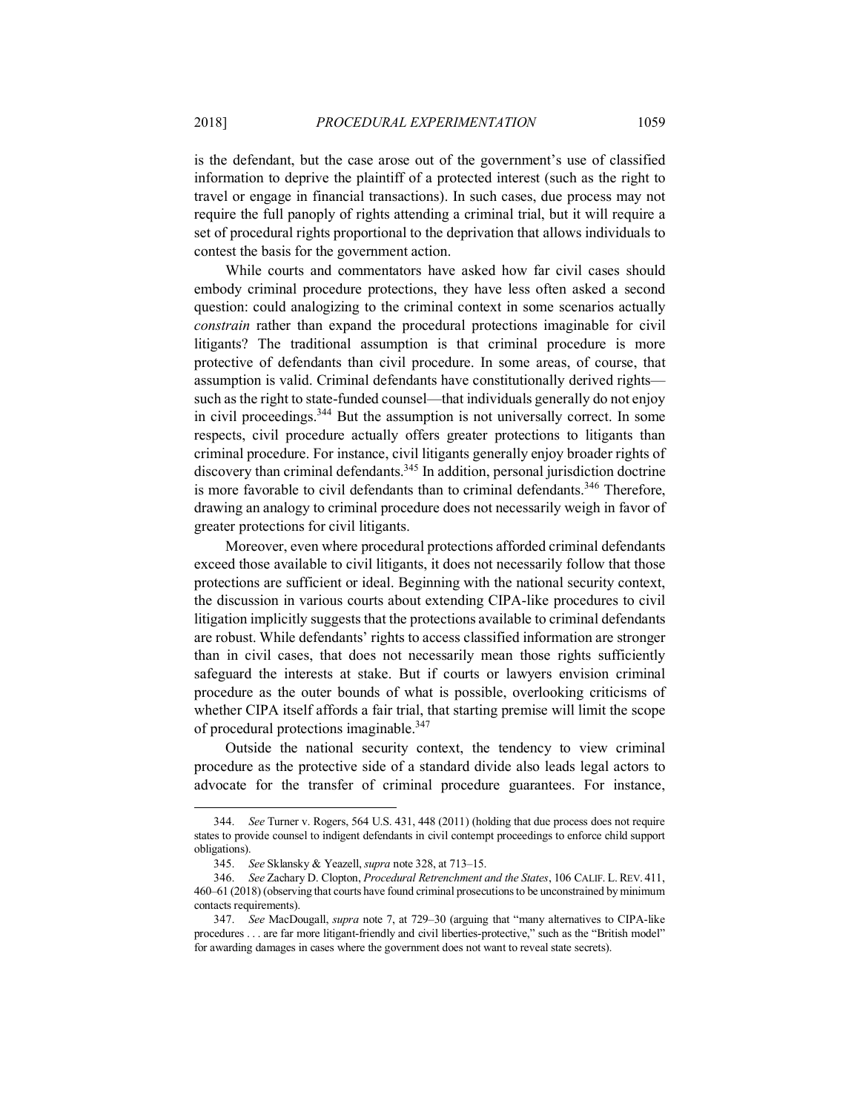is the defendant, but the case arose out of the government's use of classified information to deprive the plaintiff of a protected interest (such as the right to travel or engage in financial transactions). In such cases, due process may not require the full panoply of rights attending a criminal trial, but it will require a set of procedural rights proportional to the deprivation that allows individuals to contest the basis for the government action.

While courts and commentators have asked how far civil cases should embody criminal procedure protections, they have less often asked a second question: could analogizing to the criminal context in some scenarios actually *constrain* rather than expand the procedural protections imaginable for civil litigants? The traditional assumption is that criminal procedure is more protective of defendants than civil procedure. In some areas, of course, that assumption is valid. Criminal defendants have constitutionally derived rights such as the right to state-funded counsel—that individuals generally do not enjoy in civil proceedings.344 But the assumption is not universally correct. In some respects, civil procedure actually offers greater protections to litigants than criminal procedure. For instance, civil litigants generally enjoy broader rights of discovery than criminal defendants.<sup>345</sup> In addition, personal jurisdiction doctrine is more favorable to civil defendants than to criminal defendants.<sup>346</sup> Therefore, drawing an analogy to criminal procedure does not necessarily weigh in favor of greater protections for civil litigants.

Moreover, even where procedural protections afforded criminal defendants exceed those available to civil litigants, it does not necessarily follow that those protections are sufficient or ideal. Beginning with the national security context, the discussion in various courts about extending CIPA-like procedures to civil litigation implicitly suggests that the protections available to criminal defendants are robust. While defendants' rights to access classified information are stronger than in civil cases, that does not necessarily mean those rights sufficiently safeguard the interests at stake. But if courts or lawyers envision criminal procedure as the outer bounds of what is possible, overlooking criticisms of whether CIPA itself affords a fair trial, that starting premise will limit the scope of procedural protections imaginable.347

Outside the national security context, the tendency to view criminal procedure as the protective side of a standard divide also leads legal actors to advocate for the transfer of criminal procedure guarantees. For instance,

<sup>344.</sup> *See* Turner v. Rogers, 564 U.S. 431, 448 (2011) (holding that due process does not require states to provide counsel to indigent defendants in civil contempt proceedings to enforce child support obligations).

<sup>345.</sup> *See* Sklansky & Yeazell, *supra* note 328, at 713–15.

<sup>346.</sup> *See* Zachary D. Clopton, *Procedural Retrenchment and the States*, 106 CALIF. L. REV. 411, 460–61 (2018) (observing that courts have found criminal prosecutions to be unconstrained by minimum contacts requirements).

<sup>347.</sup> *See* MacDougall, *supra* note 7, at 729–30 (arguing that "many alternatives to CIPA-like procedures . . . are far more litigant-friendly and civil liberties-protective," such as the "British model" for awarding damages in cases where the government does not want to reveal state secrets).